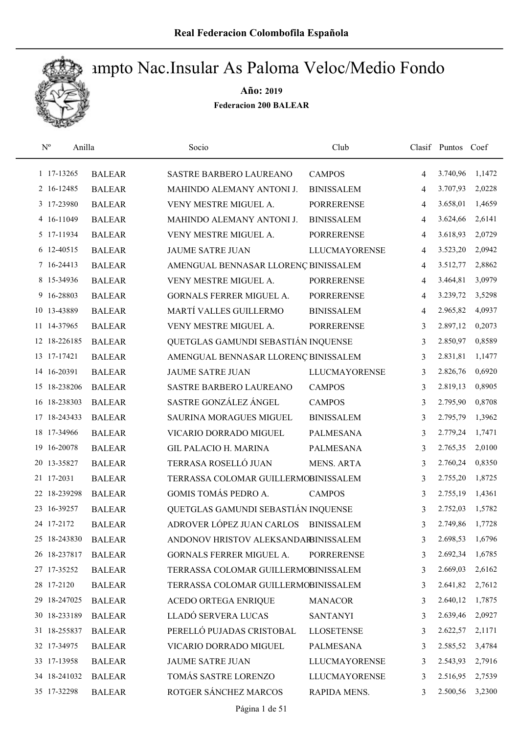

| $\rm N^o$<br>Anilla |               | Socio                                | Club                 |   | Clasif Puntos Coef |        |
|---------------------|---------------|--------------------------------------|----------------------|---|--------------------|--------|
| 1 17-13265          | <b>BALEAR</b> | SASTRE BARBERO LAUREANO              | <b>CAMPOS</b>        | 4 | 3.740,96           | 1,1472 |
| 2 16-12485          | <b>BALEAR</b> | MAHINDO ALEMANY ANTONI J.            | <b>BINISSALEM</b>    | 4 | 3.707,93           | 2,0228 |
| 3 17-23980          | <b>BALEAR</b> | VENY MESTRE MIGUEL A.                | <b>PORRERENSE</b>    | 4 | 3.658,01           | 1,4659 |
| 4 16-11049          | <b>BALEAR</b> | MAHINDO ALEMANY ANTONI J.            | <b>BINISSALEM</b>    | 4 | 3.624,66           | 2,6141 |
| 5 17-11934          | <b>BALEAR</b> | VENY MESTRE MIGUEL A.                | <b>PORRERENSE</b>    | 4 | 3.618,93           | 2,0729 |
| 6 12-40515          | <b>BALEAR</b> | JAUME SATRE JUAN                     | <b>LLUCMAYORENSE</b> | 4 | 3.523,20           | 2,0942 |
| 7 16-24413          | <b>BALEAR</b> | AMENGUAL BENNASAR LLORENÇ BINISSALEM |                      | 4 | 3.512,77           | 2,8862 |
| 8 15-34936          | <b>BALEAR</b> | VENY MESTRE MIGUEL A.                | <b>PORRERENSE</b>    | 4 | 3.464,81           | 3,0979 |
| 9 16-28803          | <b>BALEAR</b> | GORNALS FERRER MIGUEL A.             | <b>PORRERENSE</b>    | 4 | 3.239,72           | 3,5298 |
| 10 13-43889         | <b>BALEAR</b> | MARTÍ VALLES GUILLERMO               | <b>BINISSALEM</b>    | 4 | 2.965,82           | 4,0937 |
| 11 14-37965         | <b>BALEAR</b> | VENY MESTRE MIGUEL A.                | <b>PORRERENSE</b>    | 3 | 2.897,12           | 0,2073 |
| 12 18-226185        | <b>BALEAR</b> | QUETGLAS GAMUNDI SEBASTIÁN INQUENSE  |                      | 3 | 2.850,97           | 0,8589 |
| 13 17-17421         | <b>BALEAR</b> | AMENGUAL BENNASAR LLORENÇ BINISSALEM |                      | 3 | 2.831,81           | 1,1477 |
| 14 16-20391         | <b>BALEAR</b> | <b>JAUME SATRE JUAN</b>              | <b>LLUCMAYORENSE</b> | 3 | 2.826,76           | 0,6920 |
| 15 18-238206        | <b>BALEAR</b> | SASTRE BARBERO LAUREANO              | <b>CAMPOS</b>        | 3 | 2.819,13           | 0,8905 |
| 16 18-238303        | <b>BALEAR</b> | SASTRE GONZÁLEZ ÁNGEL                | <b>CAMPOS</b>        | 3 | 2.795,90           | 0,8708 |
| 17 18-243433        | <b>BALEAR</b> | SAURINA MORAGUES MIGUEL              | <b>BINISSALEM</b>    | 3 | 2.795,79           | 1,3962 |
| 18 17-34966         | <b>BALEAR</b> | VICARIO DORRADO MIGUEL               | <b>PALMESANA</b>     | 3 | 2.779,24           | 1,7471 |
| 16-20078<br>19      | <b>BALEAR</b> | <b>GIL PALACIO H. MARINA</b>         | PALMESANA            | 3 | 2.765,35           | 2,0100 |
| 20 13-35827         | <b>BALEAR</b> | TERRASA ROSELLÓ JUAN                 | <b>MENS. ARTA</b>    | 3 | 2.760,24           | 0,8350 |
| 21 17-2031          | <b>BALEAR</b> | TERRASSA COLOMAR GUILLERMOBINISSALEM |                      | 3 | 2.755,20           | 1,8725 |
| 22 18-239298        | <b>BALEAR</b> | GOMIS TOMÁS PEDRO A.                 | <b>CAMPOS</b>        | 3 | 2.755,19           | 1,4361 |
| 23 16-39257         | <b>BALEAR</b> | QUETGLAS GAMUNDI SEBASTIÁN INQUENSE  |                      | 3 | 2.752,03           | 1,5782 |
| 24 17-2172          | <b>BALEAR</b> | ADROVER LÓPEZ JUAN CARLOS            | <b>BINISSALEM</b>    | 3 | 2.749,86           | 1,7728 |
| 25 18-243830        | <b>BALEAR</b> | ANDONOV HRISTOV ALEKSANDARBINISSALEM |                      | 3 | 2.698,53           | 1,6796 |
| 26 18-237817        | <b>BALEAR</b> | GORNALS FERRER MIGUEL A.             | <b>PORRERENSE</b>    | 3 | 2.692,34           | 1,6785 |
| 27 17-35252         | <b>BALEAR</b> | TERRASSA COLOMAR GUILLERMOBINISSALEM |                      | 3 | 2.669,03           | 2,6162 |
| 28 17-2120          | <b>BALEAR</b> | TERRASSA COLOMAR GUILLERMOBINISSALEM |                      | 3 | 2.641,82           | 2,7612 |
| 29 18-247025        | <b>BALEAR</b> | ACEDO ORTEGA ENRIQUE                 | <b>MANACOR</b>       | 3 | 2.640,12           | 1,7875 |
| 30 18-233189        | <b>BALEAR</b> | LLADÓ SERVERA LUCAS                  | <b>SANTANYI</b>      | 3 | 2.639,46           | 2,0927 |
| 31 18-255837        | <b>BALEAR</b> | PERELLÓ PUJADAS CRISTOBAL            | <b>LLOSETENSE</b>    | 3 | 2.622,57           | 2,1171 |
| 32 17-34975         | <b>BALEAR</b> | VICARIO DORRADO MIGUEL               | PALMESANA            | 3 | 2.585,52           | 3,4784 |
| 33 17-13958         | <b>BALEAR</b> | <b>JAUME SATRE JUAN</b>              | <b>LLUCMAYORENSE</b> | 3 | 2.543,93           | 2,7916 |
| 34 18-241032        | <b>BALEAR</b> | TOMÁS SASTRE LORENZO                 | <b>LLUCMAYORENSE</b> | 3 | 2.516,95           | 2,7539 |
| 35 17-32298         | <b>BALEAR</b> | ROTGER SÁNCHEZ MARCOS                | RAPIDA MENS.         | 3 | 2.500,56           | 3,2300 |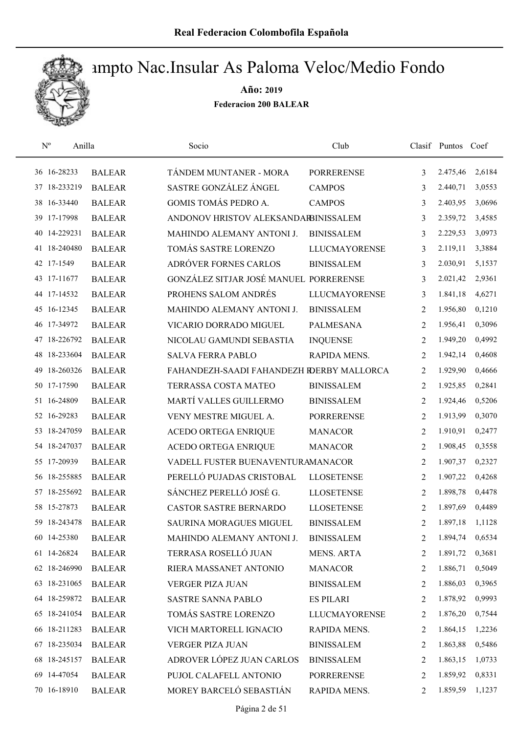

| $\rm N^o$<br>Anilla |               | Socio                                     | Club                 |                | Clasif Puntos Coef |        |
|---------------------|---------------|-------------------------------------------|----------------------|----------------|--------------------|--------|
| 36 16-28233         | <b>BALEAR</b> | TÁNDEM MUNTANER - MORA                    | <b>PORRERENSE</b>    | 3              | 2.475,46           | 2,6184 |
| 37 18-233219        | <b>BALEAR</b> | SASTRE GONZÁLEZ ÁNGEL                     | <b>CAMPOS</b>        | 3              | 2.440,71           | 3,0553 |
| 38 16-33440         | <b>BALEAR</b> | GOMIS TOMÁS PEDRO A.                      | <b>CAMPOS</b>        | 3              | 2.403,95           | 3,0696 |
| 39 17-17998         | <b>BALEAR</b> | ANDONOV HRISTOV ALEKSANDARBINISSALEM      |                      | 3              | 2.359,72           | 3,4585 |
| 40 14-229231        | <b>BALEAR</b> | MAHINDO ALEMANY ANTONI J.                 | <b>BINISSALEM</b>    | 3              | 2.229,53           | 3,0973 |
| 41 18-240480        | <b>BALEAR</b> | TOMÁS SASTRE LORENZO                      | <b>LLUCMAYORENSE</b> | 3              | 2.119,11           | 3,3884 |
| 42 17-1549          | <b>BALEAR</b> | ADRÓVER FORNES CARLOS                     | <b>BINISSALEM</b>    | 3              | 2.030,91           | 5,1537 |
| 43 17-11677         | <b>BALEAR</b> | GONZÁLEZ SITJAR JOSÉ MANUEL PORRERENSE    |                      | 3              | 2.021,42           | 2,9361 |
| 44 17-14532         | <b>BALEAR</b> | PROHENS SALOM ANDRÉS                      | <b>LLUCMAYORENSE</b> | 3              | 1.841,18           | 4,6271 |
| 45 16-12345         | <b>BALEAR</b> | MAHINDO ALEMANY ANTONI J.                 | <b>BINISSALEM</b>    | 2              | 1.956,80           | 0,1210 |
| 46 17-34972         | <b>BALEAR</b> | VICARIO DORRADO MIGUEL                    | <b>PALMESANA</b>     | 2              | 1.956,41           | 0,3096 |
| 47 18-226792        | <b>BALEAR</b> | NICOLAU GAMUNDI SEBASTIA                  | <b>INQUENSE</b>      | 2              | 1.949,20           | 0,4992 |
| 48 18-233604        | <b>BALEAR</b> | <b>SALVA FERRA PABLO</b>                  | RAPIDA MENS.         | 2              | 1.942,14           | 0,4608 |
| 49 18-260326        | <b>BALEAR</b> | FAHANDEZH-SAADI FAHANDEZH RDERBY MALLORCA |                      | 2              | 1.929,90           | 0,4666 |
| 50 17-17590         | <b>BALEAR</b> | TERRASSA COSTA MATEO                      | <b>BINISSALEM</b>    | 2              | 1.925,85           | 0,2841 |
| 51 16-24809         | <b>BALEAR</b> | MARTÍ VALLES GUILLERMO                    | <b>BINISSALEM</b>    | 2              | 1.924,46           | 0,5206 |
| 52 16-29283         | <b>BALEAR</b> | VENY MESTRE MIGUEL A.                     | <b>PORRERENSE</b>    | 2              | 1.913,99           | 0,3070 |
| 53 18-247059        | <b>BALEAR</b> | ACEDO ORTEGA ENRIQUE                      | <b>MANACOR</b>       | 2              | 1.910,91           | 0,2477 |
| 54 18-247037        | <b>BALEAR</b> | ACEDO ORTEGA ENRIQUE                      | <b>MANACOR</b>       | 2              | 1.908,45           | 0,3558 |
| 55 17-20939         | <b>BALEAR</b> | VADELL FUSTER BUENAVENTURAMANACOR         |                      | 2              | 1.907,37           | 0,2327 |
| 56 18-255885        | <b>BALEAR</b> | PERELLÓ PUJADAS CRISTOBAL                 | <b>LLOSETENSE</b>    | 2              | 1.907,22           | 0,4268 |
| 57 18-255692        | <b>BALEAR</b> | SÁNCHEZ PERELLÓ JOSÉ G.                   | <b>LLOSETENSE</b>    | 2              | 1.898,78           | 0,4478 |
| 58 15-27873         | <b>BALEAR</b> | <b>CASTOR SASTRE BERNARDO</b>             | <b>LLOSETENSE</b>    | 2              | 1.897,69           | 0,4489 |
| 59 18-243478        | <b>BALEAR</b> | <b>SAURINA MORAGUES MIGUEL</b>            | <b>BINISSALEM</b>    | $\overline{2}$ | 1.897,18           | 1,1128 |
| 60 14-25380         | <b>BALEAR</b> | MAHINDO ALEMANY ANTONI J.                 | <b>BINISSALEM</b>    | 2              | 1.894,74           | 0,6534 |
| 61 14-26824         | <b>BALEAR</b> | TERRASA ROSELLÓ JUAN                      | MENS. ARTA           | 2              | 1.891,72           | 0,3681 |
| 62 18-246990        | <b>BALEAR</b> | RIERA MASSANET ANTONIO                    | <b>MANACOR</b>       | 2              | 1.886,71           | 0,5049 |
| 63 18-231065        | <b>BALEAR</b> | <b>VERGER PIZA JUAN</b>                   | <b>BINISSALEM</b>    | 2              | 1.886,03           | 0,3965 |
| 64 18-259872        | <b>BALEAR</b> | <b>SASTRE SANNA PABLO</b>                 | <b>ES PILARI</b>     | 2              | 1.878,92           | 0,9993 |
| 65 18-241054        | <b>BALEAR</b> | TOMÁS SASTRE LORENZO                      | <b>LLUCMAYORENSE</b> | 2              | 1.876,20           | 0,7544 |
| 66 18-211283        | <b>BALEAR</b> | VICH MARTORELL IGNACIO                    | RAPIDA MENS.         | 2              | 1.864,15           | 1,2236 |
| 67 18-235034        | <b>BALEAR</b> | <b>VERGER PIZA JUAN</b>                   | <b>BINISSALEM</b>    | 2              | 1.863,88           | 0,5486 |
| 68 18-245157        | <b>BALEAR</b> | ADROVER LÓPEZ JUAN CARLOS                 | <b>BINISSALEM</b>    | 2              | 1.863,15           | 1,0733 |
| 69 14-47054         | <b>BALEAR</b> | PUJOL CALAFELL ANTONIO                    | <b>PORRERENSE</b>    | 2              | 1.859,92           | 0,8331 |
| 70 16-18910         | <b>BALEAR</b> | MOREY BARCELÓ SEBASTIÁN                   | RAPIDA MENS.         | 2              | 1.859,59           | 1,1237 |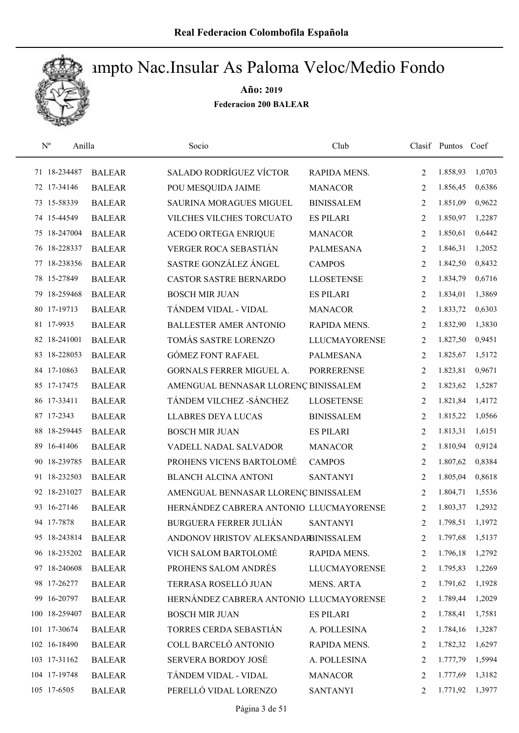

| $\rm N^o$<br>Anilla |               | Socio                                   | Club                 |                | Clasif Puntos Coef |        |
|---------------------|---------------|-----------------------------------------|----------------------|----------------|--------------------|--------|
| 71 18-234487        | <b>BALEAR</b> | <b>SALADO RODRÍGUEZ VÍCTOR</b>          | RAPIDA MENS.         | 2              | 1.858,93           | 1,0703 |
| 72 17-34146         | <b>BALEAR</b> | POU MESQUIDA JAIME                      | <b>MANACOR</b>       | $\overline{2}$ | 1.856,45           | 0,6386 |
| 73 15-58339         | <b>BALEAR</b> | <b>SAURINA MORAGUES MIGUEL</b>          | <b>BINISSALEM</b>    | 2              | 1.851,09           | 0,9622 |
| 74 15-44549         | <b>BALEAR</b> | VILCHES VILCHES TORCUATO                | <b>ES PILARI</b>     | 2              | 1.850,97           | 1,2287 |
| 75 18-247004        | <b>BALEAR</b> | <b>ACEDO ORTEGA ENRIQUE</b>             | <b>MANACOR</b>       | 2              | 1.850,61           | 0,6442 |
| 76 18-228337        | <b>BALEAR</b> | VERGER ROCA SEBASTIÁN                   | <b>PALMESANA</b>     | 2              | 1.846,31           | 1,2052 |
| 77 18-238356        | <b>BALEAR</b> | SASTRE GONZÁLEZ ÁNGEL                   | <b>CAMPOS</b>        | 2              | 1.842,50           | 0,8432 |
| 78 15-27849         | <b>BALEAR</b> | CASTOR SASTRE BERNARDO                  | <b>LLOSETENSE</b>    | 2              | 1.834,79           | 0,6716 |
| 79 18-259468        | <b>BALEAR</b> | <b>BOSCH MIR JUAN</b>                   | <b>ES PILARI</b>     | 2              | 1.834,01           | 1,3869 |
| 80 17-19713         | <b>BALEAR</b> | TÁNDEM VIDAL - VIDAL                    | <b>MANACOR</b>       | 2              | 1.833,72           | 0,6303 |
| 81 17-9935          | <b>BALEAR</b> | <b>BALLESTER AMER ANTONIO</b>           | RAPIDA MENS.         | 2              | 1.832,90           | 1,3830 |
| 82 18-241001        | <b>BALEAR</b> | TOMÁS SASTRE LORENZO                    | <b>LLUCMAYORENSE</b> | 2              | 1.827,50           | 0,9451 |
| 83 18-228053        | <b>BALEAR</b> | <b>GÓMEZ FONT RAFAEL</b>                | <b>PALMESANA</b>     | 2              | 1.825,67           | 1,5172 |
| 84 17-10863         | <b>BALEAR</b> | <b>GORNALS FERRER MIGUEL A.</b>         | <b>PORRERENSE</b>    | 2              | 1.823,81           | 0,9671 |
| 85 17-17475         | <b>BALEAR</b> | AMENGUAL BENNASAR LLORENÇ BINISSALEM    |                      | $\overline{2}$ | 1.823,62           | 1,5287 |
| 86 17-33411         | <b>BALEAR</b> | TÁNDEM VILCHEZ - SÁNCHEZ                | <b>LLOSETENSE</b>    | 2              | 1.821,84           | 1,4172 |
| 87 17-2343          | <b>BALEAR</b> | <b>LLABRES DEYA LUCAS</b>               | <b>BINISSALEM</b>    | 2              | 1.815,22           | 1,0566 |
| 88 18-259445        | <b>BALEAR</b> | <b>BOSCH MIR JUAN</b>                   | <b>ES PILARI</b>     | 2              | 1.813,31           | 1,6151 |
| 89 16-41406         | <b>BALEAR</b> | VADELL NADAL SALVADOR                   | <b>MANACOR</b>       | 2              | 1.810,94           | 0,9124 |
| 90 18-239785        | <b>BALEAR</b> | PROHENS VICENS BARTOLOMÉ                | <b>CAMPOS</b>        | $\overline{2}$ | 1.807,62           | 0,8384 |
| 91 18-232503        | <b>BALEAR</b> | <b>BLANCH ALCINA ANTONI</b>             | <b>SANTANYI</b>      | 2              | 1.805,04           | 0,8618 |
| 92 18-231027        | <b>BALEAR</b> | AMENGUAL BENNASAR LLORENÇ BINISSALEM    |                      | 2              | 1.804,71           | 1,5536 |
| 93 16-27146         | <b>BALEAR</b> | HERNÁNDEZ CABRERA ANTONIO LLUCMAYORENSE |                      | 2              | 1.803,37           | 1,2932 |
| 94 17-7878          | <b>BALEAR</b> | <b>BURGUERA FERRER JULIÁN</b>           | <b>SANTANYI</b>      | $\overline{2}$ | 1.798,51           | 1,1972 |
| 95 18-243814        | <b>BALEAR</b> | ANDONOV HRISTOV ALEKSANDARBINISSALEM    |                      | 2              | 1.797,68           | 1,5137 |
| 96 18-235202        | <b>BALEAR</b> | VICH SALOM BARTOLOMÉ                    | RAPIDA MENS.         | 2              | 1.796,18           | 1,2792 |
| 97 18-240608        | <b>BALEAR</b> | PROHENS SALOM ANDRÉS                    | <b>LLUCMAYORENSE</b> | 2              | 1.795,83           | 1,2269 |
| 98 17-26277         | <b>BALEAR</b> | TERRASA ROSELLÓ JUAN                    | <b>MENS. ARTA</b>    | 2              | 1.791,62           | 1,1928 |
| 99 16-20797         | <b>BALEAR</b> | HERNÁNDEZ CABRERA ANTONIO LLUCMAYORENSE |                      | 2              | 1.789,44           | 1,2029 |
| 100 18-259407       | <b>BALEAR</b> | <b>BOSCH MIR JUAN</b>                   | <b>ES PILARI</b>     | 2              | 1.788,41           | 1,7581 |
| 101 17-30674        | <b>BALEAR</b> | TORRES CERDA SEBASTIÁN                  | A. POLLESINA         | 2              | 1.784,16           | 1,3287 |
| 102 16-18490        | <b>BALEAR</b> | COLL BARCELÓ ANTONIO                    | RAPIDA MENS.         | 2              | 1.782,32           | 1,6297 |
| 103 17-31162        | <b>BALEAR</b> | SERVERA BORDOY JOSÉ                     | A. POLLESINA         | 2              | 1.777,79           | 1,5994 |
| 104 17-19748        | <b>BALEAR</b> | TÁNDEM VIDAL - VIDAL                    | <b>MANACOR</b>       | 2              | 1.777,69           | 1,3182 |
| 105 17-6505         | <b>BALEAR</b> | PERELLÓ VIDAL LORENZO                   | <b>SANTANYI</b>      | 2              | 1.771,92           | 1,3977 |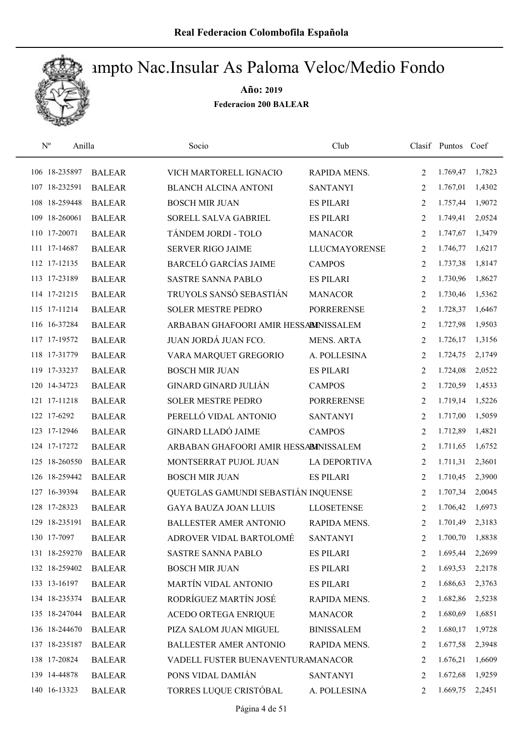

| $\mathbf{N}^{\text{o}}$ | Anilla        | Socio                                 | Club                 |                | Clasif Puntos Coef |        |
|-------------------------|---------------|---------------------------------------|----------------------|----------------|--------------------|--------|
| 106 18-235897           | <b>BALEAR</b> | VICH MARTORELL IGNACIO                | RAPIDA MENS.         | 2              | 1.769,47           | 1,7823 |
| 107 18-232591           | <b>BALEAR</b> | <b>BLANCH ALCINA ANTONI</b>           | <b>SANTANYI</b>      | $\overline{2}$ | 1.767,01           | 1,4302 |
| 108 18-259448           | <b>BALEAR</b> | <b>BOSCH MIR JUAN</b>                 | <b>ES PILARI</b>     | 2              | 1.757,44           | 1,9072 |
| 18-260061<br>109        | <b>BALEAR</b> | SORELL SALVA GABRIEL                  | <b>ES PILARI</b>     | 2              | 1.749,41           | 2,0524 |
| 110 17-20071            | <b>BALEAR</b> | TÁNDEM JORDI - TOLO                   | <b>MANACOR</b>       | 2              | 1.747,67           | 1,3479 |
| 111 17-14687            | <b>BALEAR</b> | <b>SERVER RIGO JAIME</b>              | <b>LLUCMAYORENSE</b> | 2              | 1.746,77           | 1,6217 |
| 112 17-12135            | <b>BALEAR</b> | <b>BARCELÓ GARCÍAS JAIME</b>          | <b>CAMPOS</b>        | 2              | 1.737,38           | 1,8147 |
| 113 17-23189            | <b>BALEAR</b> | <b>SASTRE SANNA PABLO</b>             | <b>ES PILARI</b>     | 2              | 1.730,96           | 1,8627 |
| 114 17-21215            | <b>BALEAR</b> | TRUYOLS SANSÓ SEBASTIÁN               | <b>MANACOR</b>       | 2              | 1.730,46           | 1,5362 |
| 115 17-11214            | <b>BALEAR</b> | <b>SOLER MESTRE PEDRO</b>             | <b>PORRERENSE</b>    | 2              | 1.728,37           | 1,6467 |
| 116 16-37284            | <b>BALEAR</b> | ARBABAN GHAFOORI AMIR HESSABINISSALEM |                      | 2              | 1.727,98           | 1,9503 |
| 117 17-19572            | <b>BALEAR</b> | JUAN JORDÁ JUAN FCO.                  | <b>MENS. ARTA</b>    | 2              | 1.726,17           | 1,3156 |
| 118 17-31779            | <b>BALEAR</b> | VARA MARQUET GREGORIO                 | A. POLLESINA         | 2              | 1.724,75           | 2,1749 |
| 119 17-33237            | <b>BALEAR</b> | <b>BOSCH MIR JUAN</b>                 | <b>ES PILARI</b>     | 2              | 1.724,08           | 2,0522 |
| 120 14-34723            | <b>BALEAR</b> | <b>GINARD GINARD JULIÁN</b>           | <b>CAMPOS</b>        | $\overline{2}$ | 1.720,59           | 1,4533 |
| 121 17-11218            | <b>BALEAR</b> | <b>SOLER MESTRE PEDRO</b>             | <b>PORRERENSE</b>    | 2              | 1.719,14           | 1,5226 |
| 122 17-6292             | <b>BALEAR</b> | PERELLÓ VIDAL ANTONIO                 | <b>SANTANYI</b>      | 2              | 1.717,00           | 1,5059 |
| 123 17-12946            | <b>BALEAR</b> | <b>GINARD LLADÓ JAIME</b>             | <b>CAMPOS</b>        | 2              | 1.712,89           | 1,4821 |
| 124 17-17272            | <b>BALEAR</b> | ARBABAN GHAFOORI AMIR HESSABINISSALEM |                      | 2              | 1.711,65           | 1,6752 |
| 125 18-260550           | <b>BALEAR</b> | MONTSERRAT PUJOL JUAN                 | <b>LA DEPORTIVA</b>  | 2              | 1.711,31           | 2,3601 |
| 126 18-259442           | <b>BALEAR</b> | <b>BOSCH MIR JUAN</b>                 | <b>ES PILARI</b>     | 2              | 1.710,45           | 2,3900 |
| 127 16-39394            | <b>BALEAR</b> | QUETGLAS GAMUNDI SEBASTIÁN INQUENSE   |                      | 2              | 1.707,34           | 2,0045 |
| 128 17-28323            | <b>BALEAR</b> | <b>GAYA BAUZA JOAN LLUIS</b>          | <b>LLOSETENSE</b>    | 2              | 1.706,42           | 1,6973 |
| 129 18-235191           | <b>BALEAR</b> | <b>BALLESTER AMER ANTONIO</b>         | RAPIDA MENS.         | $\overline{2}$ | 1.701,49           | 2,3183 |
| 130 17-7097             | <b>BALEAR</b> | ADROVER VIDAL BARTOLOMÉ               | <b>SANTANYI</b>      | 2              | 1.700,70           | 1,8838 |
| 131 18-259270           | <b>BALEAR</b> | <b>SASTRE SANNA PABLO</b>             | <b>ES PILARI</b>     | 2              | 1.695,44           | 2,2699 |
| 132 18-259402           | <b>BALEAR</b> | <b>BOSCH MIR JUAN</b>                 | <b>ES PILARI</b>     | 2              | 1.693,53           | 2,2178 |
| 133 13-16197            | <b>BALEAR</b> | MARTÍN VIDAL ANTONIO                  | <b>ES PILARI</b>     | 2              | 1.686,63           | 2,3763 |
| 134 18-235374           | <b>BALEAR</b> | RODRÍGUEZ MARTÍN JOSÉ                 | RAPIDA MENS.         | 2              | 1.682,86           | 2,5238 |
| 135 18-247044           | <b>BALEAR</b> | <b>ACEDO ORTEGA ENRIQUE</b>           | <b>MANACOR</b>       | 2              | 1.680,69           | 1,6851 |
| 136 18-244670           | <b>BALEAR</b> | PIZA SALOM JUAN MIGUEL                | <b>BINISSALEM</b>    | $\overline{2}$ | 1.680,17           | 1,9728 |
| 137 18-235187           | <b>BALEAR</b> | <b>BALLESTER AMER ANTONIO</b>         | RAPIDA MENS.         | 2              | 1.677,58           | 2,3948 |
| 138 17-20824            | <b>BALEAR</b> | VADELL FUSTER BUENAVENTURAMANACOR     |                      | 2              | 1.676,21           | 1,6609 |
| 139 14-44878            | <b>BALEAR</b> | PONS VIDAL DAMIÁN                     | <b>SANTANYI</b>      | 2              | 1.672,68           | 1,9259 |
| 140 16-13323            | <b>BALEAR</b> | TORRES LUQUE CRISTÓBAL                | A. POLLESINA         | 2              | 1.669,75           | 2,2451 |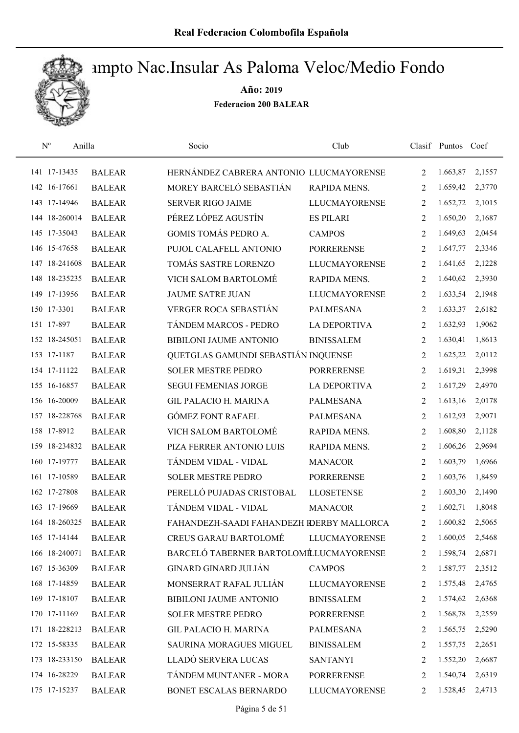

| $\mathbf{N}^{\text{o}}$<br>Anilla |               | Socio                                     | Club                 |                | Clasif Puntos Coef |        |
|-----------------------------------|---------------|-------------------------------------------|----------------------|----------------|--------------------|--------|
| 141 17-13435                      | <b>BALEAR</b> | HERNÁNDEZ CABRERA ANTONIO LLUCMAYORENSE   |                      | 2              | 1.663,87           | 2,1557 |
| 142 16-17661                      | <b>BALEAR</b> | MOREY BARCELÓ SEBASTIÁN                   | RAPIDA MENS.         | $\overline{2}$ | 1.659,42           | 2,3770 |
| 143 17-14946                      | <b>BALEAR</b> | <b>SERVER RIGO JAIME</b>                  | <b>LLUCMAYORENSE</b> | 2              | 1.652,72           | 2,1015 |
| 144 18-260014                     | <b>BALEAR</b> | PÉREZ LÓPEZ AGUSTÍN                       | <b>ES PILARI</b>     | 2              | 1.650,20           | 2,1687 |
| 145 17-35043                      | <b>BALEAR</b> | GOMIS TOMÁS PEDRO A.                      | <b>CAMPOS</b>        | 2              | 1.649,63           | 2,0454 |
| 146 15-47658                      | <b>BALEAR</b> | PUJOL CALAFELL ANTONIO                    | <b>PORRERENSE</b>    | 2              | 1.647,77           | 2,3346 |
| 147 18-241608                     | <b>BALEAR</b> | TOMÁS SASTRE LORENZO                      | <b>LLUCMAYORENSE</b> | 2              | 1.641,65           | 2,1228 |
| 148 18-235235                     | <b>BALEAR</b> | VICH SALOM BARTOLOMÉ                      | RAPIDA MENS.         | 2              | 1.640,62           | 2,3930 |
| 149 17-13956                      | <b>BALEAR</b> | <b>JAUME SATRE JUAN</b>                   | <b>LLUCMAYORENSE</b> | 2              | 1.633,54           | 2,1948 |
| 150 17-3301                       | <b>BALEAR</b> | VERGER ROCA SEBASTIÁN                     | <b>PALMESANA</b>     | 2              | 1.633,37           | 2,6182 |
| 151 17-897                        | <b>BALEAR</b> | TÁNDEM MARCOS - PEDRO                     | <b>LA DEPORTIVA</b>  | 2              | 1.632,93           | 1,9062 |
| 152 18-245051                     | <b>BALEAR</b> | <b>BIBILONI JAUME ANTONIO</b>             | <b>BINISSALEM</b>    | 2              | 1.630,41           | 1,8613 |
| 153 17-1187                       | <b>BALEAR</b> | QUETGLAS GAMUNDI SEBASTIÁN INQUENSE       |                      | 2              | 1.625,22           | 2,0112 |
| 154 17-11122                      | <b>BALEAR</b> | <b>SOLER MESTRE PEDRO</b>                 | <b>PORRERENSE</b>    | 2              | 1.619,31           | 2,3998 |
| 155 16-16857                      | <b>BALEAR</b> | <b>SEGUI FEMENIAS JORGE</b>               | <b>LA DEPORTIVA</b>  | $\overline{2}$ | 1.617,29           | 2,4970 |
| 156 16-20009                      | <b>BALEAR</b> | <b>GIL PALACIO H. MARINA</b>              | <b>PALMESANA</b>     | 2              | 1.613,16           | 2,0178 |
| 157 18-228768                     | <b>BALEAR</b> | <b>GÓMEZ FONT RAFAEL</b>                  | <b>PALMESANA</b>     | 2              | 1.612,93           | 2,9071 |
| 158 17-8912                       | <b>BALEAR</b> | VICH SALOM BARTOLOMÉ                      | RAPIDA MENS.         | 2              | 1.608,80           | 2,1128 |
| 159 18-234832                     | <b>BALEAR</b> | PIZA FERRER ANTONIO LUIS                  | RAPIDA MENS.         | 2              | 1.606,26           | 2,9694 |
| 160 17-19777                      | <b>BALEAR</b> | TÁNDEM VIDAL - VIDAL                      | <b>MANACOR</b>       | 2              | 1.603,79           | 1,6966 |
| 161 17-10589                      | <b>BALEAR</b> | <b>SOLER MESTRE PEDRO</b>                 | <b>PORRERENSE</b>    | 2              | 1.603,76           | 1,8459 |
| 162 17-27808                      | <b>BALEAR</b> | PERELLÓ PUJADAS CRISTOBAL                 | <b>LLOSETENSE</b>    | 2              | 1.603,30           | 2,1490 |
| 163 17-19669                      | <b>BALEAR</b> | TÁNDEM VIDAL - VIDAL                      | <b>MANACOR</b>       | 2              | 1.602,71           | 1,8048 |
| 164 18-260325                     | <b>BALEAR</b> | FAHANDEZH-SAADI FAHANDEZH RDERBY MALLORCA |                      | 2              | 1.600,82           | 2,5065 |
| 165 17-14144                      | <b>BALEAR</b> | <b>CREUS GARAU BARTOLOMÉ</b>              | <b>LLUCMAYORENSE</b> | 2              | 1.600,05           | 2,5468 |
| 166 18-240071                     | <b>BALEAR</b> | BARCELÓ TABERNER BARTOLOMÉLUCMAYORENSE    |                      | 2              | 1.598,74           | 2,6871 |
| 167 15-36309                      | <b>BALEAR</b> | <b>GINARD GINARD JULIÁN</b>               | <b>CAMPOS</b>        | 2              | 1.587,77           | 2,3512 |
| 168 17-14859                      | <b>BALEAR</b> | MONSERRAT RAFAL JULIÁN                    | <b>LLUCMAYORENSE</b> | 2              | 1.575,48           | 2,4765 |
| 169 17-18107                      | <b>BALEAR</b> | <b>BIBILONI JAUME ANTONIO</b>             | <b>BINISSALEM</b>    | 2              | 1.574,62           | 2,6368 |
| 170 17-11169                      | <b>BALEAR</b> | <b>SOLER MESTRE PEDRO</b>                 | <b>PORRERENSE</b>    | 2              | 1.568,78           | 2,2559 |
| 171 18-228213                     | <b>BALEAR</b> | <b>GIL PALACIO H. MARINA</b>              | PALMESANA            | 2              | 1.565,75           | 2,5290 |
| 172 15-58335                      | <b>BALEAR</b> | SAURINA MORAGUES MIGUEL                   | <b>BINISSALEM</b>    | 2              | 1.557,75           | 2,2651 |
| 173 18-233150                     | <b>BALEAR</b> | LLADÓ SERVERA LUCAS                       | <b>SANTANYI</b>      | 2              | 1.552,20           | 2,6687 |
| 174 16-28229                      | <b>BALEAR</b> | TÁNDEM MUNTANER - MORA                    | <b>PORRERENSE</b>    | 2              | 1.540,74           | 2,6319 |
| 175 17-15237                      | <b>BALEAR</b> | BONET ESCALAS BERNARDO                    | <b>LLUCMAYORENSE</b> | 2              | 1.528,45           | 2,4713 |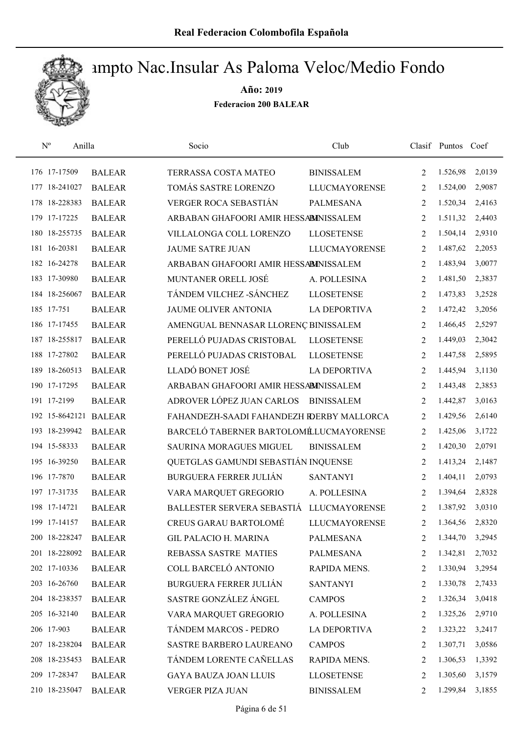

| $N^{o}$<br>Anilla     |               | Socio                                     | Club                 |                | Clasif Puntos Coef |        |
|-----------------------|---------------|-------------------------------------------|----------------------|----------------|--------------------|--------|
| 176 17-17509          | <b>BALEAR</b> | TERRASSA COSTA MATEO                      | <b>BINISSALEM</b>    | 2              | 1.526,98           | 2,0139 |
| 177 18-241027         | <b>BALEAR</b> | TOMÁS SASTRE LORENZO                      | <b>LLUCMAYORENSE</b> | 2              | 1.524,00           | 2,9087 |
| 178 18-228383         | <b>BALEAR</b> | VERGER ROCA SEBASTIÁN                     | <b>PALMESANA</b>     | 2              | 1.520,34           | 2,4163 |
| 179 17-17225          | <b>BALEAR</b> | ARBABAN GHAFOORI AMIR HESSABINISSALEM     |                      | 2              | 1.511,32           | 2,4403 |
| 180 18-255735         | <b>BALEAR</b> | VILLALONGA COLL LORENZO                   | <b>LLOSETENSE</b>    | 2              | 1.504,14           | 2,9310 |
| 181 16-20381          | <b>BALEAR</b> | <b>JAUME SATRE JUAN</b>                   | <b>LLUCMAYORENSE</b> | 2              | 1.487,62           | 2,2053 |
| 182 16-24278          | <b>BALEAR</b> | ARBABAN GHAFOORI AMIR HESSABINISSALEM     |                      | 2              | 1.483,94           | 3,0077 |
| 183 17-30980          | <b>BALEAR</b> | MUNTANER ORELL JOSÉ                       | A. POLLESINA         | 2              | 1.481,50           | 2,3837 |
| 184 18-256067         | <b>BALEAR</b> | TÁNDEM VILCHEZ -SÁNCHEZ                   | <b>LLOSETENSE</b>    | 2              | 1.473,83           | 3,2528 |
| 185 17-751            | <b>BALEAR</b> | <b>JAUME OLIVER ANTONIA</b>               | <b>LA DEPORTIVA</b>  | 2              | 1.472,42           | 3,2056 |
| 186 17-17455          | <b>BALEAR</b> | AMENGUAL BENNASAR LLORENÇ BINISSALEM      |                      | 2              | 1.466,45           | 2,5297 |
| 187 18-255817         | <b>BALEAR</b> | PERELLÓ PUJADAS CRISTOBAL                 | <b>LLOSETENSE</b>    | 2              | 1.449,03           | 2,3042 |
| 188 17-27802          | <b>BALEAR</b> | PERELLÓ PUJADAS CRISTOBAL                 | <b>LLOSETENSE</b>    | 2              | 1.447,58           | 2,5895 |
| 189 18-260513         | <b>BALEAR</b> | LLADÓ BONET JOSÉ                          | <b>LA DEPORTIVA</b>  | 2              | 1.445,94           | 3,1130 |
| 190 17-17295          | <b>BALEAR</b> | ARBABAN GHAFOORI AMIR HESSABINISSALEM     |                      | $\overline{2}$ | 1.443,48           | 2,3853 |
| 191 17-2199           | <b>BALEAR</b> | ADROVER LÓPEZ JUAN CARLOS                 | <b>BINISSALEM</b>    | 2              | 1.442,87           | 3,0163 |
| 192 15-8642121 BALEAR |               | FAHANDEZH-SAADI FAHANDEZH IDERBY MALLORCA |                      | 2              | 1.429,56           | 2,6140 |
| 193 18-239942         | <b>BALEAR</b> | BARCELÓ TABERNER BARTOLOMÉLUCMAYORENSE    |                      | 2              | 1.425,06           | 3,1722 |
| 194 15-58333          | <b>BALEAR</b> | SAURINA MORAGUES MIGUEL                   | <b>BINISSALEM</b>    | 2              | 1.420,30           | 2,0791 |
| 195 16-39250          | <b>BALEAR</b> | QUETGLAS GAMUNDI SEBASTIÁN INQUENSE       |                      | 2              | 1.413,24           | 2,1487 |
| 196 17-7870           | <b>BALEAR</b> | <b>BURGUERA FERRER JULIÁN</b>             | <b>SANTANYI</b>      | 2              | 1.404,11           | 2,0793 |
| 197 17-31735          | <b>BALEAR</b> | VARA MARQUET GREGORIO                     | A. POLLESINA         | 2              | 1.394,64           | 2,8328 |
| 198 17-14721          | <b>BALEAR</b> | BALLESTER SERVERA SEBASTIÁ                | <b>LLUCMAYORENSE</b> | 2              | 1.387,92           | 3,0310 |
| 199 17-14157          | <b>BALEAR</b> | <b>CREUS GARAU BARTOLOMÉ</b>              | <b>LLUCMAYORENSE</b> | $\overline{2}$ | 1.364,56           | 2,8320 |
| 200 18-228247         | <b>BALEAR</b> | <b>GIL PALACIO H. MARINA</b>              | <b>PALMESANA</b>     | 2              | 1.344,70           | 3,2945 |
| 201 18-228092         | <b>BALEAR</b> | REBASSA SASTRE MATIES                     | PALMESANA            | 2              | 1.342,81           | 2,7032 |
| 202 17-10336          | <b>BALEAR</b> | COLL BARCELÓ ANTONIO                      | RAPIDA MENS.         | 2              | 1.330,94           | 3,2954 |
| 203 16-26760          | <b>BALEAR</b> | <b>BURGUERA FERRER JULIÁN</b>             | <b>SANTANYI</b>      | 2              | 1.330,78           | 2,7433 |
| 204 18-238357         | <b>BALEAR</b> | SASTRE GONZÁLEZ ÁNGEL                     | <b>CAMPOS</b>        | 2              | 1.326,34           | 3,0418 |
| 205 16-32140          | <b>BALEAR</b> | VARA MARQUET GREGORIO                     | A. POLLESINA         | 2              | 1.325,26           | 2,9710 |
| 206 17-903            | <b>BALEAR</b> | TÁNDEM MARCOS - PEDRO                     | <b>LA DEPORTIVA</b>  | 2              | 1.323,22           | 3,2417 |
| 207 18-238204         | <b>BALEAR</b> | SASTRE BARBERO LAUREANO                   | <b>CAMPOS</b>        | 2              | 1.307,71           | 3,0586 |
| 208 18-235453         | <b>BALEAR</b> | TÁNDEM LORENTE CAÑELLAS                   | RAPIDA MENS.         | 2              | 1.306,53           | 1,3392 |
| 209 17-28347          | <b>BALEAR</b> | <b>GAYA BAUZA JOAN LLUIS</b>              | <b>LLOSETENSE</b>    | 2              | 1.305,60           | 3,1579 |
| 210 18-235047         | <b>BALEAR</b> | VERGER PIZA JUAN                          | <b>BINISSALEM</b>    | 2              | 1.299,84           | 3,1855 |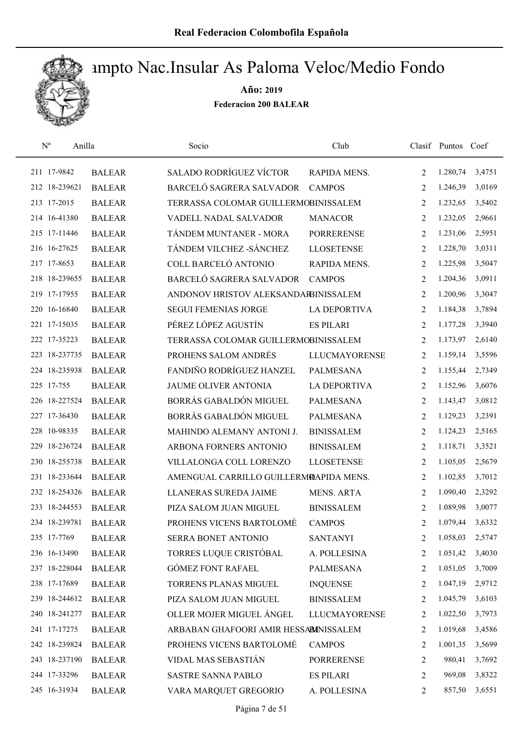

| $\mathrm{N}^{\mathrm{o}}$<br>Anilla |               | Socio                                  | Club                 |   | Clasif Puntos Coef |        |
|-------------------------------------|---------------|----------------------------------------|----------------------|---|--------------------|--------|
| 211 17-9842                         | <b>BALEAR</b> | <b>SALADO RODRÍGUEZ VÍCTOR</b>         | RAPIDA MENS.         | 2 | 1.280,74           | 3,4751 |
| 212 18-239621                       | <b>BALEAR</b> | BARCELÓ SAGRERA SALVADOR               | <b>CAMPOS</b>        | 2 | 1.246,39           | 3,0169 |
| 213 17-2015                         | <b>BALEAR</b> | TERRASSA COLOMAR GUILLERMOBINISSALEM   |                      | 2 | 1.232,65           | 3,5402 |
| 214 16-41380                        | <b>BALEAR</b> | VADELL NADAL SALVADOR                  | <b>MANACOR</b>       | 2 | 1.232,05           | 2,9661 |
| 215 17-11446                        | <b>BALEAR</b> | TÁNDEM MUNTANER - MORA                 | <b>PORRERENSE</b>    | 2 | 1.231,06           | 2,5951 |
| 216 16-27625                        | <b>BALEAR</b> | TÁNDEM VILCHEZ -SÁNCHEZ                | <b>LLOSETENSE</b>    | 2 | 1.228,70           | 3,0311 |
| 217 17-8653                         | <b>BALEAR</b> | COLL BARCELÓ ANTONIO                   | RAPIDA MENS.         | 2 | 1.225,98           | 3,5047 |
| 218 18-239655                       | <b>BALEAR</b> | BARCELÓ SAGRERA SALVADOR               | <b>CAMPOS</b>        | 2 | 1.204,36           | 3,0911 |
| 219 17-17955                        | <b>BALEAR</b> | ANDONOV HRISTOV ALEKSANDARBINISSALEM   |                      | 2 | 1.200,96           | 3,3047 |
| 220 16-16840                        | <b>BALEAR</b> | <b>SEGUI FEMENIAS JORGE</b>            | <b>LA DEPORTIVA</b>  | 2 | 1.184,38           | 3,7894 |
| 221 17-15035                        | <b>BALEAR</b> | PÉREZ LÓPEZ AGUSTÍN                    | <b>ES PILARI</b>     | 2 | 1.177,28           | 3,3940 |
| 222 17-35223                        | <b>BALEAR</b> | TERRASSA COLOMAR GUILLERMOBINISSALEM   |                      | 2 | 1.173,97           | 2,6140 |
| 223 18-237735                       | <b>BALEAR</b> | PROHENS SALOM ANDRÉS                   | <b>LLUCMAYORENSE</b> | 2 | 1.159,14           | 3,5596 |
| 224 18-235938                       | <b>BALEAR</b> | FANDIÑO RODRÍGUEZ HANZEL               | <b>PALMESANA</b>     | 2 | 1.155,44           | 2,7349 |
| 225 17-755                          | <b>BALEAR</b> | <b>JAUME OLIVER ANTONIA</b>            | <b>LA DEPORTIVA</b>  | 2 | 1.152,96           | 3,6076 |
| 226 18-227524                       | <b>BALEAR</b> | BORRÁS GABALDÓN MIGUEL                 | <b>PALMESANA</b>     | 2 | 1.143,47           | 3,0812 |
| 227 17-36430                        | <b>BALEAR</b> | BORRÁS GABALDÓN MIGUEL                 | <b>PALMESANA</b>     | 2 | 1.129,23           | 3,2391 |
| 228 10-98335                        | <b>BALEAR</b> | MAHINDO ALEMANY ANTONI J.              | <b>BINISSALEM</b>    | 2 | 1.124,23           | 2,5165 |
| 18-236724<br>229                    | <b>BALEAR</b> | ARBONA FORNERS ANTONIO                 | <b>BINISSALEM</b>    | 2 | 1.118,71           | 3,3521 |
| 230 18-255738                       | <b>BALEAR</b> | VILLALONGA COLL LORENZO                | <b>LLOSETENSE</b>    | 2 | 1.105,05           | 2,5679 |
| 231 18-233644                       | <b>BALEAR</b> | AMENGUAL CARRILLO GUILLERMRAPIDA MENS. |                      | 2 | 1.102,85           | 3,7012 |
| 232 18-254326                       | <b>BALEAR</b> | <b>LLANERAS SUREDA JAIME</b>           | <b>MENS. ARTA</b>    | 2 | 1.090,40           | 2,3292 |
| 233 18-244553                       | <b>BALEAR</b> | PIZA SALOM JUAN MIGUEL                 | <b>BINISSALEM</b>    | 2 | 1.089,98           | 3,0077 |
| 234 18-239781                       | <b>BALEAR</b> | PROHENS VICENS BARTOLOMÉ               | <b>CAMPOS</b>        | 2 | 1.079,44           | 3,6332 |
| 235 17-7769                         | <b>BALEAR</b> | SERRA BONET ANTONIO                    | <b>SANTANYI</b>      | 2 | 1.058,03           | 2,5747 |
| 236 16-13490                        | <b>BALEAR</b> | TORRES LUQUE CRISTÓBAL                 | A. POLLESINA         | 2 | 1.051,42           | 3,4030 |
| 237 18-228044                       | <b>BALEAR</b> | <b>GÓMEZ FONT RAFAEL</b>               | PALMESANA            | 2 | 1.051,05           | 3,7009 |
| 238 17-17689                        | <b>BALEAR</b> | TORRENS PLANAS MIGUEL                  | <b>INQUENSE</b>      | 2 | 1.047,19           | 2,9712 |
| 239 18-244612                       | <b>BALEAR</b> | PIZA SALOM JUAN MIGUEL                 | <b>BINISSALEM</b>    | 2 | 1.045,79           | 3,6103 |
| 240 18-241277                       | <b>BALEAR</b> | OLLER MOJER MIGUEL ÁNGEL               | <b>LLUCMAYORENSE</b> | 2 | 1.022,50           | 3,7973 |
| 241 17-17275                        | <b>BALEAR</b> | ARBABAN GHAFOORI AMIR HESSABINISSALEM  |                      | 2 | 1.019,68           | 3,4586 |
| 242 18-239824                       | <b>BALEAR</b> | PROHENS VICENS BARTOLOMÉ               | <b>CAMPOS</b>        | 2 | 1.001,35           | 3,5699 |
| 243 18-237190                       | <b>BALEAR</b> | VIDAL MAS SEBASTIÁN                    | <b>PORRERENSE</b>    | 2 | 980,41             | 3,7692 |
| 244 17-33296                        | <b>BALEAR</b> | <b>SASTRE SANNA PABLO</b>              | <b>ES PILARI</b>     | 2 | 969,08             | 3,8322 |
| 245 16-31934                        | <b>BALEAR</b> | VARA MARQUET GREGORIO                  | A. POLLESINA         | 2 | 857,50             | 3,6551 |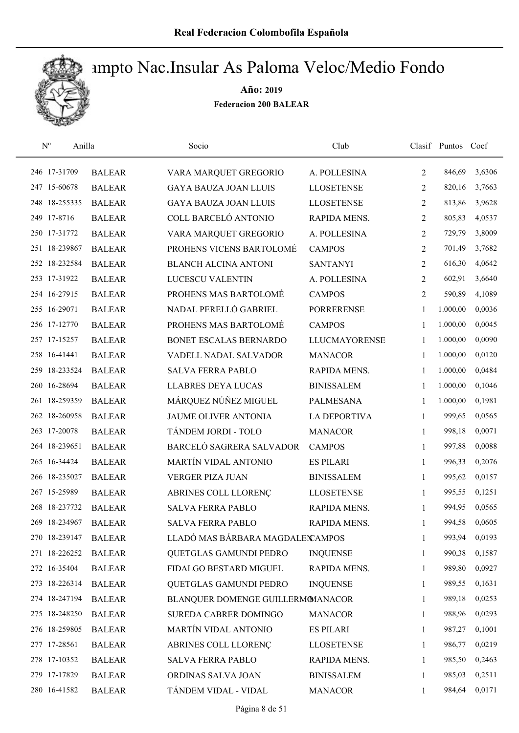

| $\mathrm{N}^{\rm o}$<br>Anilla |               | Socio                             | Club                 |              | Clasif Puntos | Coef   |
|--------------------------------|---------------|-----------------------------------|----------------------|--------------|---------------|--------|
| 246 17-31709                   | <b>BALEAR</b> | VARA MARQUET GREGORIO             | A. POLLESINA         | 2            | 846,69        | 3,6306 |
| 247 15-60678                   | <b>BALEAR</b> | <b>GAYA BAUZA JOAN LLUIS</b>      | <b>LLOSETENSE</b>    | 2            | 820,16        | 3,7663 |
| 248 18-255335                  | <b>BALEAR</b> | <b>GAYA BAUZA JOAN LLUIS</b>      | <b>LLOSETENSE</b>    | 2            | 813,86        | 3,9628 |
| 249 17-8716                    | <b>BALEAR</b> | COLL BARCELÓ ANTONIO              | RAPIDA MENS.         | 2            | 805,83        | 4,0537 |
| 250 17-31772                   | <b>BALEAR</b> | VARA MARQUET GREGORIO             | A. POLLESINA         | 2            | 729,79        | 3,8009 |
| 251 18-239867                  | <b>BALEAR</b> | PROHENS VICENS BARTOLOMÉ          | <b>CAMPOS</b>        | 2            | 701,49        | 3,7682 |
| 252 18-232584                  | <b>BALEAR</b> | <b>BLANCH ALCINA ANTONI</b>       | <b>SANTANYI</b>      | 2            | 616,30        | 4,0642 |
| 253 17-31922                   | <b>BALEAR</b> | LUCESCU VALENTIN                  | A. POLLESINA         | 2            | 602,91        | 3,6640 |
| 254 16-27915                   | <b>BALEAR</b> | PROHENS MAS BARTOLOMÉ             | <b>CAMPOS</b>        | 2            | 590,89        | 4,1089 |
| 255 16-29071                   | <b>BALEAR</b> | NADAL PERELLÓ GABRIEL             | <b>PORRERENSE</b>    | 1            | 1.000,00      | 0,0036 |
| 256 17-12770                   | <b>BALEAR</b> | PROHENS MAS BARTOLOMÉ             | <b>CAMPOS</b>        | 1            | 1.000,00      | 0,0045 |
| 257 17-15257                   | <b>BALEAR</b> | BONET ESCALAS BERNARDO            | <b>LLUCMAYORENSE</b> | 1            | 1.000,00      | 0,0090 |
| 258 16-41441                   | <b>BALEAR</b> | VADELL NADAL SALVADOR             | <b>MANACOR</b>       | 1            | 1.000,00      | 0,0120 |
| 259 18-233524                  | <b>BALEAR</b> | <b>SALVA FERRA PABLO</b>          | RAPIDA MENS.         | $\mathbf{1}$ | 1.000,00      | 0,0484 |
| 260 16-28694                   | <b>BALEAR</b> | <b>LLABRES DEYA LUCAS</b>         | <b>BINISSALEM</b>    | 1            | 1.000,00      | 0,1046 |
| 261 18-259359                  | <b>BALEAR</b> | MÁRQUEZ NÚÑEZ MIGUEL              | <b>PALMESANA</b>     | $\mathbf{1}$ | 1.000,00      | 0,1981 |
| 262 18-260958                  | <b>BALEAR</b> | <b>JAUME OLIVER ANTONIA</b>       | <b>LA DEPORTIVA</b>  | 1            | 999,65        | 0,0565 |
| 263 17-20078                   | <b>BALEAR</b> | TÁNDEM JORDI - TOLO               | <b>MANACOR</b>       | $\mathbf{1}$ | 998,18        | 0,0071 |
| 264 18-239651                  | <b>BALEAR</b> | BARCELÓ SAGRERA SALVADOR          | <b>CAMPOS</b>        | $\mathbf{1}$ | 997,88        | 0,0088 |
| 265 16-34424                   | <b>BALEAR</b> | MARTÍN VIDAL ANTONIO              | <b>ES PILARI</b>     | $\mathbf{1}$ | 996,33        | 0,2076 |
| 266 18-235027                  | <b>BALEAR</b> | VERGER PIZA JUAN                  | <b>BINISSALEM</b>    | 1            | 995,62        | 0,0157 |
| 267 15-25989                   | <b>BALEAR</b> | ABRINES COLL LLORENÇ              | <b>LLOSETENSE</b>    | 1            | 995,55        | 0,1251 |
| 268 18-237732                  | <b>BALEAR</b> | <b>SALVA FERRA PABLO</b>          | RAPIDA MENS.         | $\mathbf{1}$ | 994,95        | 0,0565 |
| 269 18-234967                  | <b>BALEAR</b> | <b>SALVA FERRA PABLO</b>          | RAPIDA MENS.         | 1            | 994,58        | 0,0605 |
| 270 18-239147                  | <b>BALEAR</b> | LLADÓ MAS BÁRBARA MAGDALEN AMPOS  |                      | 1            | 993,94        | 0,0193 |
| 271 18-226252                  | <b>BALEAR</b> | QUETGLAS GAMUNDI PEDRO            | <b>INQUENSE</b>      | 1            | 990,38        | 0,1587 |
| 272 16-35404                   | <b>BALEAR</b> | FIDALGO BESTARD MIGUEL            | RAPIDA MENS.         | 1            | 989,80        | 0,0927 |
| 273 18-226314                  | <b>BALEAR</b> | QUETGLAS GAMUNDI PEDRO            | <b>INQUENSE</b>      | 1            | 989,55        | 0,1631 |
| 274 18-247194                  | <b>BALEAR</b> | BLANQUER DOMENGE GUILLERMOMANACOR |                      | 1            | 989,18        | 0,0253 |
| 275 18-248250                  | <b>BALEAR</b> | SUREDA CABRER DOMINGO             | <b>MANACOR</b>       | 1            | 988,96        | 0,0293 |
| 276 18-259805                  | <b>BALEAR</b> | MARTÍN VIDAL ANTONIO              | <b>ES PILARI</b>     | 1            | 987,27        | 0,1001 |
| 277 17-28561                   | <b>BALEAR</b> | ABRINES COLL LLORENÇ              | <b>LLOSETENSE</b>    | 1            | 986,77        | 0,0219 |
| 278 17-10352                   | <b>BALEAR</b> | <b>SALVA FERRA PABLO</b>          | RAPIDA MENS.         | 1            | 985,50        | 0,2463 |
| 279 17-17829                   | <b>BALEAR</b> | ORDINAS SALVA JOAN                | <b>BINISSALEM</b>    | 1            | 985,03        | 0,2511 |
| 280 16-41582                   | <b>BALEAR</b> | TÁNDEM VIDAL - VIDAL              | <b>MANACOR</b>       | 1            | 984,64        | 0,0171 |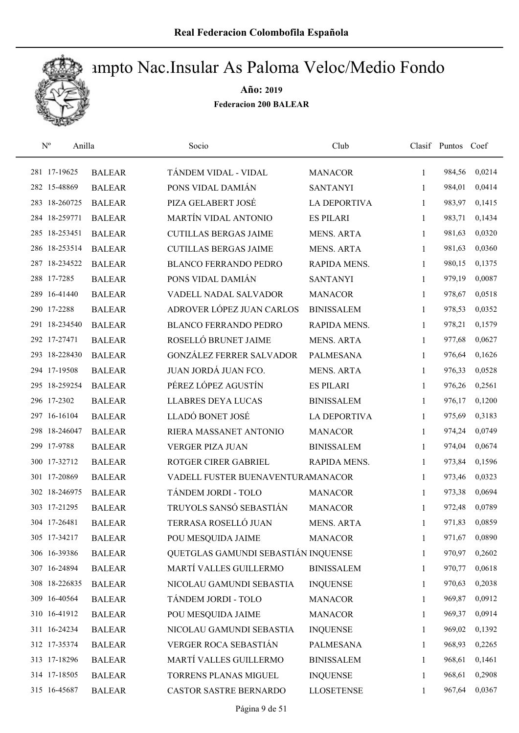

| $\mathrm{N}^{\rm o}$ | Anilla        | Socio                               | Club                |              | Clasif Puntos Coef |        |
|----------------------|---------------|-------------------------------------|---------------------|--------------|--------------------|--------|
| 281 17-19625         | <b>BALEAR</b> | TÁNDEM VIDAL - VIDAL                | <b>MANACOR</b>      | 1            | 984,56             | 0,0214 |
| 282 15-48869         | <b>BALEAR</b> | PONS VIDAL DAMIÁN                   | <b>SANTANYI</b>     | 1            | 984,01             | 0,0414 |
| 283 18-260725        | <b>BALEAR</b> | PIZA GELABERT JOSÉ                  | <b>LA DEPORTIVA</b> | $\mathbf{1}$ | 983,97             | 0,1415 |
| 284 18-259771        | <b>BALEAR</b> | MARTÍN VIDAL ANTONIO                | <b>ES PILARI</b>    | 1            | 983,71             | 0,1434 |
| 285 18-253451        | <b>BALEAR</b> | <b>CUTILLAS BERGAS JAIME</b>        | <b>MENS. ARTA</b>   | $\mathbf{1}$ | 981,63             | 0,0320 |
| 286 18-253514        | <b>BALEAR</b> | <b>CUTILLAS BERGAS JAIME</b>        | <b>MENS. ARTA</b>   | 1            | 981,63             | 0,0360 |
| 287 18-234522        | <b>BALEAR</b> | <b>BLANCO FERRANDO PEDRO</b>        | RAPIDA MENS.        | $\mathbf{1}$ | 980,15             | 0,1375 |
| 288 17-7285          | <b>BALEAR</b> | PONS VIDAL DAMIÁN                   | <b>SANTANYI</b>     | 1            | 979,19             | 0,0087 |
| 289 16-41440         | <b>BALEAR</b> | VADELL NADAL SALVADOR               | <b>MANACOR</b>      | 1            | 978,67             | 0,0518 |
| 290 17-2288          | <b>BALEAR</b> | ADROVER LÓPEZ JUAN CARLOS           | <b>BINISSALEM</b>   | 1            | 978,53             | 0,0352 |
| 291 18-234540        | <b>BALEAR</b> | <b>BLANCO FERRANDO PEDRO</b>        | RAPIDA MENS.        | 1            | 978,21             | 0,1579 |
| 292 17-27471         | <b>BALEAR</b> | ROSELLÓ BRUNET JAIME                | <b>MENS. ARTA</b>   | 1            | 977,68             | 0,0627 |
| 293 18-228430        | <b>BALEAR</b> | <b>GONZÁLEZ FERRER SALVADOR</b>     | <b>PALMESANA</b>    | 1            | 976,64             | 0,1626 |
| 294 17-19508         | <b>BALEAR</b> | JUAN JORDÁ JUAN FCO.                | <b>MENS. ARTA</b>   | 1            | 976,33             | 0,0528 |
| 295 18-259254        | <b>BALEAR</b> | PÉREZ LÓPEZ AGUSTÍN                 | <b>ES PILARI</b>    | 1            | 976,26             | 0,2561 |
| 296 17-2302          | <b>BALEAR</b> | <b>LLABRES DEYA LUCAS</b>           | <b>BINISSALEM</b>   | 1            | 976,17             | 0,1200 |
| 297 16-16104         | <b>BALEAR</b> | LLADÓ BONET JOSÉ                    | <b>LA DEPORTIVA</b> | 1            | 975,69             | 0,3183 |
| 298 18-246047        | <b>BALEAR</b> | RIERA MASSANET ANTONIO              | <b>MANACOR</b>      | 1            | 974,24             | 0,0749 |
| 299 17-9788          | <b>BALEAR</b> | <b>VERGER PIZA JUAN</b>             | <b>BINISSALEM</b>   | 1            | 974,04             | 0,0674 |
| 300 17-32712         | <b>BALEAR</b> | ROTGER CIRER GABRIEL                | RAPIDA MENS.        | $\mathbf{1}$ | 973,84             | 0,1596 |
| 301 17-20869         | <b>BALEAR</b> | VADELL FUSTER BUENAVENTURAMANACOR   |                     | $\mathbf{1}$ | 973,46             | 0,0323 |
| 302 18-246975        | <b>BALEAR</b> | TÁNDEM JORDI - TOLO                 | <b>MANACOR</b>      | 1            | 973,38             | 0,0694 |
| 303 17-21295         | <b>BALEAR</b> | TRUYOLS SANSÓ SEBASTIÁN             | <b>MANACOR</b>      | 1            | 972,48             | 0,0789 |
| 304 17-26481         | <b>BALEAR</b> | TERRASA ROSELLÓ JUAN                | <b>MENS. ARTA</b>   | 1            | 971,83             | 0,0859 |
| 305 17-34217         | <b>BALEAR</b> | POU MESQUIDA JAIME                  | <b>MANACOR</b>      | 1            | 971,67             | 0,0890 |
| 306 16-39386         | <b>BALEAR</b> | QUETGLAS GAMUNDI SEBASTIÁN INQUENSE |                     | 1            | 970,97             | 0,2602 |
| 307 16-24894         | <b>BALEAR</b> | MARTÍ VALLES GUILLERMO              | <b>BINISSALEM</b>   | 1            | 970,77             | 0,0618 |
| 308 18-226835        | <b>BALEAR</b> | NICOLAU GAMUNDI SEBASTIA            | <b>INQUENSE</b>     | 1            | 970,63             | 0,2038 |
| 309 16-40564         | <b>BALEAR</b> | TÁNDEM JORDI - TOLO                 | <b>MANACOR</b>      | 1            | 969,87             | 0,0912 |
| 310 16-41912         | <b>BALEAR</b> | POU MESQUIDA JAIME                  | <b>MANACOR</b>      | 1            | 969,37             | 0,0914 |
| 311 16-24234         | <b>BALEAR</b> | NICOLAU GAMUNDI SEBASTIA            | <b>INQUENSE</b>     | 1            | 969,02             | 0,1392 |
| 312 17-35374         | <b>BALEAR</b> | VERGER ROCA SEBASTIÁN               | PALMESANA           | 1            | 968,93             | 0,2265 |
| 313 17-18296         | <b>BALEAR</b> | MARTÍ VALLES GUILLERMO              | <b>BINISSALEM</b>   | 1            | 968,61             | 0,1461 |
| 314 17-18505         | <b>BALEAR</b> | TORRENS PLANAS MIGUEL               | <b>INQUENSE</b>     | 1            | 968,61             | 0,2908 |
| 315 16-45687         | <b>BALEAR</b> | CASTOR SASTRE BERNARDO              | <b>LLOSETENSE</b>   | 1            | 967,64             | 0,0367 |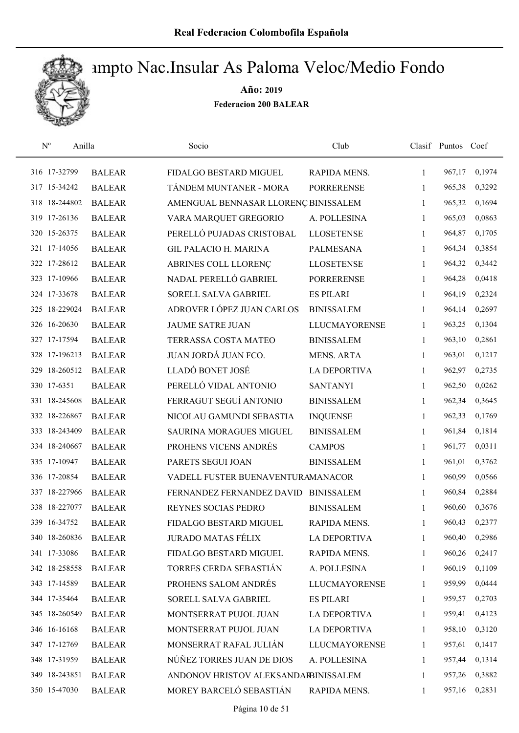

| $\mathbf{N}^{\text{o}}$<br>Anilla |               | Socio                                | Club                 |              | Clasif Puntos Coef |        |
|-----------------------------------|---------------|--------------------------------------|----------------------|--------------|--------------------|--------|
| 316 17-32799                      | <b>BALEAR</b> | FIDALGO BESTARD MIGUEL               | RAPIDA MENS.         | $\mathbf{1}$ | 967,17             | 0,1974 |
| 317 15-34242                      | <b>BALEAR</b> | TÁNDEM MUNTANER - MORA               | <b>PORRERENSE</b>    | 1            | 965,38             | 0,3292 |
| 318 18-244802                     | <b>BALEAR</b> | AMENGUAL BENNASAR LLORENÇ BINISSALEM |                      | 1            | 965,32             | 0,1694 |
| 319 17-26136                      | <b>BALEAR</b> | VARA MARQUET GREGORIO                | A. POLLESINA         | 1            | 965,03             | 0,0863 |
| 320 15-26375                      | <b>BALEAR</b> | PERELLÓ PUJADAS CRISTOBAL            | <b>LLOSETENSE</b>    | $\mathbf{1}$ | 964,87             | 0,1705 |
| 321 17-14056                      | <b>BALEAR</b> | <b>GIL PALACIO H. MARINA</b>         | PALMESANA            | $\mathbf{1}$ | 964,34             | 0,3854 |
| 322 17-28612                      | <b>BALEAR</b> | ABRINES COLL LLORENÇ                 | <b>LLOSETENSE</b>    | 1            | 964,32             | 0,3442 |
| 323 17-10966                      | <b>BALEAR</b> | NADAL PERELLÓ GABRIEL                | <b>PORRERENSE</b>    | 1            | 964,28             | 0,0418 |
| 324 17-33678                      | <b>BALEAR</b> | SORELL SALVA GABRIEL                 | <b>ES PILARI</b>     | 1            | 964,19             | 0,2324 |
| 325 18-229024                     | <b>BALEAR</b> | ADROVER LÓPEZ JUAN CARLOS            | <b>BINISSALEM</b>    | 1            | 964,14             | 0,2697 |
| 326 16-20630                      | <b>BALEAR</b> | <b>JAUME SATRE JUAN</b>              | <b>LLUCMAYORENSE</b> | 1            | 963,25             | 0,1304 |
| 327 17-17594                      | <b>BALEAR</b> | TERRASSA COSTA MATEO                 | <b>BINISSALEM</b>    | 1            | 963,10             | 0,2861 |
| 328 17-196213                     | <b>BALEAR</b> | JUAN JORDÁ JUAN FCO.                 | <b>MENS. ARTA</b>    | 1            | 963,01             | 0,1217 |
| 329 18-260512                     | <b>BALEAR</b> | LLADÓ BONET JOSÉ                     | <b>LA DEPORTIVA</b>  | $\mathbf{1}$ | 962,97             | 0,2735 |
| 330 17-6351                       | <b>BALEAR</b> | PERELLÓ VIDAL ANTONIO                | <b>SANTANYI</b>      | 1            | 962,50             | 0,0262 |
| 331 18-245608                     | <b>BALEAR</b> | FERRAGUT SEGUÍ ANTONIO               | <b>BINISSALEM</b>    | 1            | 962,34             | 0,3645 |
| 332 18-226867                     | <b>BALEAR</b> | NICOLAU GAMUNDI SEBASTIA             | <b>INQUENSE</b>      | 1            | 962,33             | 0,1769 |
| 333 18-243409                     | <b>BALEAR</b> | <b>SAURINA MORAGUES MIGUEL</b>       | <b>BINISSALEM</b>    | $\mathbf{1}$ | 961,84             | 0,1814 |
| 334 18-240667                     | <b>BALEAR</b> | PROHENS VICENS ANDRÉS                | <b>CAMPOS</b>        | $\mathbf{1}$ | 961,77             | 0,0311 |
| 335 17-10947                      | <b>BALEAR</b> | PARETS SEGUI JOAN                    | <b>BINISSALEM</b>    | $\mathbf{1}$ | 961,01             | 0,3762 |
| 336 17-20854                      | <b>BALEAR</b> | VADELL FUSTER BUENAVENTURAMANACOR    |                      | 1            | 960,99             | 0,0566 |
| 337 18-227966                     | <b>BALEAR</b> | FERNANDEZ FERNANDEZ DAVID BINISSALEM |                      | 1            | 960,84             | 0,2884 |
| 338 18-227077                     | <b>BALEAR</b> | REYNES SOCIAS PEDRO                  | <b>BINISSALEM</b>    | 1            | 960,60             | 0,3676 |
| 339 16-34752                      | <b>BALEAR</b> | FIDALGO BESTARD MIGUEL               | RAPIDA MENS.         | 1            | 960,43             | 0,2377 |
| 340 18-260836                     | <b>BALEAR</b> | <b>JURADO MATAS FÉLIX</b>            | <b>LA DEPORTIVA</b>  | 1            | 960,40             | 0,2986 |
| 341 17-33086                      | <b>BALEAR</b> | FIDALGO BESTARD MIGUEL               | RAPIDA MENS.         | 1            | 960,26             | 0,2417 |
| 342 18-258558                     | <b>BALEAR</b> | TORRES CERDA SEBASTIÁN               | A. POLLESINA         | 1            | 960,19             | 0,1109 |
| 343 17-14589                      | <b>BALEAR</b> | PROHENS SALOM ANDRÉS                 | <b>LLUCMAYORENSE</b> | 1            | 959,99             | 0,0444 |
| 344 17-35464                      | <b>BALEAR</b> | SORELL SALVA GABRIEL                 | <b>ES PILARI</b>     | 1            | 959,57             | 0,2703 |
| 345 18-260549                     | <b>BALEAR</b> | MONTSERRAT PUJOL JUAN                | LA DEPORTIVA         | $\mathbf{1}$ | 959,41             | 0,4123 |
| 346 16-16168                      | <b>BALEAR</b> | MONTSERRAT PUJOL JUAN                | LA DEPORTIVA         | $\mathbf{1}$ | 958,10             | 0,3120 |
| 347 17-12769                      | <b>BALEAR</b> | MONSERRAT RAFAL JULIÁN               | <b>LLUCMAYORENSE</b> | 1            | 957,61             | 0,1417 |
| 348 17-31959                      | <b>BALEAR</b> | NÚÑEZ TORRES JUAN DE DIOS            | A. POLLESINA         | 1            | 957,44             | 0,1314 |
| 349 18-243851                     | <b>BALEAR</b> | ANDONOV HRISTOV ALEKSANDARBINISSALEM |                      | 1            | 957,26             | 0,3882 |
| 350 15-47030                      | <b>BALEAR</b> | MOREY BARCELÓ SEBASTIÁN              | RAPIDA MENS.         | 1            | 957,16             | 0,2831 |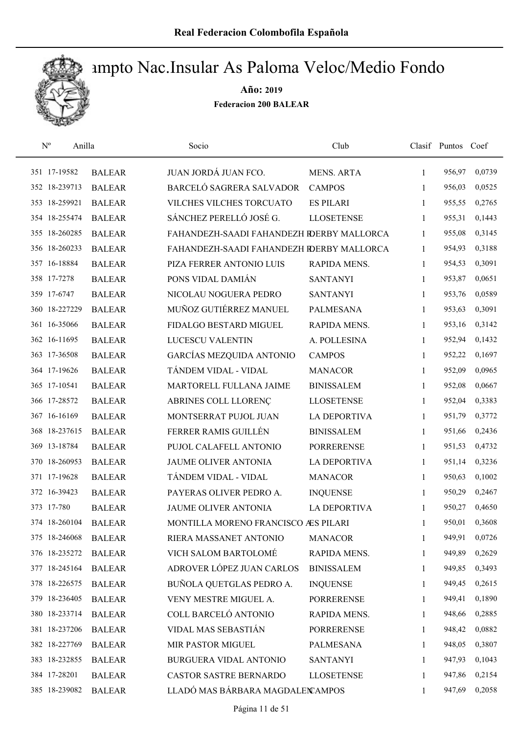

| $\mathrm{N}^{\rm o}$ | Anilla        | Socio                                     | Club                |              | Clasif Puntos Coef |        |
|----------------------|---------------|-------------------------------------------|---------------------|--------------|--------------------|--------|
| 351 17-19582         | <b>BALEAR</b> | JUAN JORDÁ JUAN FCO.                      | MENS. ARTA          | $\mathbf{1}$ | 956,97             | 0,0739 |
| 352 18-239713        | <b>BALEAR</b> | BARCELÓ SAGRERA SALVADOR                  | <b>CAMPOS</b>       | 1            | 956,03             | 0,0525 |
| 353 18-259921        | <b>BALEAR</b> | VILCHES VILCHES TORCUATO                  | <b>ES PILARI</b>    | $\mathbf{1}$ | 955,55             | 0,2765 |
| 354 18-255474        | <b>BALEAR</b> | SÁNCHEZ PERELLÓ JOSÉ G.                   | <b>LLOSETENSE</b>   | $\mathbf{1}$ | 955,31             | 0,1443 |
| 355 18-260285        | <b>BALEAR</b> | FAHANDEZH-SAADI FAHANDEZH RDERBY MALLORCA |                     | $\mathbf{1}$ | 955,08             | 0,3145 |
| 356 18-260233        | <b>BALEAR</b> | FAHANDEZH-SAADI FAHANDEZH RDERBY MALLORCA |                     | $\mathbf{1}$ | 954,93             | 0,3188 |
| 357 16-18884         | <b>BALEAR</b> | PIZA FERRER ANTONIO LUIS                  | RAPIDA MENS.        | $\mathbf{1}$ | 954,53             | 0,3091 |
| 358 17-7278          | <b>BALEAR</b> | PONS VIDAL DAMIÁN                         | <b>SANTANYI</b>     | 1            | 953,87             | 0,0651 |
| 359 17-6747          | <b>BALEAR</b> | NICOLAU NOGUERA PEDRO                     | <b>SANTANYI</b>     | $\mathbf{1}$ | 953,76             | 0,0589 |
| 360 18-227229        | <b>BALEAR</b> | MUÑOZ GUTIÉRREZ MANUEL                    | <b>PALMESANA</b>    | 1            | 953,63             | 0,3091 |
| 361 16-35066         | <b>BALEAR</b> | FIDALGO BESTARD MIGUEL                    | RAPIDA MENS.        | $\mathbf{1}$ | 953,16             | 0,3142 |
| 362 16-11695         | <b>BALEAR</b> | LUCESCU VALENTIN                          | A. POLLESINA        | 1            | 952,94             | 0,1432 |
| 363 17-36508         | <b>BALEAR</b> | GARCÍAS MEZQUIDA ANTONIO                  | <b>CAMPOS</b>       | $\mathbf{1}$ | 952,22             | 0,1697 |
| 364 17-19626         | <b>BALEAR</b> | TÁNDEM VIDAL - VIDAL                      | <b>MANACOR</b>      | 1            | 952,09             | 0,0965 |
| 365 17-10541         | <b>BALEAR</b> | MARTORELL FULLANA JAIME                   | <b>BINISSALEM</b>   | 1            | 952,08             | 0,0667 |
| 366 17-28572         | <b>BALEAR</b> | ABRINES COLL LLORENÇ                      | <b>LLOSETENSE</b>   | 1            | 952,04             | 0,3383 |
| 367 16-16169         | <b>BALEAR</b> | MONTSERRAT PUJOL JUAN                     | <b>LA DEPORTIVA</b> | $\mathbf{1}$ | 951,79             | 0,3772 |
| 368 18-237615        | <b>BALEAR</b> | FERRER RAMIS GUILLÉN                      | <b>BINISSALEM</b>   | $\mathbf{1}$ | 951,66             | 0,2436 |
| 369 13-18784         | <b>BALEAR</b> | PUJOL CALAFELL ANTONIO                    | <b>PORRERENSE</b>   | $\mathbf{1}$ | 951,53             | 0,4732 |
| 370 18-260953        | <b>BALEAR</b> | JAUME OLIVER ANTONIA                      | <b>LA DEPORTIVA</b> | $\mathbf{1}$ | 951,14             | 0,3236 |
| 371 17-19628         | <b>BALEAR</b> | TÁNDEM VIDAL - VIDAL                      | <b>MANACOR</b>      | 1            | 950,63             | 0,1002 |
| 372 16-39423         | <b>BALEAR</b> | PAYERAS OLIVER PEDRO A.                   | <b>INQUENSE</b>     | 1            | 950,29             | 0,2467 |
| 373 17-780           | <b>BALEAR</b> | JAUME OLIVER ANTONIA                      | <b>LA DEPORTIVA</b> | 1            | 950,27             | 0,4650 |
| 374 18-260104        | <b>BALEAR</b> | MONTILLA MORENO FRANCISCO ÆS PILARI       |                     | 1            | 950,01             | 0,3608 |
| 375 18-246068        | <b>BALEAR</b> | RIERA MASSANET ANTONIO                    | <b>MANACOR</b>      | 1            | 949,91             | 0,0726 |
| 376 18-235272        | <b>BALEAR</b> | VICH SALOM BARTOLOMÉ                      | RAPIDA MENS.        | 1            | 949,89             | 0,2629 |
| 377 18-245164        | <b>BALEAR</b> | ADROVER LÓPEZ JUAN CARLOS                 | <b>BINISSALEM</b>   | 1            | 949,85             | 0,3493 |
| 378 18-226575        | <b>BALEAR</b> | BUÑOLA QUETGLAS PEDRO A.                  | <b>INQUENSE</b>     | 1            | 949,45             | 0,2615 |
| 379 18-236405        | <b>BALEAR</b> | VENY MESTRE MIGUEL A.                     | <b>PORRERENSE</b>   | 1            | 949,41             | 0,1890 |
| 380 18-233714        | <b>BALEAR</b> | COLL BARCELÓ ANTONIO                      | RAPIDA MENS.        | 1            | 948,66             | 0,2885 |
| 381 18-237206        | <b>BALEAR</b> | VIDAL MAS SEBASTIÁN                       | <b>PORRERENSE</b>   | 1            | 948,42             | 0,0882 |
| 382 18-227769        | <b>BALEAR</b> | MIR PASTOR MIGUEL                         | PALMESANA           | 1            | 948,05             | 0,3807 |
| 383 18-232855        | <b>BALEAR</b> | BURGUERA VIDAL ANTONIO                    | <b>SANTANYI</b>     | 1            | 947,93             | 0,1043 |
| 384 17-28201         | <b>BALEAR</b> | CASTOR SASTRE BERNARDO                    | <b>LLOSETENSE</b>   | 1            | 947,86             | 0,2154 |
| 385 18-239082        | <b>BALEAR</b> | LLADÓ MAS BÁRBARA MAGDALEN AMPOS          |                     | 1            | 947,69             | 0,2058 |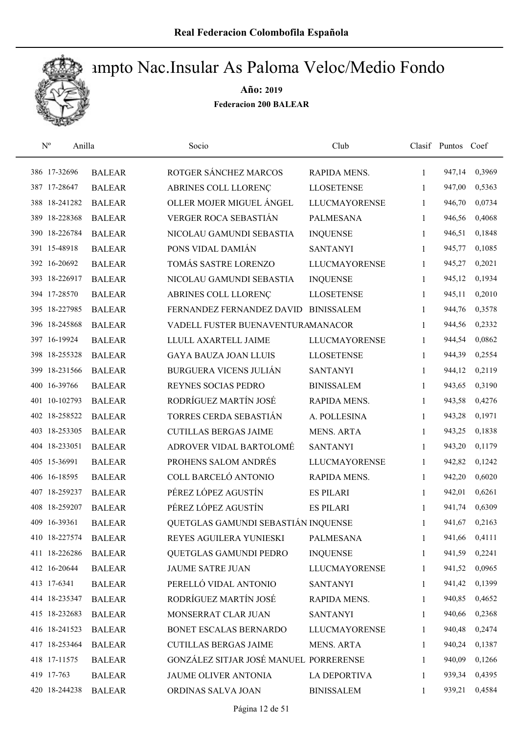

| $\mathbf{N}^{\text{o}}$ | Anilla        | Socio                                  | Club                 |              | Clasif Puntos | Coef   |
|-------------------------|---------------|----------------------------------------|----------------------|--------------|---------------|--------|
| 386 17-32696            | <b>BALEAR</b> | ROTGER SÁNCHEZ MARCOS                  | RAPIDA MENS.         | 1            | 947,14        | 0,3969 |
| 387 17-28647            | <b>BALEAR</b> | ABRINES COLL LLORENÇ                   | <b>LLOSETENSE</b>    | 1            | 947,00        | 0,5363 |
| 388 18-241282           | <b>BALEAR</b> | OLLER MOJER MIGUEL ÁNGEL               | <b>LLUCMAYORENSE</b> | $\mathbf{1}$ | 946,70        | 0,0734 |
| 389 18-228368           | <b>BALEAR</b> | VERGER ROCA SEBASTIÁN                  | <b>PALMESANA</b>     | $\mathbf{1}$ | 946,56        | 0,4068 |
| 390 18-226784           | <b>BALEAR</b> | NICOLAU GAMUNDI SEBASTIA               | <b>INQUENSE</b>      | $\mathbf{1}$ | 946,51        | 0,1848 |
| 391 15-48918            | <b>BALEAR</b> | PONS VIDAL DAMIÁN                      | <b>SANTANYI</b>      | 1            | 945,77        | 0,1085 |
| 392 16-20692            | <b>BALEAR</b> | TOMÁS SASTRE LORENZO                   | <b>LLUCMAYORENSE</b> | $\mathbf{1}$ | 945,27        | 0,2021 |
| 393 18-226917           | <b>BALEAR</b> | NICOLAU GAMUNDI SEBASTIA               | <b>INQUENSE</b>      | $\mathbf{1}$ | 945,12        | 0,1934 |
| 394 17-28570            | <b>BALEAR</b> | ABRINES COLL LLORENÇ                   | <b>LLOSETENSE</b>    | 1            | 945,11        | 0,2010 |
| 395 18-227985           | <b>BALEAR</b> | FERNANDEZ FERNANDEZ DAVID              | <b>BINISSALEM</b>    | 1            | 944,76        | 0,3578 |
| 396 18-245868           | <b>BALEAR</b> | VADELL FUSTER BUENAVENTURAMANACOR      |                      | 1            | 944,56        | 0,2332 |
| 397 16-19924            | <b>BALEAR</b> | LLULL AXARTELL JAIME                   | <b>LLUCMAYORENSE</b> | 1            | 944,54        | 0,0862 |
| 398 18-255328           | <b>BALEAR</b> | <b>GAYA BAUZA JOAN LLUIS</b>           | <b>LLOSETENSE</b>    | 1            | 944,39        | 0,2554 |
| 399 18-231566           | <b>BALEAR</b> | <b>BURGUERA VICENS JULIÁN</b>          | <b>SANTANYI</b>      | $\mathbf{1}$ | 944,12        | 0,2119 |
| 400 16-39766            | <b>BALEAR</b> | REYNES SOCIAS PEDRO                    | <b>BINISSALEM</b>    | 1            | 943,65        | 0,3190 |
| 401 10-102793           | <b>BALEAR</b> | RODRÍGUEZ MARTÍN JOSÉ                  | RAPIDA MENS.         | 1            | 943,58        | 0,4276 |
| 402 18-258522           | <b>BALEAR</b> | TORRES CERDA SEBASTIÁN                 | A. POLLESINA         | 1            | 943,28        | 0,1971 |
| 403 18-253305           | <b>BALEAR</b> | <b>CUTILLAS BERGAS JAIME</b>           | <b>MENS. ARTA</b>    | $\mathbf{1}$ | 943,25        | 0,1838 |
| 404 18-233051           | <b>BALEAR</b> | ADROVER VIDAL BARTOLOMÉ                | <b>SANTANYI</b>      | $\mathbf{1}$ | 943,20        | 0,1179 |
| 405 15-36991            | <b>BALEAR</b> | PROHENS SALOM ANDRÉS                   | <b>LLUCMAYORENSE</b> | 1            | 942,82        | 0,1242 |
| 406 16-18595            | <b>BALEAR</b> | COLL BARCELÓ ANTONIO                   | RAPIDA MENS.         | 1            | 942,20        | 0,6020 |
| 407 18-259237           | <b>BALEAR</b> | PÉREZ LÓPEZ AGUSTÍN                    | <b>ES PILARI</b>     | 1            | 942,01        | 0,6261 |
| 408 18-259207           | <b>BALEAR</b> | PÉREZ LÓPEZ AGUSTÍN                    | <b>ES PILARI</b>     | 1            | 941,74        | 0,6309 |
| 409 16-39361            | <b>BALEAR</b> | QUETGLAS GAMUNDI SEBASTIÁN INQUENSE    |                      | $\mathbf{1}$ | 941,67        | 0,2163 |
| 410 18-227574           | <b>BALEAR</b> | REYES AGUILERA YUNIESKI                | <b>PALMESANA</b>     | 1            | 941,66        | 0,4111 |
| 411 18-226286           | <b>BALEAR</b> | QUETGLAS GAMUNDI PEDRO                 | <b>INQUENSE</b>      | 1            | 941,59        | 0,2241 |
| 412 16-20644            | <b>BALEAR</b> | <b>JAUME SATRE JUAN</b>                | <b>LLUCMAYORENSE</b> | 1            | 941,52        | 0,0965 |
| 413 17-6341             | <b>BALEAR</b> | PERELLÓ VIDAL ANTONIO                  | <b>SANTANYI</b>      | 1            | 941,42        | 0,1399 |
| 414 18-235347           | <b>BALEAR</b> | RODRÍGUEZ MARTÍN JOSÉ                  | RAPIDA MENS.         | 1            | 940,85        | 0,4652 |
| 415 18-232683           | <b>BALEAR</b> | MONSERRAT CLAR JUAN                    | <b>SANTANYI</b>      | 1            | 940,66        | 0,2368 |
| 416 18-241523           | <b>BALEAR</b> | BONET ESCALAS BERNARDO                 | <b>LLUCMAYORENSE</b> | 1            | 940,48        | 0,2474 |
| 417 18-253464           | <b>BALEAR</b> | <b>CUTILLAS BERGAS JAIME</b>           | MENS. ARTA           | 1            | 940,24        | 0,1387 |
| 418 17-11575            | <b>BALEAR</b> | GONZÁLEZ SITJAR JOSÉ MANUEL PORRERENSE |                      | 1            | 940,09        | 0,1266 |
| 419 17-763              | <b>BALEAR</b> | JAUME OLIVER ANTONIA                   | <b>LA DEPORTIVA</b>  | 1            | 939,34        | 0,4395 |
| 420 18-244238           | <b>BALEAR</b> | ORDINAS SALVA JOAN                     | <b>BINISSALEM</b>    | 1            | 939,21        | 0,4584 |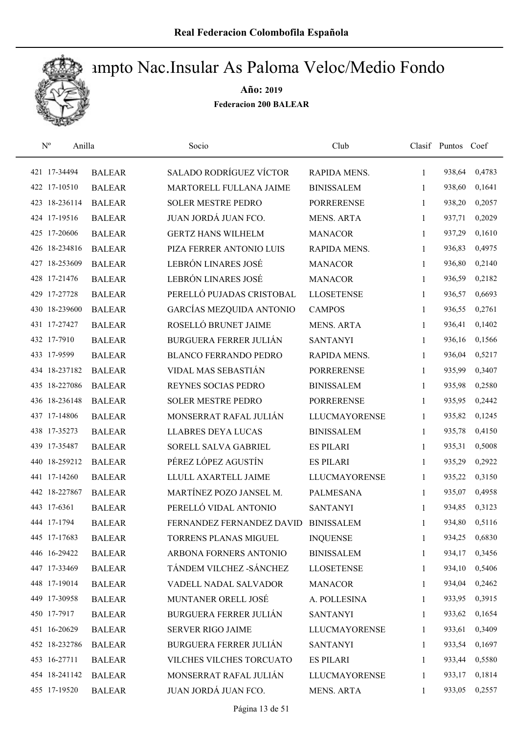

| $\mathrm{N}^{\rm o}$<br>Anilla |               | Socio                          | Club                 |              | Clasif Puntos | Coef   |
|--------------------------------|---------------|--------------------------------|----------------------|--------------|---------------|--------|
| 421 17-34494                   | <b>BALEAR</b> | <b>SALADO RODRÍGUEZ VÍCTOR</b> | RAPIDA MENS.         | $\mathbf{1}$ | 938,64        | 0,4783 |
| 422 17-10510                   | <b>BALEAR</b> | MARTORELL FULLANA JAIME        | <b>BINISSALEM</b>    | 1            | 938,60        | 0,1641 |
| 423 18-236114                  | <b>BALEAR</b> | <b>SOLER MESTRE PEDRO</b>      | <b>PORRERENSE</b>    | $\mathbf{1}$ | 938,20        | 0,2057 |
| 424 17-19516                   | <b>BALEAR</b> | JUAN JORDÁ JUAN FCO.           | <b>MENS. ARTA</b>    | 1            | 937,71        | 0,2029 |
| 425 17-20606                   | <b>BALEAR</b> | <b>GERTZ HANS WILHELM</b>      | <b>MANACOR</b>       | 1            | 937,29        | 0,1610 |
| 426 18-234816                  | <b>BALEAR</b> | PIZA FERRER ANTONIO LUIS       | RAPIDA MENS.         | $\mathbf{1}$ | 936,83        | 0,4975 |
| 427 18-253609                  | <b>BALEAR</b> | LEBRÓN LINARES JOSÉ            | <b>MANACOR</b>       | $\mathbf{1}$ | 936,80        | 0,2140 |
| 428 17-21476                   | <b>BALEAR</b> | LEBRÓN LINARES JOSÉ            | <b>MANACOR</b>       | $\mathbf{1}$ | 936,59        | 0,2182 |
| 429 17-27728                   | <b>BALEAR</b> | PERELLÓ PUJADAS CRISTOBAL      | <b>LLOSETENSE</b>    | 1            | 936,57        | 0,6693 |
| 430 18-239600                  | <b>BALEAR</b> | GARCÍAS MEZQUIDA ANTONIO       | <b>CAMPOS</b>        | 1            | 936,55        | 0,2761 |
| 431 17-27427                   | <b>BALEAR</b> | ROSELLÓ BRUNET JAIME           | <b>MENS. ARTA</b>    | 1            | 936,41        | 0,1402 |
| 432 17-7910                    | <b>BALEAR</b> | <b>BURGUERA FERRER JULIÁN</b>  | <b>SANTANYI</b>      | 1            | 936,16        | 0,1566 |
| 433 17-9599                    | <b>BALEAR</b> | <b>BLANCO FERRANDO PEDRO</b>   | RAPIDA MENS.         | 1            | 936,04        | 0,5217 |
| 434 18-237182                  | <b>BALEAR</b> | VIDAL MAS SEBASTIÁN            | <b>PORRERENSE</b>    | 1            | 935,99        | 0,3407 |
| 435 18-227086                  | <b>BALEAR</b> | REYNES SOCIAS PEDRO            | <b>BINISSALEM</b>    | 1            | 935,98        | 0,2580 |
| 436 18-236148                  | <b>BALEAR</b> | <b>SOLER MESTRE PEDRO</b>      | <b>PORRERENSE</b>    | 1            | 935,95        | 0,2442 |
| 437 17-14806                   | <b>BALEAR</b> | MONSERRAT RAFAL JULIÁN         | <b>LLUCMAYORENSE</b> | 1            | 935,82        | 0,1245 |
| 438 17-35273                   | <b>BALEAR</b> | <b>LLABRES DEYA LUCAS</b>      | <b>BINISSALEM</b>    | $\mathbf{1}$ | 935,78        | 0,4150 |
| 439 17-35487                   | <b>BALEAR</b> | SORELL SALVA GABRIEL           | <b>ES PILARI</b>     | $\mathbf{1}$ | 935,31        | 0,5008 |
| 440 18-259212                  | <b>BALEAR</b> | PÉREZ LÓPEZ AGUSTÍN            | <b>ES PILARI</b>     | $\mathbf{1}$ | 935,29        | 0,2922 |
| 441 17-14260                   | <b>BALEAR</b> | LLULL AXARTELL JAIME           | <b>LLUCMAYORENSE</b> | 1            | 935,22        | 0,3150 |
| 442 18-227867                  | <b>BALEAR</b> | MARTÍNEZ POZO JANSEL M.        | <b>PALMESANA</b>     | 1            | 935,07        | 0,4958 |
| 443 17-6361                    | <b>BALEAR</b> | PERELLÓ VIDAL ANTONIO          | <b>SANTANYI</b>      | 1            | 934,85        | 0,3123 |
| 444 17-1794                    | <b>BALEAR</b> | FERNANDEZ FERNANDEZ DAVID      | <b>BINISSALEM</b>    | 1            | 934,80        | 0,5116 |
| 445 17-17683                   | <b>BALEAR</b> | TORRENS PLANAS MIGUEL          | <b>INQUENSE</b>      | 1            | 934,25        | 0,6830 |
| 446 16-29422                   | <b>BALEAR</b> | ARBONA FORNERS ANTONIO         | <b>BINISSALEM</b>    | 1            | 934,17        | 0,3456 |
| 447 17-33469                   | <b>BALEAR</b> | TÁNDEM VILCHEZ - SÁNCHEZ       | <b>LLOSETENSE</b>    | 1            | 934,10        | 0,5406 |
| 448 17-19014                   | <b>BALEAR</b> | VADELL NADAL SALVADOR          | <b>MANACOR</b>       | 1            | 934,04        | 0,2462 |
| 449 17-30958                   | <b>BALEAR</b> | MUNTANER ORELL JOSÉ            | A. POLLESINA         | 1            | 933,95        | 0,3915 |
| 450 17-7917                    | <b>BALEAR</b> | <b>BURGUERA FERRER JULIÁN</b>  | <b>SANTANYI</b>      | 1            | 933,62        | 0,1654 |
| 451 16-20629                   | <b>BALEAR</b> | <b>SERVER RIGO JAIME</b>       | <b>LLUCMAYORENSE</b> | 1            | 933,61        | 0,3409 |
| 452 18-232786                  | <b>BALEAR</b> | <b>BURGUERA FERRER JULIÁN</b>  | <b>SANTANYI</b>      | 1            | 933,54        | 0,1697 |
| 453 16-27711                   | <b>BALEAR</b> | VILCHES VILCHES TORCUATO       | <b>ES PILARI</b>     | 1            | 933,44        | 0,5580 |
| 454 18-241142                  | <b>BALEAR</b> | MONSERRAT RAFAL JULIÁN         | <b>LLUCMAYORENSE</b> | 1            | 933,17        | 0,1814 |
| 455 17-19520                   | <b>BALEAR</b> | JUAN JORDÁ JUAN FCO.           | <b>MENS. ARTA</b>    | 1            | 933,05        | 0,2557 |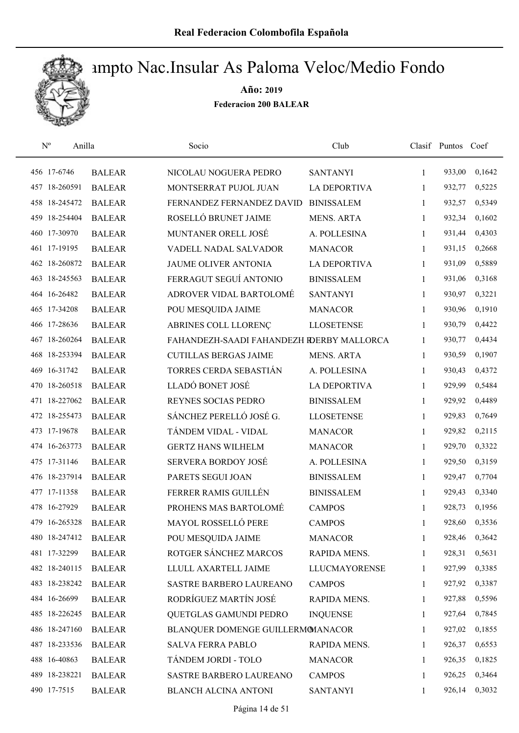

| $\mathrm{N}^{\rm o}$ | Anilla        | Socio                                     | Club                |              | Clasif Puntos | Coef   |
|----------------------|---------------|-------------------------------------------|---------------------|--------------|---------------|--------|
| 456 17-6746          | <b>BALEAR</b> | NICOLAU NOGUERA PEDRO                     | <b>SANTANYI</b>     | $\mathbf{1}$ | 933,00        | 0,1642 |
| 457 18-260591        | <b>BALEAR</b> | MONTSERRAT PUJOL JUAN                     | <b>LA DEPORTIVA</b> | 1            | 932,77        | 0,5225 |
| 458 18-245472        | <b>BALEAR</b> | FERNANDEZ FERNANDEZ DAVID                 | <b>BINISSALEM</b>   | $\mathbf{1}$ | 932,57        | 0,5349 |
| 459 18-254404        | <b>BALEAR</b> | ROSELLÓ BRUNET JAIME                      | MENS. ARTA          | 1            | 932,34        | 0,1602 |
| 460 17-30970         | <b>BALEAR</b> | MUNTANER ORELL JOSÉ                       | A. POLLESINA        | $\mathbf{1}$ | 931,44        | 0,4303 |
| 461 17-19195         | <b>BALEAR</b> | VADELL NADAL SALVADOR                     | <b>MANACOR</b>      | $\mathbf{1}$ | 931,15        | 0,2668 |
| 462 18-260872        | <b>BALEAR</b> | <b>JAUME OLIVER ANTONIA</b>               | <b>LA DEPORTIVA</b> | $\mathbf{1}$ | 931,09        | 0,5889 |
| 463 18-245563        | <b>BALEAR</b> | FERRAGUT SEGUÍ ANTONIO                    | <b>BINISSALEM</b>   | $\mathbf{1}$ | 931,06        | 0,3168 |
| 464 16-26482         | <b>BALEAR</b> | ADROVER VIDAL BARTOLOMÉ                   | <b>SANTANYI</b>     | 1            | 930,97        | 0,3221 |
| 465 17-34208         | <b>BALEAR</b> | POU MESQUIDA JAIME                        | <b>MANACOR</b>      | 1            | 930,96        | 0,1910 |
| 466 17-28636         | <b>BALEAR</b> | ABRINES COLL LLORENC                      | <b>LLOSETENSE</b>   | 1            | 930,79        | 0,4422 |
| 467 18-260264        | <b>BALEAR</b> | FAHANDEZH-SAADI FAHANDEZH RDERBY MALLORCA |                     | 1            | 930,77        | 0,4434 |
| 468 18-253394        | <b>BALEAR</b> | <b>CUTILLAS BERGAS JAIME</b>              | <b>MENS. ARTA</b>   | 1            | 930,59        | 0,1907 |
| 469 16-31742         | <b>BALEAR</b> | TORRES CERDA SEBASTIÁN                    | A. POLLESINA        | 1            | 930,43        | 0,4372 |
| 470 18-260518        | <b>BALEAR</b> | LLADÓ BONET JOSÉ                          | <b>LA DEPORTIVA</b> | 1            | 929,99        | 0,5484 |
| 471 18-227062        | <b>BALEAR</b> | REYNES SOCIAS PEDRO                       | <b>BINISSALEM</b>   | 1            | 929,92        | 0,4489 |
| 472 18-255473        | <b>BALEAR</b> | SÁNCHEZ PERELLÓ JOSÉ G.                   | <b>LLOSETENSE</b>   | 1            | 929,83        | 0,7649 |
| 473 17-19678         | <b>BALEAR</b> | TÁNDEM VIDAL - VIDAL                      | <b>MANACOR</b>      | $\mathbf{1}$ | 929,82        | 0,2115 |
| 474 16-263773        | <b>BALEAR</b> | <b>GERTZ HANS WILHELM</b>                 | <b>MANACOR</b>      | $\mathbf{1}$ | 929,70        | 0,3322 |
| 475 17-31146         | <b>BALEAR</b> | SERVERA BORDOY JOSÉ                       | A. POLLESINA        | $\mathbf{1}$ | 929,50        | 0,3159 |
| 476 18-237914        | <b>BALEAR</b> | PARETS SEGUI JOAN                         | <b>BINISSALEM</b>   | 1            | 929,47        | 0,7704 |
| 477 17-11358         | <b>BALEAR</b> | FERRER RAMIS GUILLÉN                      | <b>BINISSALEM</b>   | 1            | 929,43        | 0,3340 |
| 478 16-27929         | <b>BALEAR</b> | PROHENS MAS BARTOLOMÉ                     | <b>CAMPOS</b>       | 1            | 928,73        | 0,1956 |
| 479 16-265328        | <b>BALEAR</b> | MAYOL ROSSELLÓ PERE                       | <b>CAMPOS</b>       | 1            | 928,60        | 0,3536 |
| 480 18-247412        | <b>BALEAR</b> | POU MESQUIDA JAIME                        | <b>MANACOR</b>      | 1            | 928,46        | 0,3642 |
| 481 17-32299         | <b>BALEAR</b> | ROTGER SÁNCHEZ MARCOS                     | RAPIDA MENS.        | 1            | 928,31        | 0,5631 |
| 482 18-240115        | <b>BALEAR</b> | LLULL AXARTELL JAIME                      | LLUCMAYORENSE       | 1            | 927,99        | 0,3385 |
| 483 18-238242        | <b>BALEAR</b> | <b>SASTRE BARBERO LAUREANO</b>            | <b>CAMPOS</b>       | $\mathbf{1}$ | 927,92        | 0,3387 |
| 484 16-26699         | <b>BALEAR</b> | RODRÍGUEZ MARTÍN JOSÉ                     | RAPIDA MENS.        | 1            | 927,88        | 0,5596 |
| 485 18-226245        | <b>BALEAR</b> | QUETGLAS GAMUNDI PEDRO                    | <b>INQUENSE</b>     | 1            | 927,64        | 0,7845 |
| 486 18-247160        | <b>BALEAR</b> | BLANQUER DOMENGE GUILLERMOMANACOR         |                     | 1            | 927,02        | 0,1855 |
| 487 18-233536        | <b>BALEAR</b> | <b>SALVA FERRA PABLO</b>                  | RAPIDA MENS.        | $\mathbf{1}$ | 926,37        | 0,6553 |
| 488 16-40863         | <b>BALEAR</b> | TÁNDEM JORDI - TOLO                       | <b>MANACOR</b>      | 1            | 926,35        | 0,1825 |
| 489 18-238221        | <b>BALEAR</b> | SASTRE BARBERO LAUREANO                   | <b>CAMPOS</b>       | 1            | 926,25        | 0,3464 |
| 490 17-7515          | <b>BALEAR</b> | <b>BLANCH ALCINA ANTONI</b>               | <b>SANTANYI</b>     | 1            | 926,14        | 0,3032 |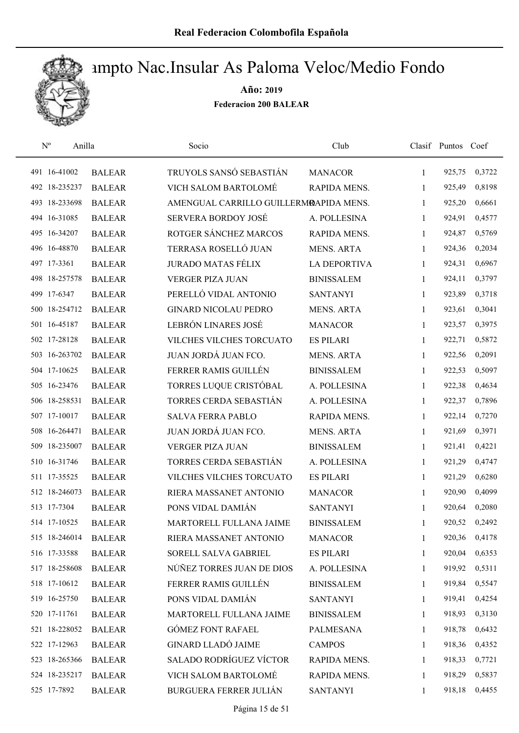

| $\mathrm{N}^{\mathrm{o}}$<br>Anilla |               | Socio                                  | Club                |              | Clasif Puntos Coef |        |
|-------------------------------------|---------------|----------------------------------------|---------------------|--------------|--------------------|--------|
| 491 16-41002                        | <b>BALEAR</b> | TRUYOLS SANSÓ SEBASTIÁN                | <b>MANACOR</b>      | 1            | 925,75             | 0,3722 |
| 492 18-235237                       | <b>BALEAR</b> | <b>VICH SALOM BARTOLOMÉ</b>            | RAPIDA MENS.        | 1            | 925,49             | 0,8198 |
| 493 18-233698                       | <b>BALEAR</b> | AMENGUAL CARRILLO GUILLERMRAPIDA MENS. |                     | $\mathbf{1}$ | 925,20             | 0,6661 |
| 494 16-31085                        | <b>BALEAR</b> | <b>SERVERA BORDOY JOSÉ</b>             | A. POLLESINA        | 1            | 924,91             | 0,4577 |
| 495 16-34207                        | <b>BALEAR</b> | ROTGER SÁNCHEZ MARCOS                  | <b>RAPIDA MENS.</b> | $\mathbf{1}$ | 924,87             | 0,5769 |
| 496 16-48870                        | <b>BALEAR</b> | TERRASA ROSELLÓ JUAN                   | <b>MENS. ARTA</b>   | 1            | 924,36             | 0,2034 |
| 497 17-3361                         | <b>BALEAR</b> | <b>JURADO MATAS FÉLIX</b>              | <b>LA DEPORTIVA</b> | 1            | 924,31             | 0,6967 |
| 498 18-257578                       | <b>BALEAR</b> | <b>VERGER PIZA JUAN</b>                | <b>BINISSALEM</b>   | 1            | 924,11             | 0,3797 |
| 499 17-6347                         | <b>BALEAR</b> | PERELLÓ VIDAL ANTONIO                  | <b>SANTANYI</b>     | 1            | 923,89             | 0,3718 |
| 500 18-254712                       | <b>BALEAR</b> | <b>GINARD NICOLAU PEDRO</b>            | <b>MENS. ARTA</b>   | 1            | 923,61             | 0,3041 |
| 501 16-45187                        | <b>BALEAR</b> | LEBRÓN LINARES JOSÉ                    | <b>MANACOR</b>      | 1            | 923,57             | 0,3975 |
| 502 17-28128                        | <b>BALEAR</b> | VILCHES VILCHES TORCUATO               | <b>ES PILARI</b>    | 1            | 922,71             | 0,5872 |
| 503 16-263702                       | <b>BALEAR</b> | JUAN JORDÁ JUAN FCO.                   | <b>MENS. ARTA</b>   | 1            | 922,56             | 0,2091 |
| 504 17-10625                        | <b>BALEAR</b> | FERRER RAMIS GUILLÉN                   | <b>BINISSALEM</b>   | 1            | 922,53             | 0,5097 |
| 505 16-23476                        | <b>BALEAR</b> | TORRES LUQUE CRISTÓBAL                 | A. POLLESINA        | 1            | 922,38             | 0,4634 |
| 506 18-258531                       | <b>BALEAR</b> | TORRES CERDA SEBASTIÁN                 | A. POLLESINA        | 1            | 922,37             | 0,7896 |
| 507 17-10017                        | <b>BALEAR</b> | <b>SALVA FERRA PABLO</b>               | RAPIDA MENS.        | 1            | 922,14             | 0,7270 |
| 508 16-264471                       | <b>BALEAR</b> | JUAN JORDÁ JUAN FCO.                   | <b>MENS. ARTA</b>   | 1            | 921,69             | 0,3971 |
| 18-235007<br>509                    | <b>BALEAR</b> | <b>VERGER PIZA JUAN</b>                | <b>BINISSALEM</b>   | 1            | 921,41             | 0,4221 |
| 510 16-31746                        | <b>BALEAR</b> | TORRES CERDA SEBASTIÁN                 | A. POLLESINA        | $\mathbf{1}$ | 921,29             | 0,4747 |
| 511 17-35525                        | <b>BALEAR</b> | VILCHES VILCHES TORCUATO               | <b>ES PILARI</b>    | 1            | 921,29             | 0,6280 |
| 512 18-246073                       | <b>BALEAR</b> | RIERA MASSANET ANTONIO                 | <b>MANACOR</b>      | 1            | 920,90             | 0,4099 |
| 513 17-7304                         | <b>BALEAR</b> | PONS VIDAL DAMIÁN                      | <b>SANTANYI</b>     | 1            | 920,64             | 0,2080 |
| 514 17-10525                        | <b>BALEAR</b> | MARTORELL FULLANA JAIME                | <b>BINISSALEM</b>   | 1            | 920,52             | 0,2492 |
| 515 18-246014                       | <b>BALEAR</b> | RIERA MASSANET ANTONIO                 | <b>MANACOR</b>      | 1            | 920,36             | 0,4178 |
| 516 17-33588                        | <b>BALEAR</b> | SORELL SALVA GABRIEL                   | <b>ES PILARI</b>    | 1            | 920,04             | 0,6353 |
| 517 18-258608                       | <b>BALEAR</b> | NÚÑEZ TORRES JUAN DE DIOS              | A. POLLESINA        | 1            | 919,92             | 0,5311 |
| 518 17-10612                        | <b>BALEAR</b> | FERRER RAMIS GUILLÉN                   | <b>BINISSALEM</b>   | 1            | 919,84             | 0,5547 |
| 519 16-25750                        | <b>BALEAR</b> | PONS VIDAL DAMIÁN                      | <b>SANTANYI</b>     | 1            | 919,41             | 0,4254 |
| 520 17-11761                        | <b>BALEAR</b> | MARTORELL FULLANA JAIME                | <b>BINISSALEM</b>   | 1            | 918,93             | 0,3130 |
| 521 18-228052                       | <b>BALEAR</b> | <b>GÓMEZ FONT RAFAEL</b>               | PALMESANA           | 1            | 918,78             | 0,6432 |
| 522 17-12963                        | <b>BALEAR</b> | <b>GINARD LLADÓ JAIME</b>              | <b>CAMPOS</b>       | 1            | 918,36             | 0,4352 |
| 523 18-265366                       | <b>BALEAR</b> | SALADO RODRÍGUEZ VÍCTOR                | RAPIDA MENS.        | 1            | 918,33             | 0,7721 |
| 524 18-235217                       | <b>BALEAR</b> | VICH SALOM BARTOLOMÉ                   | RAPIDA MENS.        | 1            | 918,29             | 0,5837 |
| 525 17-7892                         | <b>BALEAR</b> | <b>BURGUERA FERRER JULIÁN</b>          | <b>SANTANYI</b>     | 1            | 918,18             | 0,4455 |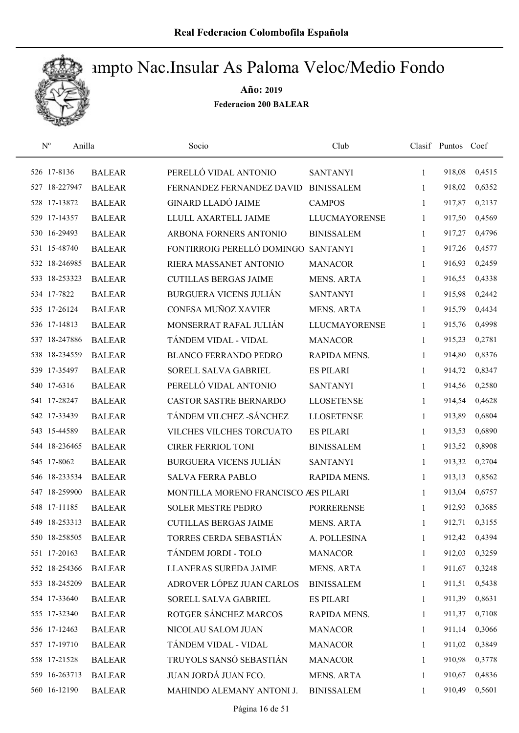

| $\mathbf{N}^{\text{o}}$ | Anilla        | Socio                               | Club                 |              | Clasif Puntos Coef |        |
|-------------------------|---------------|-------------------------------------|----------------------|--------------|--------------------|--------|
| 526 17-8136             | <b>BALEAR</b> | PERELLÓ VIDAL ANTONIO               | <b>SANTANYI</b>      | 1            | 918,08             | 0,4515 |
| 527 18-227947           | <b>BALEAR</b> | FERNANDEZ FERNANDEZ DAVID           | <b>BINISSALEM</b>    | 1            | 918,02             | 0,6352 |
| 528 17-13872            | <b>BALEAR</b> | <b>GINARD LLADÓ JAIME</b>           | <b>CAMPOS</b>        | $\mathbf{1}$ | 917,87             | 0,2137 |
| 529 17-14357            | <b>BALEAR</b> | LLULL AXARTELL JAIME                | <b>LLUCMAYORENSE</b> | 1            | 917,50             | 0,4569 |
| 530 16-29493            | <b>BALEAR</b> | ARBONA FORNERS ANTONIO              | <b>BINISSALEM</b>    | 1            | 917,27             | 0,4796 |
| 531 15-48740            | <b>BALEAR</b> | FONTIRROIG PERELLÓ DOMINGO          | <b>SANTANYI</b>      | 1            | 917,26             | 0,4577 |
| 532 18-246985           | <b>BALEAR</b> | RIERA MASSANET ANTONIO              | <b>MANACOR</b>       | $\mathbf{1}$ | 916,93             | 0,2459 |
| 533 18-253323           | <b>BALEAR</b> | <b>CUTILLAS BERGAS JAIME</b>        | <b>MENS. ARTA</b>    | 1            | 916,55             | 0,4338 |
| 534 17-7822             | <b>BALEAR</b> | <b>BURGUERA VICENS JULIÁN</b>       | <b>SANTANYI</b>      | 1            | 915,98             | 0,2442 |
| 535 17-26124            | <b>BALEAR</b> | CONESA MUÑOZ XAVIER                 | <b>MENS. ARTA</b>    | 1            | 915,79             | 0,4434 |
| 536 17-14813            | <b>BALEAR</b> | MONSERRAT RAFAL JULIÁN              | <b>LLUCMAYORENSE</b> | 1            | 915,76             | 0,4998 |
| 537 18-247886           | <b>BALEAR</b> | TÁNDEM VIDAL - VIDAL                | <b>MANACOR</b>       | 1            | 915,23             | 0,2781 |
| 538 18-234559           | <b>BALEAR</b> | <b>BLANCO FERRANDO PEDRO</b>        | <b>RAPIDA MENS.</b>  | 1            | 914,80             | 0,8376 |
| 539 17-35497            | <b>BALEAR</b> | SORELL SALVA GABRIEL                | <b>ES PILARI</b>     | 1            | 914,72             | 0,8347 |
| 540 17-6316             | <b>BALEAR</b> | PERELLÓ VIDAL ANTONIO               | <b>SANTANYI</b>      | 1            | 914,56             | 0,2580 |
| 541 17-28247            | <b>BALEAR</b> | CASTOR SASTRE BERNARDO              | <b>LLOSETENSE</b>    | 1            | 914,54             | 0,4628 |
| 542 17-33439            | <b>BALEAR</b> | TÁNDEM VILCHEZ - SÁNCHEZ            | <b>LLOSETENSE</b>    | 1            | 913,89             | 0,6804 |
| 543 15-44589            | <b>BALEAR</b> | VILCHES VILCHES TORCUATO            | <b>ES PILARI</b>     | 1            | 913,53             | 0,6890 |
| 544 18-236465           | <b>BALEAR</b> | <b>CIRER FERRIOL TONI</b>           | <b>BINISSALEM</b>    | 1            | 913,52             | 0,8908 |
| 545 17-8062             | <b>BALEAR</b> | <b>BURGUERA VICENS JULIÁN</b>       | <b>SANTANYI</b>      | $\mathbf{1}$ | 913,32             | 0,2704 |
| 546 18-233534           | <b>BALEAR</b> | <b>SALVA FERRA PABLO</b>            | RAPIDA MENS.         | $\mathbf{1}$ | 913,13             | 0,8562 |
| 547 18-259900           | <b>BALEAR</b> | MONTILLA MORENO FRANCISCO ÆS PILARI |                      | 1            | 913,04             | 0,6757 |
| 548 17-11185            | <b>BALEAR</b> | <b>SOLER MESTRE PEDRO</b>           | <b>PORRERENSE</b>    | 1            | 912,93             | 0,3685 |
| 549 18-253313           | <b>BALEAR</b> | <b>CUTILLAS BERGAS JAIME</b>        | <b>MENS. ARTA</b>    | 1            | 912,71             | 0,3155 |
| 550 18-258505           | <b>BALEAR</b> | TORRES CERDA SEBASTIÁN              | A. POLLESINA         | 1            | 912,42             | 0,4394 |
| 551 17-20163            | <b>BALEAR</b> | TÁNDEM JORDI - TOLO                 | <b>MANACOR</b>       | 1            | 912,03             | 0,3259 |
| 552 18-254366           | <b>BALEAR</b> | <b>LLANERAS SUREDA JAIME</b>        | MENS. ARTA           | 1            | 911,67             | 0,3248 |
| 553 18-245209           | <b>BALEAR</b> | ADROVER LÓPEZ JUAN CARLOS           | <b>BINISSALEM</b>    | 1            | 911,51             | 0,5438 |
| 554 17-33640            | <b>BALEAR</b> | SORELL SALVA GABRIEL                | <b>ES PILARI</b>     | 1            | 911,39             | 0,8631 |
| 555 17-32340            | <b>BALEAR</b> | ROTGER SÁNCHEZ MARCOS               | RAPIDA MENS.         | $\mathbf{1}$ | 911,37             | 0,7108 |
| 556 17-12463            | <b>BALEAR</b> | NICOLAU SALOM JUAN                  | <b>MANACOR</b>       | 1            | 911,14             | 0,3066 |
| 557 17-19710            | <b>BALEAR</b> | TÁNDEM VIDAL - VIDAL                | <b>MANACOR</b>       | $\mathbf{1}$ | 911,02             | 0,3849 |
| 558 17-21528            | <b>BALEAR</b> | TRUYOLS SANSÓ SEBASTIÁN             | <b>MANACOR</b>       | 1            | 910,98             | 0,3778 |
| 559 16-263713           | <b>BALEAR</b> | JUAN JORDÁ JUAN FCO.                | MENS. ARTA           | 1            | 910,67             | 0,4836 |
| 560 16-12190            | <b>BALEAR</b> | MAHINDO ALEMANY ANTONI J.           | <b>BINISSALEM</b>    | 1            | 910,49             | 0,5601 |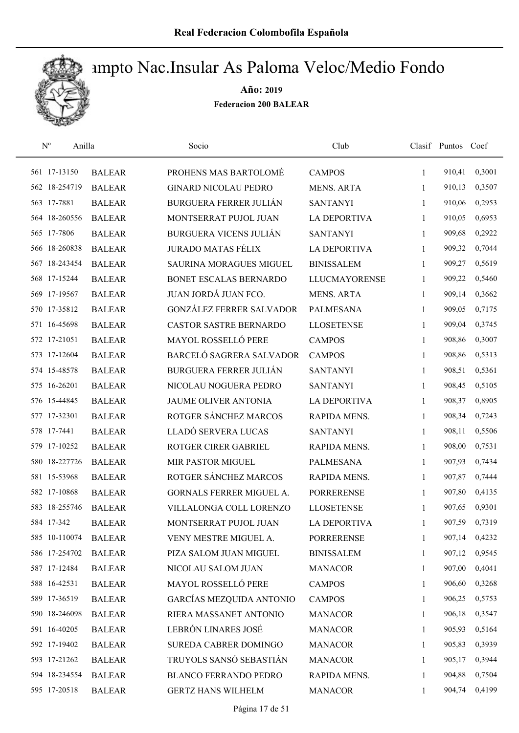

| $N^{\rm o}$<br>Anilla |               | Socio                           | Club                 |              | Clasif Puntos Coef |        |
|-----------------------|---------------|---------------------------------|----------------------|--------------|--------------------|--------|
| 561 17-13150          | <b>BALEAR</b> | PROHENS MAS BARTOLOMÉ           | <b>CAMPOS</b>        | $\mathbf{1}$ | 910,41             | 0,3001 |
| 562 18-254719         | <b>BALEAR</b> | <b>GINARD NICOLAU PEDRO</b>     | <b>MENS. ARTA</b>    | 1            | 910,13             | 0,3507 |
| 563 17-7881           | <b>BALEAR</b> | <b>BURGUERA FERRER JULIÁN</b>   | <b>SANTANYI</b>      | $\mathbf{1}$ | 910,06             | 0,2953 |
| 564 18-260556         | <b>BALEAR</b> | MONTSERRAT PUJOL JUAN           | <b>LA DEPORTIVA</b>  | 1            | 910,05             | 0,6953 |
| 565 17-7806           | <b>BALEAR</b> | <b>BURGUERA VICENS JULIÁN</b>   | <b>SANTANYI</b>      | 1            | 909,68             | 0,2922 |
| 566 18-260838         | <b>BALEAR</b> | <b>JURADO MATAS FÉLIX</b>       | <b>LA DEPORTIVA</b>  | $\mathbf{1}$ | 909,32             | 0,7044 |
| 567 18-243454         | <b>BALEAR</b> | SAURINA MORAGUES MIGUEL         | <b>BINISSALEM</b>    | 1            | 909,27             | 0,5619 |
| 568 17-15244          | <b>BALEAR</b> | BONET ESCALAS BERNARDO          | <b>LLUCMAYORENSE</b> | $\mathbf{1}$ | 909,22             | 0,5460 |
| 569 17-19567          | <b>BALEAR</b> | JUAN JORDÁ JUAN FCO.            | <b>MENS. ARTA</b>    | 1            | 909,14             | 0,3662 |
| 570 17-35812          | <b>BALEAR</b> | <b>GONZÁLEZ FERRER SALVADOR</b> | <b>PALMESANA</b>     | 1            | 909,05             | 0,7175 |
| 571 16-45698          | <b>BALEAR</b> | <b>CASTOR SASTRE BERNARDO</b>   | <b>LLOSETENSE</b>    | 1            | 909,04             | 0,3745 |
| 572 17-21051          | <b>BALEAR</b> | <b>MAYOL ROSSELLÓ PERE</b>      | <b>CAMPOS</b>        | 1            | 908,86             | 0,3007 |
| 573 17-12604          | <b>BALEAR</b> | BARCELÓ SAGRERA SALVADOR        | <b>CAMPOS</b>        | 1            | 908,86             | 0,5313 |
| 574 15-48578          | <b>BALEAR</b> | <b>BURGUERA FERRER JULIÁN</b>   | <b>SANTANYI</b>      | $\mathbf{1}$ | 908,51             | 0,5361 |
| 575 16-26201          | <b>BALEAR</b> | NICOLAU NOGUERA PEDRO           | <b>SANTANYI</b>      | 1            | 908,45             | 0,5105 |
| 576 15-44845          | <b>BALEAR</b> | JAUME OLIVER ANTONIA            | <b>LA DEPORTIVA</b>  | 1            | 908,37             | 0,8905 |
| 577 17-32301          | <b>BALEAR</b> | ROTGER SÁNCHEZ MARCOS           | RAPIDA MENS.         | $\mathbf{1}$ | 908,34             | 0,7243 |
| 578 17-7441           | <b>BALEAR</b> | LLADÓ SERVERA LUCAS             | <b>SANTANYI</b>      | $\mathbf{1}$ | 908,11             | 0,5506 |
| 579 17-10252          | <b>BALEAR</b> | ROTGER CIRER GABRIEL            | RAPIDA MENS.         | 1            | 908,00             | 0,7531 |
| 580 18-227726         | <b>BALEAR</b> | MIR PASTOR MIGUEL               | <b>PALMESANA</b>     | 1            | 907,93             | 0,7434 |
| 581 15-53968          | <b>BALEAR</b> | ROTGER SÁNCHEZ MARCOS           | RAPIDA MENS.         | $\mathbf{1}$ | 907,87             | 0,7444 |
| 582 17-10868          | <b>BALEAR</b> | GORNALS FERRER MIGUEL A.        | <b>PORRERENSE</b>    | 1            | 907,80             | 0,4135 |
| 583 18-255746         | <b>BALEAR</b> | VILLALONGA COLL LORENZO         | <b>LLOSETENSE</b>    | 1            | 907,65             | 0,9301 |
| 584 17-342            | <b>BALEAR</b> | MONTSERRAT PUJOL JUAN           | <b>LA DEPORTIVA</b>  | 1            | 907,59             | 0,7319 |
| 585 10-110074         | <b>BALEAR</b> | VENY MESTRE MIGUEL A.           | <b>PORRERENSE</b>    | 1            | 907,14             | 0,4232 |
| 586 17-254702         | <b>BALEAR</b> | PIZA SALOM JUAN MIGUEL          | <b>BINISSALEM</b>    | 1            | 907,12             | 0,9545 |
| 587 17-12484          | <b>BALEAR</b> | NICOLAU SALOM JUAN              | <b>MANACOR</b>       | 1            | 907,00             | 0,4041 |
| 588 16-42531          | <b>BALEAR</b> | MAYOL ROSSELLÓ PERE             | <b>CAMPOS</b>        | 1            | 906,60             | 0,3268 |
| 589 17-36519          | <b>BALEAR</b> | <b>GARCÍAS MEZQUIDA ANTONIO</b> | <b>CAMPOS</b>        | 1            | 906,25             | 0,5753 |
| 590 18-246098         | <b>BALEAR</b> | RIERA MASSANET ANTONIO          | <b>MANACOR</b>       | 1            | 906,18             | 0,3547 |
| 591 16-40205          | <b>BALEAR</b> | LEBRÓN LINARES JOSÉ             | <b>MANACOR</b>       | 1            | 905,93             | 0,5164 |
| 592 17-19402          | <b>BALEAR</b> | SUREDA CABRER DOMINGO           | <b>MANACOR</b>       | 1            | 905,83             | 0,3939 |
| 593 17-21262          | <b>BALEAR</b> | TRUYOLS SANSÓ SEBASTIÁN         | <b>MANACOR</b>       | 1            | 905,17             | 0,3944 |
| 594 18-234554         | <b>BALEAR</b> | <b>BLANCO FERRANDO PEDRO</b>    | RAPIDA MENS.         | 1            | 904,88             | 0,7504 |
| 595 17-20518          | <b>BALEAR</b> | <b>GERTZ HANS WILHELM</b>       | <b>MANACOR</b>       | 1            | 904,74             | 0,4199 |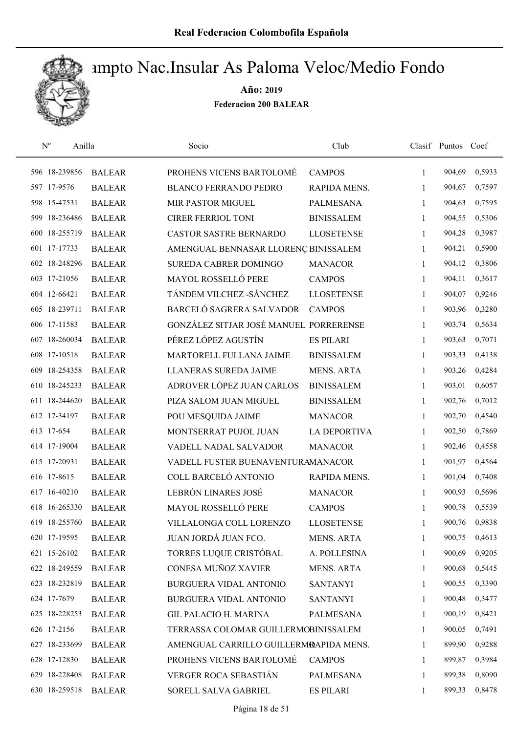

| $\mathbf{N}^{\text{o}}$<br>Anilla |               | Socio                                  | Club                |              | Clasif Puntos Coef |        |
|-----------------------------------|---------------|----------------------------------------|---------------------|--------------|--------------------|--------|
| 596 18-239856                     | <b>BALEAR</b> | PROHENS VICENS BARTOLOMÉ               | <b>CAMPOS</b>       | $\mathbf{1}$ | 904,69             | 0,5933 |
| 597 17-9576                       | <b>BALEAR</b> | <b>BLANCO FERRANDO PEDRO</b>           | RAPIDA MENS.        | 1            | 904,67             | 0,7597 |
| 598 15-47531                      | <b>BALEAR</b> | MIR PASTOR MIGUEL                      | <b>PALMESANA</b>    | $\mathbf{1}$ | 904,63             | 0,7595 |
| 599 18-236486                     | <b>BALEAR</b> | <b>CIRER FERRIOL TONI</b>              | <b>BINISSALEM</b>   | 1            | 904,55             | 0,5306 |
| 600 18-255719                     | <b>BALEAR</b> | CASTOR SASTRE BERNARDO                 | <b>LLOSETENSE</b>   | $\mathbf{1}$ | 904,28             | 0,3987 |
| 601 17-17733                      | <b>BALEAR</b> | AMENGUAL BENNASAR LLORENÇ BINISSALEM   |                     | $\mathbf{1}$ | 904,21             | 0,5900 |
| 602 18-248296                     | <b>BALEAR</b> | SUREDA CABRER DOMINGO                  | <b>MANACOR</b>      | $\mathbf{1}$ | 904,12             | 0,3806 |
| 603 17-21056                      | <b>BALEAR</b> | MAYOL ROSSELLÓ PERE                    | <b>CAMPOS</b>       | 1            | 904,11             | 0,3617 |
| 604 12-66421                      | <b>BALEAR</b> | TÁNDEM VILCHEZ - SÁNCHEZ               | <b>LLOSETENSE</b>   | 1            | 904,07             | 0,9246 |
| 605 18-239711                     | <b>BALEAR</b> | BARCELÓ SAGRERA SALVADOR               | <b>CAMPOS</b>       | 1            | 903,96             | 0,3280 |
| 606 17-11583                      | <b>BALEAR</b> | GONZÁLEZ SITJAR JOSÉ MANUEL PORRERENSE |                     | $\mathbf{1}$ | 903,74             | 0,5634 |
| 607 18-260034                     | <b>BALEAR</b> | PÉREZ LÓPEZ AGUSTÍN                    | <b>ES PILARI</b>    | 1            | 903,63             | 0,7071 |
| 608 17-10518                      | <b>BALEAR</b> | MARTORELL FULLANA JAIME                | <b>BINISSALEM</b>   | 1            | 903,33             | 0,4138 |
| 609 18-254358                     | <b>BALEAR</b> | <b>LLANERAS SUREDA JAIME</b>           | <b>MENS. ARTA</b>   | $\mathbf{1}$ | 903,26             | 0,4284 |
| 610 18-245233                     | <b>BALEAR</b> | ADROVER LÓPEZ JUAN CARLOS              | <b>BINISSALEM</b>   | $\mathbf{1}$ | 903,01             | 0,6057 |
| 611 18-244620                     | <b>BALEAR</b> | PIZA SALOM JUAN MIGUEL                 | <b>BINISSALEM</b>   | 1            | 902,76             | 0,7012 |
| 612 17-34197                      | <b>BALEAR</b> | POU MESQUIDA JAIME                     | <b>MANACOR</b>      | $\mathbf{1}$ | 902,70             | 0,4540 |
| 613 17-654                        | <b>BALEAR</b> | MONTSERRAT PUJOL JUAN                  | <b>LA DEPORTIVA</b> | $\mathbf{1}$ | 902,50             | 0,7869 |
| 614 17-19004                      | <b>BALEAR</b> | VADELL NADAL SALVADOR                  | <b>MANACOR</b>      | 1            | 902,46             | 0,4558 |
| 615 17-20931                      | <b>BALEAR</b> | VADELL FUSTER BUENAVENTURAMANACOR      |                     | $\mathbf{1}$ | 901,97             | 0,4564 |
| 616 17-8615                       | <b>BALEAR</b> | COLL BARCELÓ ANTONIO                   | RAPIDA MENS.        | $\mathbf{1}$ | 901,04             | 0,7408 |
| 617 16-40210                      | <b>BALEAR</b> | LEBRÓN LINARES JOSÉ                    | <b>MANACOR</b>      | 1            | 900,93             | 0,5696 |
| 618 16-265330                     | <b>BALEAR</b> | MAYOL ROSSELLÓ PERE                    | <b>CAMPOS</b>       | 1            | 900,78             | 0,5539 |
| 619 18-255760                     | <b>BALEAR</b> | VILLALONGA COLL LORENZO                | <b>LLOSETENSE</b>   | 1            | 900,76             | 0,9838 |
| 620 17-19595                      | <b>BALEAR</b> | JUAN JORDÁ JUAN FCO.                   | <b>MENS. ARTA</b>   | 1            | 900,75             | 0,4613 |
| 621 15-26102                      | <b>BALEAR</b> | TORRES LUQUE CRISTÓBAL                 | A. POLLESINA        | 1            | 900,69             | 0,9205 |
| 622 18-249559                     | <b>BALEAR</b> | CONESA MUÑOZ XAVIER                    | <b>MENS. ARTA</b>   | 1            | 900,68             | 0,5445 |
| 623 18-232819                     | <b>BALEAR</b> | BURGUERA VIDAL ANTONIO                 | <b>SANTANYI</b>     | 1            | 900,55             | 0,3390 |
| 624 17-7679                       | <b>BALEAR</b> | BURGUERA VIDAL ANTONIO                 | <b>SANTANYI</b>     | 1            | 900,48             | 0,3477 |
| 625 18-228253                     | <b>BALEAR</b> | <b>GIL PALACIO H. MARINA</b>           | PALMESANA           | 1            | 900,19             | 0,8421 |
| 626 17-2156                       | <b>BALEAR</b> | TERRASSA COLOMAR GUILLERMOBINISSALEM   |                     | 1            | 900,05             | 0,7491 |
| 627 18-233699                     | <b>BALEAR</b> | AMENGUAL CARRILLO GUILLERMRAPIDA MENS. |                     | 1            | 899,90             | 0,9288 |
| 628 17-12830                      | <b>BALEAR</b> | PROHENS VICENS BARTOLOMÉ               | <b>CAMPOS</b>       | 1            | 899,87             | 0,3984 |
| 629 18-228408                     | <b>BALEAR</b> | VERGER ROCA SEBASTIÁN                  | PALMESANA           | 1            | 899,38             | 0,8090 |
| 630 18-259518                     | <b>BALEAR</b> | SORELL SALVA GABRIEL                   | <b>ES PILARI</b>    | $\mathbf{1}$ | 899,33             | 0,8478 |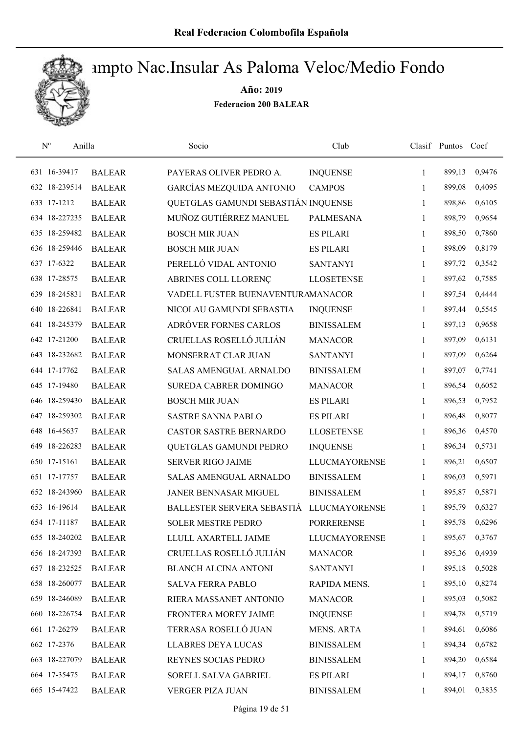

| $\mathbf{N}^{\text{o}}$ | Anilla        | Socio                               | Club                 |              | Clasif Puntos Coef |        |
|-------------------------|---------------|-------------------------------------|----------------------|--------------|--------------------|--------|
| 631 16-39417            | <b>BALEAR</b> | PAYERAS OLIVER PEDRO A.             | <b>INQUENSE</b>      | 1            | 899,13             | 0,9476 |
| 632 18-239514           | <b>BALEAR</b> | GARCÍAS MEZQUIDA ANTONIO            | <b>CAMPOS</b>        | 1            | 899,08             | 0,4095 |
| 633 17-1212             | <b>BALEAR</b> | QUETGLAS GAMUNDI SEBASTIÁN INQUENSE |                      | 1            | 898,86             | 0,6105 |
| 634 18-227235           | <b>BALEAR</b> | MUÑOZ GUTIÉRREZ MANUEL              | <b>PALMESANA</b>     | 1            | 898,79             | 0,9654 |
| 635 18-259482           | <b>BALEAR</b> | <b>BOSCH MIR JUAN</b>               | <b>ES PILARI</b>     | $\mathbf{1}$ | 898,50             | 0,7860 |
| 636 18-259446           | <b>BALEAR</b> | <b>BOSCH MIR JUAN</b>               | <b>ES PILARI</b>     | 1            | 898,09             | 0,8179 |
| 637 17-6322             | <b>BALEAR</b> | PERELLÓ VIDAL ANTONIO               | <b>SANTANYI</b>      | $\mathbf{1}$ | 897,72             | 0,3542 |
| 638 17-28575            | <b>BALEAR</b> | ABRINES COLL LLORENÇ                | <b>LLOSETENSE</b>    | $\mathbf{1}$ | 897,62             | 0,7585 |
| 639 18-245831           | <b>BALEAR</b> | VADELL FUSTER BUENAVENTURAMANACOR   |                      | 1            | 897,54             | 0,4444 |
| 640 18-226841           | <b>BALEAR</b> | NICOLAU GAMUNDI SEBASTIA            | <b>INQUENSE</b>      | 1            | 897,44             | 0,5545 |
| 641 18-245379           | <b>BALEAR</b> | ADRÓVER FORNES CARLOS               | <b>BINISSALEM</b>    | 1            | 897,13             | 0,9658 |
| 642 17-21200            | <b>BALEAR</b> | CRUELLAS ROSELLÓ JULIÁN             | <b>MANACOR</b>       | $\mathbf{1}$ | 897,09             | 0,6131 |
| 643 18-232682           | <b>BALEAR</b> | MONSERRAT CLAR JUAN                 | <b>SANTANYI</b>      | $\mathbf{1}$ | 897,09             | 0,6264 |
| 644 17-17762            | <b>BALEAR</b> | SALAS AMENGUAL ARNALDO              | <b>BINISSALEM</b>    | 1            | 897,07             | 0,7741 |
| 645 17-19480            | <b>BALEAR</b> | SUREDA CABRER DOMINGO               | <b>MANACOR</b>       | $\mathbf{1}$ | 896,54             | 0,6052 |
| 646 18-259430           | <b>BALEAR</b> | <b>BOSCH MIR JUAN</b>               | <b>ES PILARI</b>     | 1            | 896,53             | 0,7952 |
| 647 18-259302           | <b>BALEAR</b> | <b>SASTRE SANNA PABLO</b>           | <b>ES PILARI</b>     | 1            | 896,48             | 0,8077 |
| 648 16-45637            | <b>BALEAR</b> | CASTOR SASTRE BERNARDO              | <b>LLOSETENSE</b>    | $\mathbf{1}$ | 896,36             | 0,4570 |
| 649 18-226283           | <b>BALEAR</b> | QUETGLAS GAMUNDI PEDRO              | <b>INQUENSE</b>      | 1            | 896,34             | 0,5731 |
| 650 17-15161            | <b>BALEAR</b> | <b>SERVER RIGO JAIME</b>            | <b>LLUCMAYORENSE</b> | 1            | 896,21             | 0,6507 |
| 651 17-17757            | <b>BALEAR</b> | SALAS AMENGUAL ARNALDO              | <b>BINISSALEM</b>    | $\mathbf{1}$ | 896,03             | 0,5971 |
| 652 18-243960           | <b>BALEAR</b> | JANER BENNASAR MIGUEL               | <b>BINISSALEM</b>    | 1            | 895,87             | 0,5871 |
| 653 16-19614            | <b>BALEAR</b> | BALLESTER SERVERA SEBASTIÁ          | <b>LLUCMAYORENSE</b> | 1            | 895,79             | 0,6327 |
| 654 17-11187            | <b>BALEAR</b> | <b>SOLER MESTRE PEDRO</b>           | <b>PORRERENSE</b>    | 1            | 895,78             | 0,6296 |
| 655 18-240202           | <b>BALEAR</b> | LLULL AXARTELL JAIME                | LLUCMAYORENSE        | 1            | 895,67             | 0,3767 |
| 656 18-247393           | <b>BALEAR</b> | CRUELLAS ROSELLÓ JULIÁN             | <b>MANACOR</b>       | 1            | 895,36             | 0,4939 |
| 657 18-232525           | <b>BALEAR</b> | <b>BLANCH ALCINA ANTONI</b>         | <b>SANTANYI</b>      | 1            | 895,18             | 0,5028 |
| 658 18-260077           | <b>BALEAR</b> | <b>SALVA FERRA PABLO</b>            | RAPIDA MENS.         | 1            | 895,10             | 0,8274 |
| 659 18-246089           | <b>BALEAR</b> | RIERA MASSANET ANTONIO              | <b>MANACOR</b>       | 1            | 895,03             | 0,5082 |
| 660 18-226754           | <b>BALEAR</b> | FRONTERA MOREY JAIME                | <b>INQUENSE</b>      | 1            | 894,78             | 0,5719 |
| 661 17-26279            | <b>BALEAR</b> | TERRASA ROSELLÓ JUAN                | <b>MENS. ARTA</b>    | 1            | 894,61             | 0,6086 |
| 662 17-2376             | <b>BALEAR</b> | <b>LLABRES DEYA LUCAS</b>           | <b>BINISSALEM</b>    | 1            | 894,34             | 0,6782 |
| 663 18-227079           | <b>BALEAR</b> | REYNES SOCIAS PEDRO                 | <b>BINISSALEM</b>    | 1            | 894,20             | 0,6584 |
| 664 17-35475            | <b>BALEAR</b> | SORELL SALVA GABRIEL                | <b>ES PILARI</b>     | 1            | 894,17             | 0,8760 |
| 665 15-47422            | <b>BALEAR</b> | VERGER PIZA JUAN                    | <b>BINISSALEM</b>    | $\mathbf{1}$ | 894,01             | 0,3835 |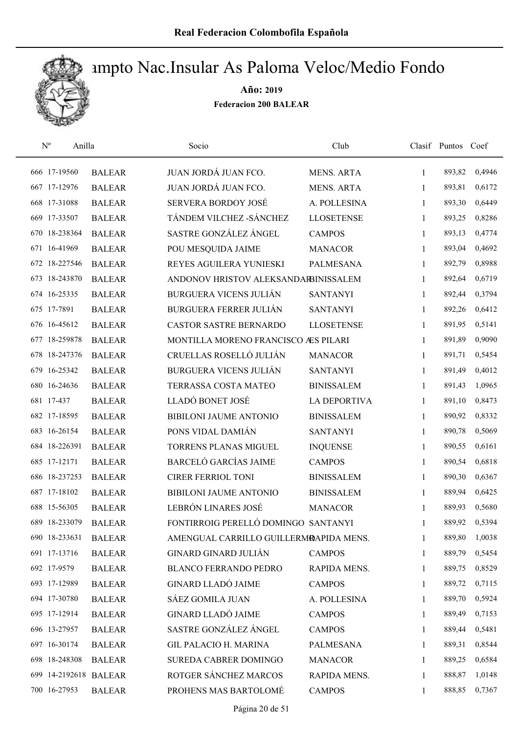

| $\mathrm{N}^{\rm o}$<br>Anilla |               | Socio                                  | Club                |              | Clasif Puntos | Coef   |
|--------------------------------|---------------|----------------------------------------|---------------------|--------------|---------------|--------|
| 666 17-19560                   | <b>BALEAR</b> | JUAN JORDÁ JUAN FCO.                   | <b>MENS. ARTA</b>   | $\mathbf{1}$ | 893,82        | 0,4946 |
| 667 17-12976                   | <b>BALEAR</b> | JUAN JORDÁ JUAN FCO.                   | <b>MENS. ARTA</b>   | 1            | 893,81        | 0,6172 |
| 668 17-31088                   | <b>BALEAR</b> | <b>SERVERA BORDOY JOSÉ</b>             | A. POLLESINA        | $\mathbf{1}$ | 893,30        | 0,6449 |
| 669 17-33507                   | <b>BALEAR</b> | TÁNDEM VILCHEZ -SÁNCHEZ                | <b>LLOSETENSE</b>   | 1            | 893,25        | 0,8286 |
| 670 18-238364                  | <b>BALEAR</b> | SASTRE GONZÁLEZ ÁNGEL                  | <b>CAMPOS</b>       | 1            | 893,13        | 0,4774 |
| 671 16-41969                   | <b>BALEAR</b> | POU MESQUIDA JAIME                     | <b>MANACOR</b>      | $\mathbf{1}$ | 893,04        | 0,4692 |
| 672 18-227546                  | <b>BALEAR</b> | REYES AGUILERA YUNIESKI                | <b>PALMESANA</b>    | $\mathbf{1}$ | 892,79        | 0,8988 |
| 673 18-243870                  | <b>BALEAR</b> | ANDONOV HRISTOV ALEKSANDARBINISSALEM   |                     | $\mathbf{1}$ | 892,64        | 0,6719 |
| 674 16-25335                   | <b>BALEAR</b> | <b>BURGUERA VICENS JULIÁN</b>          | <b>SANTANYI</b>     | $\mathbf{1}$ | 892,44        | 0,3794 |
| 675 17-7891                    | <b>BALEAR</b> | <b>BURGUERA FERRER JULIÁN</b>          | <b>SANTANYI</b>     | 1            | 892,26        | 0,6412 |
| 676 16-45612                   | <b>BALEAR</b> | <b>CASTOR SASTRE BERNARDO</b>          | <b>LLOSETENSE</b>   | 1            | 891,95        | 0,5141 |
| 677 18-259878                  | <b>BALEAR</b> | MONTILLA MORENO FRANCISCO ÆS PILARI    |                     | $\mathbf{1}$ | 891,89        | 0,9090 |
| 678 18-247376                  | <b>BALEAR</b> | CRUELLAS ROSELLÓ JULIÁN                | <b>MANACOR</b>      | 1            | 891,71        | 0,5454 |
| 679 16-25342                   | <b>BALEAR</b> | <b>BURGUERA VICENS JULIÁN</b>          | <b>SANTANYI</b>     | $\mathbf{1}$ | 891,49        | 0,4012 |
| 680 16-24636                   | <b>BALEAR</b> | TERRASSA COSTA MATEO                   | <b>BINISSALEM</b>   | $\mathbf{1}$ | 891,43        | 1,0965 |
| 681 17-437                     | <b>BALEAR</b> | LLADÓ BONET JOSÉ                       | <b>LA DEPORTIVA</b> | 1            | 891,10        | 0,8473 |
| 682 17-18595                   | <b>BALEAR</b> | <b>BIBILONI JAUME ANTONIO</b>          | <b>BINISSALEM</b>   | 1            | 890,92        | 0,8332 |
| 683 16-26154                   | <b>BALEAR</b> | PONS VIDAL DAMIÁN                      | <b>SANTANYI</b>     | $\mathbf{1}$ | 890,78        | 0,5069 |
| 684 18-226391                  | <b>BALEAR</b> | TORRENS PLANAS MIGUEL                  | <b>INQUENSE</b>     | $\mathbf{1}$ | 890,55        | 0,6161 |
| 685 17-12171                   | <b>BALEAR</b> | <b>BARCELÓ GARCÍAS JAIME</b>           | <b>CAMPOS</b>       | $\mathbf{1}$ | 890,54        | 0,6818 |
| 686 18-237253                  | <b>BALEAR</b> | <b>CIRER FERRIOL TONI</b>              | <b>BINISSALEM</b>   | 1            | 890,30        | 0,6367 |
| 687 17-18102                   | <b>BALEAR</b> | BIBILONI JAUME ANTONIO                 | <b>BINISSALEM</b>   | 1            | 889,94        | 0,6425 |
| 688 15-56305                   | <b>BALEAR</b> | LEBRÓN LINARES JOSÉ                    | <b>MANACOR</b>      | 1            | 889,93        | 0,5680 |
| 689 18-233079                  | <b>BALEAR</b> | FONTIRROIG PERELLÓ DOMINGO SANTANYI    |                     | 1            | 889,92        | 0,5394 |
| 690 18-233631                  | <b>BALEAR</b> | AMENGUAL CARRILLO GUILLERMRAPIDA MENS. |                     | $\mathbf{1}$ | 889,80        | 1,0038 |
| 691 17-13716                   | <b>BALEAR</b> | <b>GINARD GINARD JULIÁN</b>            | <b>CAMPOS</b>       | 1            | 889,79        | 0,5454 |
| 692 17-9579                    | <b>BALEAR</b> | <b>BLANCO FERRANDO PEDRO</b>           | RAPIDA MENS.        | 1            | 889,75        | 0,8529 |
| 693 17-12989                   | <b>BALEAR</b> | <b>GINARD LLADÓ JAIME</b>              | <b>CAMPOS</b>       | 1            | 889,72        | 0,7115 |
| 694 17-30780                   | <b>BALEAR</b> | SÁEZ GOMILA JUAN                       | A. POLLESINA        | $\mathbf{1}$ | 889,70        | 0,5924 |
| 695 17-12914                   | <b>BALEAR</b> | <b>GINARD LLADÓ JAIME</b>              | <b>CAMPOS</b>       | $\mathbf{1}$ | 889,49        | 0,7153 |
| 696 13-27957                   | <b>BALEAR</b> | SASTRE GONZÁLEZ ÁNGEL                  | <b>CAMPOS</b>       | 1            | 889,44        | 0,5481 |
| 697 16-30174                   | <b>BALEAR</b> | <b>GIL PALACIO H. MARINA</b>           | <b>PALMESANA</b>    | $\mathbf{1}$ | 889,31        | 0,8544 |
| 698 18-248308                  | <b>BALEAR</b> | SUREDA CABRER DOMINGO                  | <b>MANACOR</b>      | 1            | 889,25        | 0,6584 |
| 699 14-2192618 BALEAR          |               | ROTGER SÁNCHEZ MARCOS                  | RAPIDA MENS.        | 1            | 888,87        | 1,0148 |
| 700 16-27953                   | <b>BALEAR</b> | PROHENS MAS BARTOLOMÉ                  | <b>CAMPOS</b>       | 1            | 888,85        | 0,7367 |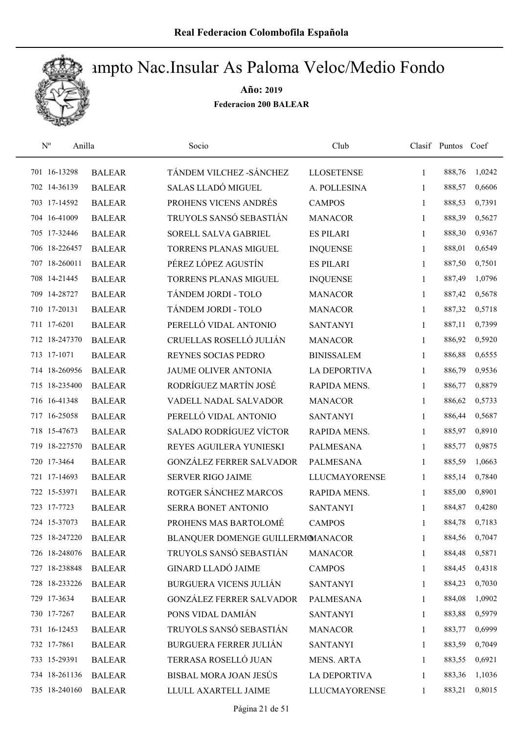

| $\mathbf{N}^{\text{o}}$ | Anilla        | Socio                             | Club                 |              | Clasif Puntos | Coef   |
|-------------------------|---------------|-----------------------------------|----------------------|--------------|---------------|--------|
| 701 16-13298            | <b>BALEAR</b> | TÁNDEM VILCHEZ - SÁNCHEZ          | <b>LLOSETENSE</b>    | $\mathbf{1}$ | 888,76        | 1,0242 |
| 702 14-36139            | <b>BALEAR</b> | SALAS LLADÓ MIGUEL                | A. POLLESINA         | 1            | 888,57        | 0,6606 |
| 703 17-14592            | <b>BALEAR</b> | PROHENS VICENS ANDRÉS             | <b>CAMPOS</b>        | $\mathbf{1}$ | 888,53        | 0,7391 |
| 704 16-41009            | <b>BALEAR</b> | TRUYOLS SANSÓ SEBASTIÁN           | <b>MANACOR</b>       | 1            | 888,39        | 0,5627 |
| 705 17-32446            | <b>BALEAR</b> | SORELL SALVA GABRIEL              | <b>ES PILARI</b>     | 1            | 888,30        | 0,9367 |
| 706 18-226457           | <b>BALEAR</b> | <b>TORRENS PLANAS MIGUEL</b>      | <b>INQUENSE</b>      | $\mathbf{1}$ | 888,01        | 0,6549 |
| 707 18-260011           | <b>BALEAR</b> | PÉREZ LÓPEZ AGUSTÍN               | <b>ES PILARI</b>     | $\mathbf{1}$ | 887,50        | 0,7501 |
| 708 14-21445            | <b>BALEAR</b> | TORRENS PLANAS MIGUEL             | <b>INQUENSE</b>      | $\mathbf{1}$ | 887,49        | 1,0796 |
| 709 14-28727            | <b>BALEAR</b> | TÁNDEM JORDI - TOLO               | <b>MANACOR</b>       | 1            | 887,42        | 0,5678 |
| 710 17-20131            | <b>BALEAR</b> | TÁNDEM JORDI - TOLO               | <b>MANACOR</b>       | 1            | 887,32        | 0,5718 |
| 711 17-6201             | <b>BALEAR</b> | PERELLÓ VIDAL ANTONIO             | <b>SANTANYI</b>      | 1            | 887,11        | 0,7399 |
| 712 18-247370           | <b>BALEAR</b> | CRUELLAS ROSELLÓ JULIÁN           | <b>MANACOR</b>       | 1            | 886,92        | 0,5920 |
| 713 17-1071             | <b>BALEAR</b> | REYNES SOCIAS PEDRO               | <b>BINISSALEM</b>    | 1            | 886,88        | 0,6555 |
| 714 18-260956           | <b>BALEAR</b> | JAUME OLIVER ANTONIA              | <b>LA DEPORTIVA</b>  | 1            | 886,79        | 0,9536 |
| 715 18-235400           | <b>BALEAR</b> | RODRÍGUEZ MARTÍN JOSÉ             | RAPIDA MENS.         | 1            | 886,77        | 0,8879 |
| 716 16-41348            | <b>BALEAR</b> | VADELL NADAL SALVADOR             | <b>MANACOR</b>       | 1            | 886,62        | 0,5733 |
| 717 16-25058            | <b>BALEAR</b> | PERELLÓ VIDAL ANTONIO             | <b>SANTANYI</b>      | 1            | 886,44        | 0,5687 |
| 718 15-47673            | <b>BALEAR</b> | SALADO RODRÍGUEZ VÍCTOR           | RAPIDA MENS.         | $\mathbf{1}$ | 885,97        | 0,8910 |
| 719 18-227570           | <b>BALEAR</b> | REYES AGUILERA YUNIESKI           | <b>PALMESANA</b>     | 1            | 885,77        | 0,9875 |
| 720 17-3464             | <b>BALEAR</b> | <b>GONZÁLEZ FERRER SALVADOR</b>   | <b>PALMESANA</b>     | 1            | 885,59        | 1,0663 |
| 721 17-14693            | <b>BALEAR</b> | <b>SERVER RIGO JAIME</b>          | <b>LLUCMAYORENSE</b> | $\mathbf{1}$ | 885,14        | 0,7840 |
| 722 15-53971            | <b>BALEAR</b> | ROTGER SÁNCHEZ MARCOS             | RAPIDA MENS.         | 1            | 885,00        | 0,8901 |
| 723 17-7723             | <b>BALEAR</b> | SERRA BONET ANTONIO               | <b>SANTANYI</b>      | 1            | 884,87        | 0,4280 |
| 724 15-37073            | <b>BALEAR</b> | PROHENS MAS BARTOLOMÉ             | <b>CAMPOS</b>        | 1            | 884,78        | 0,7183 |
| 725 18-247220           | <b>BALEAR</b> | BLANQUER DOMENGE GUILLERMOMANACOR |                      | 1            | 884,56        | 0,7047 |
| 726 18-248076           | <b>BALEAR</b> | TRUYOLS SANSÓ SEBASTIÁN           | <b>MANACOR</b>       | 1            | 884,48        | 0,5871 |
| 727 18-238848           | <b>BALEAR</b> | <b>GINARD LLADÓ JAIME</b>         | <b>CAMPOS</b>        | 1            | 884,45        | 0,4318 |
| 728 18-233226           | <b>BALEAR</b> | <b>BURGUERA VICENS JULIÁN</b>     | <b>SANTANYI</b>      | 1            | 884,23        | 0,7030 |
| 729 17-3634             | <b>BALEAR</b> | <b>GONZÁLEZ FERRER SALVADOR</b>   | PALMESANA            | 1            | 884,08        | 1,0902 |
| 730 17-7267             | <b>BALEAR</b> | PONS VIDAL DAMIÁN                 | <b>SANTANYI</b>      | $\mathbf{1}$ | 883,88        | 0,5979 |
| 731 16-12453            | <b>BALEAR</b> | TRUYOLS SANSÓ SEBASTIÁN           | <b>MANACOR</b>       | 1            | 883,77        | 0,6999 |
| 732 17-7861             | <b>BALEAR</b> | <b>BURGUERA FERRER JULIÁN</b>     | <b>SANTANYI</b>      | 1            | 883,59        | 0,7049 |
| 733 15-29391            | <b>BALEAR</b> | TERRASA ROSELLÓ JUAN              | <b>MENS. ARTA</b>    | 1            | 883,55        | 0,6921 |
| 734 18-261136           | <b>BALEAR</b> | BISBAL MORA JOAN JESÚS            | <b>LA DEPORTIVA</b>  | 1            | 883,36        | 1,1036 |
| 735 18-240160           | <b>BALEAR</b> | LLULL AXARTELL JAIME              | <b>LLUCMAYORENSE</b> | 1            | 883,21        | 0,8015 |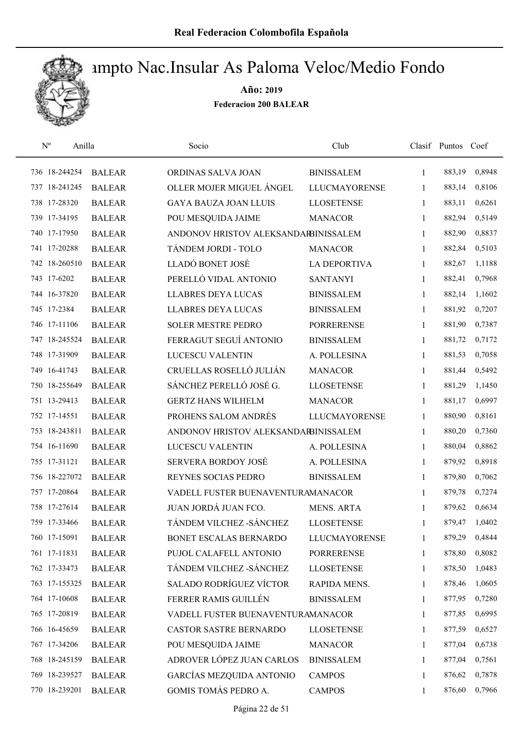

| $\mathbf{N}^{\text{o}}$ | Anilla        | Socio                                | Club                 |              | Clasif Puntos Coef |        |
|-------------------------|---------------|--------------------------------------|----------------------|--------------|--------------------|--------|
| 736 18-244254           | <b>BALEAR</b> | ORDINAS SALVA JOAN                   | <b>BINISSALEM</b>    | $\mathbf{1}$ | 883,19             | 0,8948 |
| 737 18-241245           | <b>BALEAR</b> | OLLER MOJER MIGUEL ÁNGEL             | <b>LLUCMAYORENSE</b> | 1            | 883,14             | 0,8106 |
| 738 17-28320            | <b>BALEAR</b> | <b>GAYA BAUZA JOAN LLUIS</b>         | <b>LLOSETENSE</b>    | $\mathbf{1}$ | 883,11             | 0,6261 |
| 739 17-34195            | <b>BALEAR</b> | POU MESQUIDA JAIME                   | <b>MANACOR</b>       | 1            | 882,94             | 0,5149 |
| 740 17-17950            | <b>BALEAR</b> | ANDONOV HRISTOV ALEKSANDARBINISSALEM |                      | 1            | 882,90             | 0,8837 |
| 741 17-20288            | <b>BALEAR</b> | TÁNDEM JORDI - TOLO                  | <b>MANACOR</b>       | $\mathbf{1}$ | 882,84             | 0,5103 |
| 742 18-260510           | <b>BALEAR</b> | LLADÓ BONET JOSÉ                     | <b>LA DEPORTIVA</b>  | 1            | 882,67             | 1,1188 |
| 743 17-6202             | <b>BALEAR</b> | PERELLÓ VIDAL ANTONIO                | <b>SANTANYI</b>      | 1            | 882,41             | 0,7968 |
| 744 16-37820            | <b>BALEAR</b> | <b>LLABRES DEYA LUCAS</b>            | <b>BINISSALEM</b>    | 1            | 882,14             | 1,1602 |
| 745 17-2384             | <b>BALEAR</b> | <b>LLABRES DEYA LUCAS</b>            | <b>BINISSALEM</b>    | 1            | 881,92             | 0,7207 |
| 746 17-11106            | <b>BALEAR</b> | <b>SOLER MESTRE PEDRO</b>            | <b>PORRERENSE</b>    | $\mathbf{1}$ | 881,90             | 0,7387 |
| 747 18-245524           | <b>BALEAR</b> | FERRAGUT SEGUÍ ANTONIO               | <b>BINISSALEM</b>    | 1            | 881,72             | 0,7172 |
| 748 17-31909            | <b>BALEAR</b> | <b>LUCESCU VALENTIN</b>              | A. POLLESINA         | $\mathbf{1}$ | 881,53             | 0,7058 |
| 749 16-41743            | <b>BALEAR</b> | CRUELLAS ROSELLÓ JULIÁN              | <b>MANACOR</b>       | $\mathbf{1}$ | 881,44             | 0,5492 |
| 750 18-255649           | <b>BALEAR</b> | SÁNCHEZ PERELLÓ JOSÉ G.              | <b>LLOSETENSE</b>    | $\mathbf{1}$ | 881,29             | 1,1450 |
| 751 13-29413            | <b>BALEAR</b> | <b>GERTZ HANS WILHELM</b>            | <b>MANACOR</b>       | 1            | 881,17             | 0,6997 |
| 752 17-14551            | <b>BALEAR</b> | PROHENS SALOM ANDRÉS                 | <b>LLUCMAYORENSE</b> | $\mathbf{1}$ | 880,90             | 0,8161 |
| 753 18-243811           | <b>BALEAR</b> | ANDONOV HRISTOV ALEKSANDARBINISSALEM |                      | $\mathbf{1}$ | 880,20             | 0,7360 |
| 754 16-11690            | <b>BALEAR</b> | LUCESCU VALENTIN                     | A. POLLESINA         | $\mathbf{1}$ | 880,04             | 0,8862 |
| 755 17-31121            | <b>BALEAR</b> | <b>SERVERA BORDOY JOSÉ</b>           | A. POLLESINA         | $\mathbf{1}$ | 879,92             | 0,8918 |
| 756 18-227072           | <b>BALEAR</b> | REYNES SOCIAS PEDRO                  | <b>BINISSALEM</b>    | $\mathbf{1}$ | 879,80             | 0,7062 |
| 757 17-20864            | <b>BALEAR</b> | VADELL FUSTER BUENAVENTURAMANACOR    |                      | 1            | 879,78             | 0,7274 |
| 758 17-27614            | <b>BALEAR</b> | JUAN JORDÁ JUAN FCO.                 | <b>MENS. ARTA</b>    | 1            | 879,62             | 0,6634 |
| 759 17-33466            | <b>BALEAR</b> | TÁNDEM VILCHEZ - SÁNCHEZ             | <b>LLOSETENSE</b>    | 1            | 879,47             | 1,0402 |
| 760 17-15091            | <b>BALEAR</b> | BONET ESCALAS BERNARDO               | <b>LLUCMAYORENSE</b> | 1            | 879,29             | 0,4844 |
| 761 17-11831            | <b>BALEAR</b> | PUJOL CALAFELL ANTONIO               | <b>PORRERENSE</b>    | 1            | 878,80             | 0,8082 |
| 762 17-33473            | <b>BALEAR</b> | TÁNDEM VILCHEZ - SÁNCHEZ             | <b>LLOSETENSE</b>    | 1            | 878,50             | 1,0483 |
| 763 17-155325           | <b>BALEAR</b> | <b>SALADO RODRÍGUEZ VÍCTOR</b>       | RAPIDA MENS.         | 1            | 878,46             | 1,0605 |
| 764 17-10608            | <b>BALEAR</b> | FERRER RAMIS GUILLÉN                 | <b>BINISSALEM</b>    | 1            | 877,95             | 0,7280 |
| 765 17-20819            | <b>BALEAR</b> | VADELL FUSTER BUENAVENTURAMANACOR    |                      | 1            | 877,85             | 0,6995 |
| 766 16-45659            | <b>BALEAR</b> | CASTOR SASTRE BERNARDO               | <b>LLOSETENSE</b>    | 1            | 877,59             | 0,6527 |
| 767 17-34206            | <b>BALEAR</b> | POU MESQUIDA JAIME                   | <b>MANACOR</b>       | 1            | 877,04             | 0,6738 |
| 768 18-245159           | <b>BALEAR</b> | ADROVER LÓPEZ JUAN CARLOS            | <b>BINISSALEM</b>    | 1            | 877,04             | 0,7561 |
| 769 18-239527           | <b>BALEAR</b> | GARCÍAS MEZQUIDA ANTONIO             | <b>CAMPOS</b>        | 1            | 876,62             | 0,7878 |
| 770 18-239201           | <b>BALEAR</b> | GOMIS TOMÁS PEDRO A.                 | <b>CAMPOS</b>        | 1            | 876,60             | 0,7966 |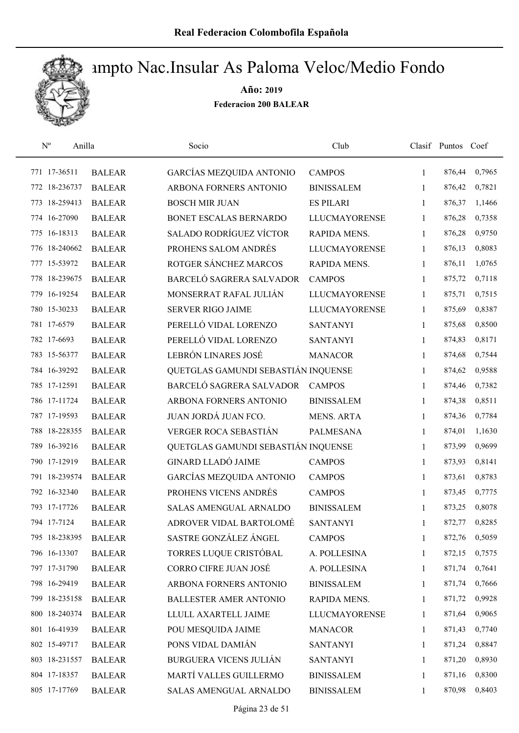

| $\mathbf{N}^{\text{o}}$ | Anilla        | Socio                               | Club                 |              | Clasif Puntos Coef |        |
|-------------------------|---------------|-------------------------------------|----------------------|--------------|--------------------|--------|
| 771 17-36511            | <b>BALEAR</b> | <b>GARCÍAS MEZQUIDA ANTONIO</b>     | <b>CAMPOS</b>        | $\mathbf{1}$ | 876,44             | 0,7965 |
| 772 18-236737           | <b>BALEAR</b> | ARBONA FORNERS ANTONIO              | <b>BINISSALEM</b>    | 1            | 876,42             | 0,7821 |
| 773 18-259413           | <b>BALEAR</b> | <b>BOSCH MIR JUAN</b>               | <b>ES PILARI</b>     | $\mathbf{1}$ | 876,37             | 1,1466 |
| 774 16-27090            | <b>BALEAR</b> | BONET ESCALAS BERNARDO              | <b>LLUCMAYORENSE</b> | 1            | 876,28             | 0,7358 |
| 775 16-18313            | <b>BALEAR</b> | <b>SALADO RODRÍGUEZ VÍCTOR</b>      | RAPIDA MENS.         | 1            | 876,28             | 0,9750 |
| 776 18-240662           | <b>BALEAR</b> | PROHENS SALOM ANDRÉS                | <b>LLUCMAYORENSE</b> | $\mathbf{1}$ | 876,13             | 0,8083 |
| 777 15-53972            | <b>BALEAR</b> | ROTGER SÁNCHEZ MARCOS               | RAPIDA MENS.         | $\mathbf{1}$ | 876,11             | 1,0765 |
| 778 18-239675           | <b>BALEAR</b> | BARCELÓ SAGRERA SALVADOR            | <b>CAMPOS</b>        | $\mathbf{1}$ | 875,72             | 0,7118 |
| 779 16-19254            | <b>BALEAR</b> | MONSERRAT RAFAL JULIÁN              | <b>LLUCMAYORENSE</b> | 1            | 875,71             | 0,7515 |
| 780 15-30233            | <b>BALEAR</b> | <b>SERVER RIGO JAIME</b>            | <b>LLUCMAYORENSE</b> | 1            | 875,69             | 0,8387 |
| 781 17-6579             | <b>BALEAR</b> | PERELLÓ VIDAL LORENZO               | <b>SANTANYI</b>      | 1            | 875,68             | 0,8500 |
| 782 17-6693             | <b>BALEAR</b> | PERELLÓ VIDAL LORENZO               | <b>SANTANYI</b>      | 1            | 874,83             | 0,8171 |
| 783 15-56377            | <b>BALEAR</b> | LEBRÓN LINARES JOSÉ                 | <b>MANACOR</b>       | $\mathbf{1}$ | 874,68             | 0,7544 |
| 784 16-39292            | <b>BALEAR</b> | QUETGLAS GAMUNDI SEBASTIÁN INQUENSE |                      | $\mathbf{1}$ | 874,62             | 0,9588 |
| 785 17-12591            | <b>BALEAR</b> | BARCELÓ SAGRERA SALVADOR            | <b>CAMPOS</b>        | $\mathbf{1}$ | 874,46             | 0,7382 |
| 786 17-11724            | <b>BALEAR</b> | ARBONA FORNERS ANTONIO              | <b>BINISSALEM</b>    | 1            | 874,38             | 0,8511 |
| 787 17-19593            | <b>BALEAR</b> | JUAN JORDÁ JUAN FCO.                | <b>MENS. ARTA</b>    | 1            | 874,36             | 0,7784 |
| 788 18-228355           | <b>BALEAR</b> | VERGER ROCA SEBASTIÁN               | <b>PALMESANA</b>     | $\mathbf{1}$ | 874,01             | 1,1630 |
| 789 16-39216            | <b>BALEAR</b> | QUETGLAS GAMUNDI SEBASTIÁN INQUENSE |                      | $\mathbf{1}$ | 873,99             | 0,9699 |
| 790 17-12919            | <b>BALEAR</b> | <b>GINARD LLADÓ JAIME</b>           | <b>CAMPOS</b>        | $\mathbf{1}$ | 873,93             | 0,8141 |
| 791 18-239574           | <b>BALEAR</b> | <b>GARCÍAS MEZQUIDA ANTONIO</b>     | <b>CAMPOS</b>        | $\mathbf{1}$ | 873,61             | 0,8783 |
| 792 16-32340            | <b>BALEAR</b> | PROHENS VICENS ANDRÉS               | <b>CAMPOS</b>        | 1            | 873,45             | 0,7775 |
| 793 17-17726            | <b>BALEAR</b> | SALAS AMENGUAL ARNALDO              | <b>BINISSALEM</b>    | 1            | 873,25             | 0,8078 |
| 794 17-7124             | <b>BALEAR</b> | ADROVER VIDAL BARTOLOMÉ             | <b>SANTANYI</b>      | 1            | 872,77             | 0,8285 |
| 795 18-238395           | <b>BALEAR</b> | SASTRE GONZÁLEZ ÁNGEL               | <b>CAMPOS</b>        | 1            | 872,76             | 0,5059 |
| 796 16-13307            | <b>BALEAR</b> | TORRES LUQUE CRISTÓBAL              | A. POLLESINA         | 1            | 872,15             | 0,7575 |
| 797 17-31790            | <b>BALEAR</b> | <b>CORRO CIFRE JUAN JOSÉ</b>        | A. POLLESINA         | 1            | 871,74             | 0,7641 |
| 798 16-29419            | <b>BALEAR</b> | ARBONA FORNERS ANTONIO              | <b>BINISSALEM</b>    | 1            | 871,74             | 0,7666 |
| 799 18-235158           | <b>BALEAR</b> | <b>BALLESTER AMER ANTONIO</b>       | RAPIDA MENS.         | 1            | 871,72             | 0,9928 |
| 800 18-240374           | <b>BALEAR</b> | LLULL AXARTELL JAIME                | <b>LLUCMAYORENSE</b> | 1            | 871,64             | 0,9065 |
| 801 16-41939            | <b>BALEAR</b> | POU MESQUIDA JAIME                  | <b>MANACOR</b>       | 1            | 871,43             | 0,7740 |
| 802 15-49717            | <b>BALEAR</b> | PONS VIDAL DAMIÁN                   | <b>SANTANYI</b>      | 1            | 871,24             | 0,8847 |
| 803 18-231557           | <b>BALEAR</b> | <b>BURGUERA VICENS JULIÁN</b>       | <b>SANTANYI</b>      | 1            | 871,20             | 0,8930 |
| 804 17-18357            | <b>BALEAR</b> | MARTÍ VALLES GUILLERMO              | <b>BINISSALEM</b>    | 1            | 871,16             | 0,8300 |
| 805 17-17769            | <b>BALEAR</b> | SALAS AMENGUAL ARNALDO              | <b>BINISSALEM</b>    | $\mathbf{1}$ | 870,98             | 0,8403 |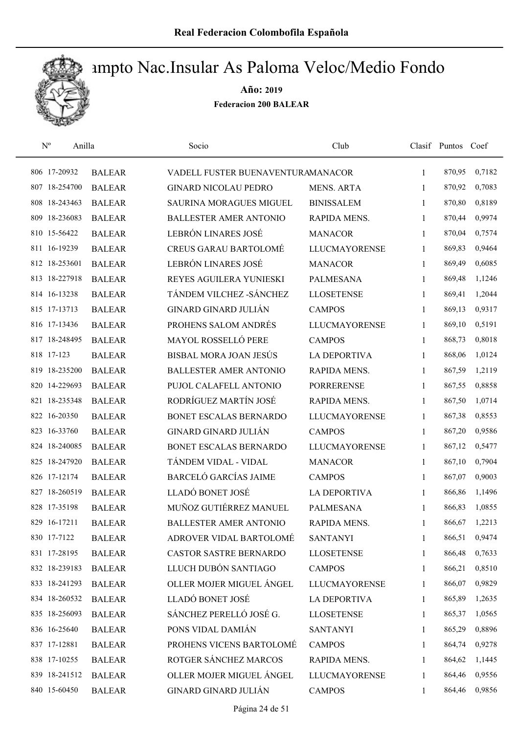

| $\mathrm{N}^{\mathrm{o}}$ | Anilla        | Socio                             | Club                 |              | Clasif Puntos Coef |        |
|---------------------------|---------------|-----------------------------------|----------------------|--------------|--------------------|--------|
| 806 17-20932              | <b>BALEAR</b> | VADELL FUSTER BUENAVENTURAMANACOR |                      | 1            | 870,95             | 0,7182 |
| 807 18-254700             | <b>BALEAR</b> | <b>GINARD NICOLAU PEDRO</b>       | <b>MENS. ARTA</b>    | 1            | 870,92             | 0,7083 |
| 808 18-243463             | <b>BALEAR</b> | <b>SAURINA MORAGUES MIGUEL</b>    | <b>BINISSALEM</b>    | 1            | 870,80             | 0,8189 |
| 809 18-236083             | <b>BALEAR</b> | <b>BALLESTER AMER ANTONIO</b>     | RAPIDA MENS.         | $\mathbf{1}$ | 870,44             | 0,9974 |
| 810 15-56422              | <b>BALEAR</b> | LEBRÓN LINARES JOSÉ               | <b>MANACOR</b>       | 1            | 870,04             | 0,7574 |
| 811 16-19239              | <b>BALEAR</b> | <b>CREUS GARAU BARTOLOMÉ</b>      | <b>LLUCMAYORENSE</b> | 1            | 869,83             | 0,9464 |
| 812 18-253601             | <b>BALEAR</b> | LEBRÓN LINARES JOSÉ               | <b>MANACOR</b>       | $\mathbf{1}$ | 869,49             | 0,6085 |
| 813 18-227918             | <b>BALEAR</b> | REYES AGUILERA YUNIESKI           | <b>PALMESANA</b>     | 1            | 869,48             | 1,1246 |
| 814 16-13238              | <b>BALEAR</b> | TÁNDEM VILCHEZ - SÁNCHEZ          | <b>LLOSETENSE</b>    | 1            | 869,41             | 1,2044 |
| 815 17-13713              | <b>BALEAR</b> | <b>GINARD GINARD JULIÁN</b>       | <b>CAMPOS</b>        | 1            | 869,13             | 0,9317 |
| 816 17-13436              | <b>BALEAR</b> | PROHENS SALOM ANDRÉS              | <b>LLUCMAYORENSE</b> | 1            | 869,10             | 0,5191 |
| 817 18-248495             | <b>BALEAR</b> | MAYOL ROSSELLÓ PERE               | <b>CAMPOS</b>        | 1            | 868,73             | 0,8018 |
| 818 17-123                | <b>BALEAR</b> | <b>BISBAL MORA JOAN JESÚS</b>     | <b>LA DEPORTIVA</b>  | 1            | 868,06             | 1,0124 |
| 819 18-235200             | <b>BALEAR</b> | <b>BALLESTER AMER ANTONIO</b>     | <b>RAPIDA MENS.</b>  | $\mathbf{1}$ | 867,59             | 1,2119 |
| 820 14-229693             | <b>BALEAR</b> | PUJOL CALAFELL ANTONIO            | <b>PORRERENSE</b>    | 1            | 867,55             | 0,8858 |
| 821 18-235348             | <b>BALEAR</b> | RODRÍGUEZ MARTÍN JOSÉ             | RAPIDA MENS.         | 1            | 867,50             | 1,0714 |
| 822 16-20350              | <b>BALEAR</b> | BONET ESCALAS BERNARDO            | <b>LLUCMAYORENSE</b> | 1            | 867,38             | 0,8553 |
| 823 16-33760              | <b>BALEAR</b> | <b>GINARD GINARD JULIÁN</b>       | <b>CAMPOS</b>        | $\mathbf{1}$ | 867,20             | 0,9586 |
| 824 18-240085             | <b>BALEAR</b> | BONET ESCALAS BERNARDO            | <b>LLUCMAYORENSE</b> | $\mathbf{1}$ | 867,12             | 0,5477 |
| 825 18-247920             | <b>BALEAR</b> | TÁNDEM VIDAL - VIDAL              | <b>MANACOR</b>       | $\mathbf{1}$ | 867,10             | 0,7904 |
| 826 17-12174              | <b>BALEAR</b> | <b>BARCELÓ GARCÍAS JAIME</b>      | <b>CAMPOS</b>        | 1            | 867,07             | 0,9003 |
| 827 18-260519             | <b>BALEAR</b> | LLADÓ BONET JOSÉ                  | <b>LA DEPORTIVA</b>  | 1            | 866,86             | 1,1496 |
| 828 17-35198              | <b>BALEAR</b> | MUÑOZ GUTIÉRREZ MANUEL            | <b>PALMESANA</b>     | 1            | 866,83             | 1,0855 |
| 829 16-17211              | <b>BALEAR</b> | <b>BALLESTER AMER ANTONIO</b>     | RAPIDA MENS.         | 1            | 866,67             | 1,2213 |
| 830 17-7122               | <b>BALEAR</b> | ADROVER VIDAL BARTOLOMÉ           | <b>SANTANYI</b>      | 1            | 866,51             | 0,9474 |
| 831 17-28195              | <b>BALEAR</b> | CASTOR SASTRE BERNARDO            | <b>LLOSETENSE</b>    | 1            | 866,48             | 0,7633 |
| 832 18-239183             | <b>BALEAR</b> | LLUCH DUBÓN SANTIAGO              | <b>CAMPOS</b>        | 1            | 866,21             | 0,8510 |
| 833 18-241293             | <b>BALEAR</b> | OLLER MOJER MIGUEL ÁNGEL          | <b>LLUCMAYORENSE</b> | 1            | 866,07             | 0,9829 |
| 834 18-260532             | <b>BALEAR</b> | LLADÓ BONET JOSÉ                  | <b>LA DEPORTIVA</b>  | 1            | 865,89             | 1,2635 |
| 835 18-256093             | <b>BALEAR</b> | SÁNCHEZ PERELLÓ JOSÉ G.           | <b>LLOSETENSE</b>    | 1            | 865,37             | 1,0565 |
| 836 16-25640              | <b>BALEAR</b> | PONS VIDAL DAMIÁN                 | <b>SANTANYI</b>      | 1            | 865,29             | 0,8896 |
| 837 17-12881              | <b>BALEAR</b> | PROHENS VICENS BARTOLOMÉ          | <b>CAMPOS</b>        | 1            | 864,74             | 0,9278 |
| 838 17-10255              | <b>BALEAR</b> | ROTGER SÁNCHEZ MARCOS             | RAPIDA MENS.         | 1            | 864,62             | 1,1445 |
| 839 18-241512             | <b>BALEAR</b> | OLLER MOJER MIGUEL ÁNGEL          | <b>LLUCMAYORENSE</b> | 1            | 864,46             | 0,9556 |
| 840 15-60450              | <b>BALEAR</b> | GINARD GINARD JULIÁN              | <b>CAMPOS</b>        | 1            | 864,46             | 0,9856 |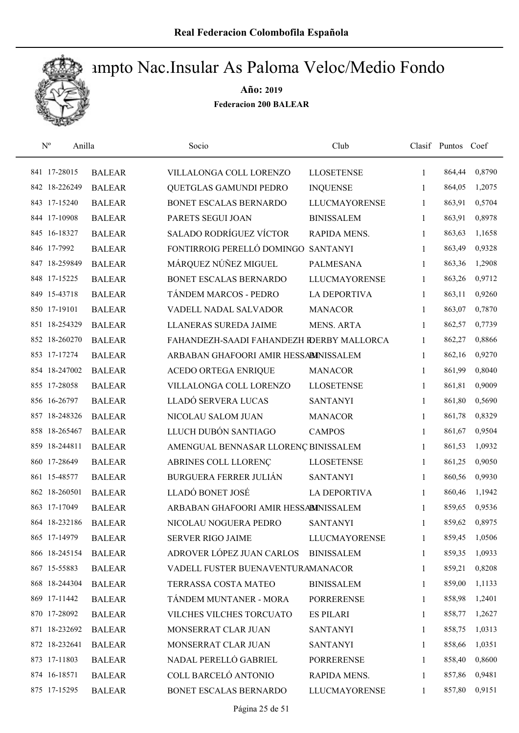

| $\mathbf{N}^{\text{o}}$<br>Anilla |               | Socio                                     | Club                 |              | Clasif Puntos | Coef   |
|-----------------------------------|---------------|-------------------------------------------|----------------------|--------------|---------------|--------|
| 841 17-28015                      | <b>BALEAR</b> | VILLALONGA COLL LORENZO                   | <b>LLOSETENSE</b>    | $\mathbf{1}$ | 864,44        | 0,8790 |
| 842 18-226249                     | <b>BALEAR</b> | QUETGLAS GAMUNDI PEDRO                    | <b>INQUENSE</b>      | 1            | 864,05        | 1,2075 |
| 843 17-15240                      | <b>BALEAR</b> | BONET ESCALAS BERNARDO                    | <b>LLUCMAYORENSE</b> | $\mathbf{1}$ | 863,91        | 0,5704 |
| 844 17-10908                      | <b>BALEAR</b> | PARETS SEGUI JOAN                         | <b>BINISSALEM</b>    | 1            | 863,91        | 0,8978 |
| 845 16-18327                      | <b>BALEAR</b> | <b>SALADO RODRÍGUEZ VÍCTOR</b>            | RAPIDA MENS.         | $\mathbf{1}$ | 863,63        | 1,1658 |
| 846 17-7992                       | <b>BALEAR</b> | FONTIRROIG PERELLÓ DOMINGO                | <b>SANTANYI</b>      | $\mathbf{1}$ | 863,49        | 0,9328 |
| 847 18-259849                     | <b>BALEAR</b> | MÁRQUEZ NÚÑEZ MIGUEL                      | <b>PALMESANA</b>     | 1            | 863,36        | 1,2908 |
| 848 17-15225                      | <b>BALEAR</b> | BONET ESCALAS BERNARDO                    | <b>LLUCMAYORENSE</b> | $\mathbf{1}$ | 863,26        | 0,9712 |
| 849 15-43718                      | <b>BALEAR</b> | TÁNDEM MARCOS - PEDRO                     | <b>LA DEPORTIVA</b>  | 1            | 863,11        | 0,9260 |
| 850 17-19101                      | <b>BALEAR</b> | VADELL NADAL SALVADOR                     | <b>MANACOR</b>       | 1            | 863,07        | 0,7870 |
| 851 18-254329                     | <b>BALEAR</b> | LLANERAS SUREDA JAIME                     | <b>MENS. ARTA</b>    | 1            | 862,57        | 0,7739 |
| 852 18-260270                     | <b>BALEAR</b> | FAHANDEZH-SAADI FAHANDEZH RDERBY MALLORCA |                      | 1            | 862,27        | 0,8866 |
| 853 17-17274                      | <b>BALEAR</b> | ARBABAN GHAFOORI AMIR HESSABINISSALEM     |                      | 1            | 862,16        | 0,9270 |
| 854 18-247002                     | <b>BALEAR</b> | <b>ACEDO ORTEGA ENRIQUE</b>               | <b>MANACOR</b>       | $\mathbf{1}$ | 861,99        | 0,8040 |
| 855 17-28058                      | <b>BALEAR</b> | VILLALONGA COLL LORENZO                   | <b>LLOSETENSE</b>    | $\mathbf{1}$ | 861,81        | 0,9009 |
| 856 16-26797                      | <b>BALEAR</b> | LLADÓ SERVERA LUCAS                       | <b>SANTANYI</b>      | 1            | 861,80        | 0,5690 |
| 857 18-248326                     | <b>BALEAR</b> | NICOLAU SALOM JUAN                        | <b>MANACOR</b>       | $\mathbf{1}$ | 861,78        | 0,8329 |
| 858 18-265467                     | <b>BALEAR</b> | LLUCH DUBÓN SANTIAGO                      | <b>CAMPOS</b>        | $\mathbf{1}$ | 861,67        | 0,9504 |
| 859 18-244811                     | <b>BALEAR</b> | AMENGUAL BENNASAR LLORENÇ BINISSALEM      |                      | $\mathbf{1}$ | 861,53        | 1,0932 |
| 860 17-28649                      | <b>BALEAR</b> | ABRINES COLL LLORENÇ                      | <b>LLOSETENSE</b>    | $\mathbf{1}$ | 861,25        | 0,9050 |
| 861 15-48577                      | <b>BALEAR</b> | <b>BURGUERA FERRER JULIÁN</b>             | <b>SANTANYI</b>      | 1            | 860,56        | 0,9930 |
| 862 18-260501                     | <b>BALEAR</b> | LLADÓ BONET JOSÉ                          | <b>LA DEPORTIVA</b>  | 1            | 860,46        | 1,1942 |
| 863 17-17049                      | <b>BALEAR</b> | ARBABAN GHAFOORI AMIR HESSABINISSALEM     |                      | 1            | 859,65        | 0,9536 |
| 864 18-232186                     | <b>BALEAR</b> | NICOLAU NOGUERA PEDRO                     | <b>SANTANYI</b>      | 1            | 859,62        | 0,8975 |
| 865 17-14979                      | <b>BALEAR</b> | <b>SERVER RIGO JAIME</b>                  | <b>LLUCMAYORENSE</b> | $\mathbf{1}$ | 859,45        | 1,0506 |
| 866 18-245154                     | <b>BALEAR</b> | ADROVER LÓPEZ JUAN CARLOS                 | <b>BINISSALEM</b>    | 1            | 859,35        | 1,0933 |
| 867 15-55883                      | <b>BALEAR</b> | VADELL FUSTER BUENAVENTURAMANACOR         |                      | 1            | 859,21        | 0,8208 |
| 868 18-244304                     | <b>BALEAR</b> | TERRASSA COSTA MATEO                      | <b>BINISSALEM</b>    | $\mathbf{1}$ | 859,00        | 1,1133 |
| 869 17-11442                      | <b>BALEAR</b> | TÁNDEM MUNTANER - MORA                    | <b>PORRERENSE</b>    | 1            | 858,98        | 1,2401 |
| 870 17-28092                      | <b>BALEAR</b> | VILCHES VILCHES TORCUATO                  | <b>ES PILARI</b>     | $\mathbf{1}$ | 858,77        | 1,2627 |
| 871 18-232692                     | <b>BALEAR</b> | MONSERRAT CLAR JUAN                       | <b>SANTANYI</b>      | 1            | 858,75        | 1,0313 |
| 872 18-232641                     | <b>BALEAR</b> | MONSERRAT CLAR JUAN                       | <b>SANTANYI</b>      | 1            | 858,66        | 1,0351 |
| 873 17-11803                      | <b>BALEAR</b> | NADAL PERELLÓ GABRIEL                     | <b>PORRERENSE</b>    | 1            | 858,40        | 0,8600 |
| 874 16-18571                      | <b>BALEAR</b> | COLL BARCELÓ ANTONIO                      | RAPIDA MENS.         | 1            | 857,86        | 0,9481 |
| 875 17-15295                      | <b>BALEAR</b> | BONET ESCALAS BERNARDO                    | <b>LLUCMAYORENSE</b> | 1            | 857,80        | 0,9151 |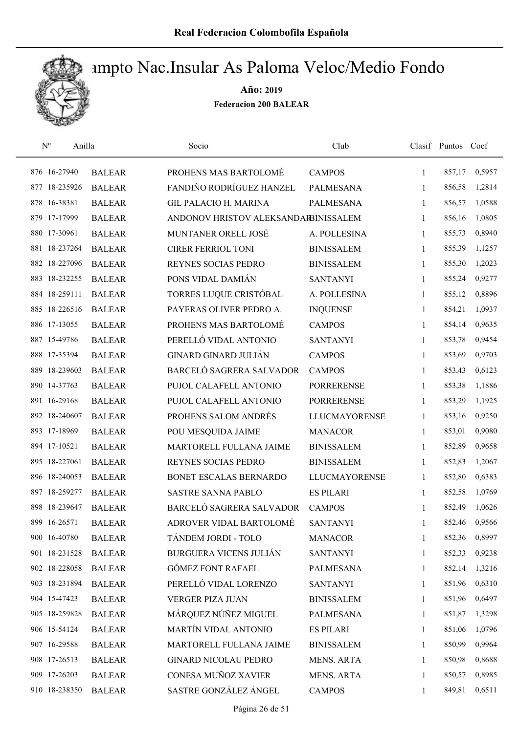

| $\mathbf{N}^{\text{o}}$<br>Anilla |               | Socio                                | Club                 |              | Clasif Puntos Coef |        |
|-----------------------------------|---------------|--------------------------------------|----------------------|--------------|--------------------|--------|
| 876 16-27940                      | <b>BALEAR</b> | PROHENS MAS BARTOLOMÉ                | <b>CAMPOS</b>        | $\mathbf{1}$ | 857,17             | 0,5957 |
| 877 18-235926                     | <b>BALEAR</b> | FANDIÑO RODRÍGUEZ HANZEL             | <b>PALMESANA</b>     | 1            | 856,58             | 1,2814 |
| 878 16-38381                      | <b>BALEAR</b> | <b>GIL PALACIO H. MARINA</b>         | <b>PALMESANA</b>     | $\mathbf{1}$ | 856,57             | 1,0588 |
| 879 17-17999                      | <b>BALEAR</b> | ANDONOV HRISTOV ALEKSANDARBINISSALEM |                      | 1            | 856,16             | 1,0805 |
| 880 17-30961                      | <b>BALEAR</b> | MUNTANER ORELL JOSÉ                  | A. POLLESINA         | 1            | 855,73             | 0,8940 |
| 881 18-237264                     | <b>BALEAR</b> | <b>CIRER FERRIOL TONI</b>            | <b>BINISSALEM</b>    | $\mathbf{1}$ | 855,39             | 1,1257 |
| 882 18-227096                     | <b>BALEAR</b> | REYNES SOCIAS PEDRO                  | <b>BINISSALEM</b>    | $\mathbf{1}$ | 855,30             | 1,2023 |
| 883 18-232255                     | <b>BALEAR</b> | PONS VIDAL DAMIÁN                    | <b>SANTANYI</b>      | 1            | 855,24             | 0,9277 |
| 884 18-259111                     | <b>BALEAR</b> | TORRES LUQUE CRISTÓBAL               | A. POLLESINA         | 1            | 855,12             | 0,8896 |
| 885 18-226516                     | <b>BALEAR</b> | PAYERAS OLIVER PEDRO A.              | <b>INQUENSE</b>      | 1            | 854,21             | 1,0937 |
| 886 17-13055                      | <b>BALEAR</b> | PROHENS MAS BARTOLOMÉ                | <b>CAMPOS</b>        | 1            | 854,14             | 0,9635 |
| 887 15-49786                      | <b>BALEAR</b> | PERELLÓ VIDAL ANTONIO                | <b>SANTANYI</b>      | 1            | 853,78             | 0,9454 |
| 888 17-35394                      | <b>BALEAR</b> | <b>GINARD GINARD JULIÁN</b>          | <b>CAMPOS</b>        | 1            | 853,69             | 0,9703 |
| 889 18-239603                     | <b>BALEAR</b> | BARCELÓ SAGRERA SALVADOR             | <b>CAMPOS</b>        | $\mathbf{1}$ | 853,43             | 0,6123 |
| 890 14-37763                      | <b>BALEAR</b> | PUJOL CALAFELL ANTONIO               | <b>PORRERENSE</b>    | $\mathbf{1}$ | 853,38             | 1,1886 |
| 891 16-29168                      | <b>BALEAR</b> | PUJOL CALAFELL ANTONIO               | <b>PORRERENSE</b>    | 1            | 853,29             | 1,1925 |
| 892 18-240607                     | <b>BALEAR</b> | PROHENS SALOM ANDRÉS                 | <b>LLUCMAYORENSE</b> | 1            | 853,16             | 0,9250 |
| 893 17-18969                      | <b>BALEAR</b> | POU MESQUIDA JAIME                   | <b>MANACOR</b>       | $\mathbf{1}$ | 853,01             | 0,9080 |
| 894 17-10521                      | <b>BALEAR</b> | MARTORELL FULLANA JAIME              | <b>BINISSALEM</b>    | 1            | 852,89             | 0,9658 |
| 895 18-227061                     | <b>BALEAR</b> | REYNES SOCIAS PEDRO                  | <b>BINISSALEM</b>    | 1            | 852,83             | 1,2067 |
| 896 18-240053                     | <b>BALEAR</b> | BONET ESCALAS BERNARDO               | <b>LLUCMAYORENSE</b> | 1            | 852,80             | 0,6383 |
| 897 18-259277                     | <b>BALEAR</b> | <b>SASTRE SANNA PABLO</b>            | <b>ES PILARI</b>     | 1            | 852,58             | 1,0769 |
| 898 18-239647                     | <b>BALEAR</b> | BARCELÓ SAGRERA SALVADOR             | <b>CAMPOS</b>        | 1            | 852,49             | 1,0626 |
| 899 16-26571                      | <b>BALEAR</b> | ADROVER VIDAL BARTOLOMÉ              | <b>SANTANYI</b>      | 1            | 852,46             | 0,9566 |
| 900 16-40780                      | <b>BALEAR</b> | TÁNDEM JORDI - TOLO                  | <b>MANACOR</b>       | 1            | 852,36             | 0,8997 |
| 901 18-231528                     | <b>BALEAR</b> | <b>BURGUERA VICENS JULIÁN</b>        | <b>SANTANYI</b>      | 1            | 852,33             | 0,9238 |
| 902 18-228058                     | <b>BALEAR</b> | <b>GÓMEZ FONT RAFAEL</b>             | PALMESANA            | 1            | 852,14             | 1,3216 |
| 903 18-231894                     | <b>BALEAR</b> | PERELLÓ VIDAL LORENZO                | <b>SANTANYI</b>      | 1            | 851,96             | 0,6310 |
| 904 15-47423                      | <b>BALEAR</b> | VERGER PIZA JUAN                     | <b>BINISSALEM</b>    | 1            | 851,96             | 0,6497 |
| 905 18-259828                     | <b>BALEAR</b> | MÁRQUEZ NÚÑEZ MIGUEL                 | <b>PALMESANA</b>     | 1            | 851,87             | 1,3298 |
| 906 15-54124                      | <b>BALEAR</b> | <b>MARTÍN VIDAL ANTONIO</b>          | <b>ES PILARI</b>     | 1            | 851,06             | 1,0796 |
| 907 16-29588                      | <b>BALEAR</b> | MARTORELL FULLANA JAIME              | <b>BINISSALEM</b>    | 1            | 850,99             | 0,9964 |
| 908 17-26513                      | <b>BALEAR</b> | <b>GINARD NICOLAU PEDRO</b>          | MENS. ARTA           | 1            | 850,98             | 0,8688 |
| 909 17-26203                      | <b>BALEAR</b> | CONESA MUÑOZ XAVIER                  | <b>MENS. ARTA</b>    | 1            | 850,57             | 0,8985 |
| 910 18-238350                     | <b>BALEAR</b> | SASTRE GONZÁLEZ ÁNGEL                | <b>CAMPOS</b>        | $\mathbf{1}$ | 849,81             | 0,6511 |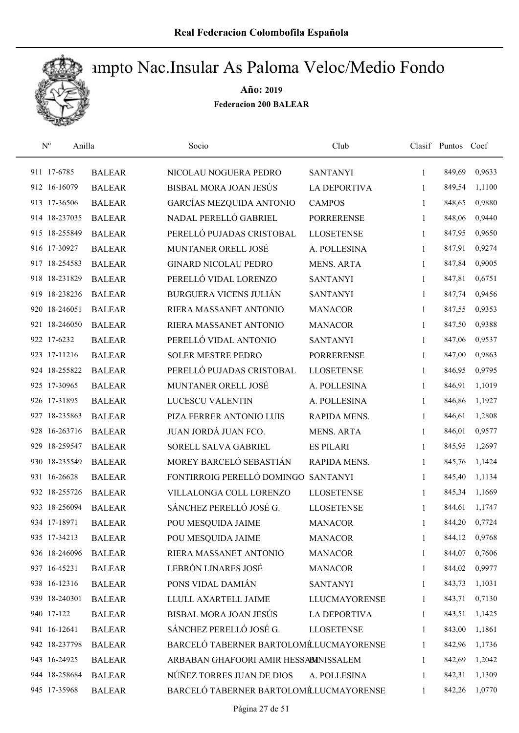

| $N^{\rm o}$   | Anilla        | Socio                                  | Club                 |              | Clasif Puntos Coef |        |
|---------------|---------------|----------------------------------------|----------------------|--------------|--------------------|--------|
| 911 17-6785   | <b>BALEAR</b> | NICOLAU NOGUERA PEDRO                  | <b>SANTANYI</b>      | $\mathbf{1}$ | 849,69             | 0,9633 |
| 912 16-16079  | <b>BALEAR</b> | BISBAL MORA JOAN JESÚS                 | <b>LA DEPORTIVA</b>  | 1            | 849,54             | 1,1100 |
| 913 17-36506  | <b>BALEAR</b> | GARCÍAS MEZQUIDA ANTONIO               | <b>CAMPOS</b>        | $\mathbf{1}$ | 848,65             | 0,9880 |
| 914 18-237035 | <b>BALEAR</b> | NADAL PERELLÓ GABRIEL                  | <b>PORRERENSE</b>    | 1            | 848,06             | 0,9440 |
| 915 18-255849 | <b>BALEAR</b> | PERELLÓ PUJADAS CRISTOBAL              | <b>LLOSETENSE</b>    | 1            | 847,95             | 0,9650 |
| 916 17-30927  | <b>BALEAR</b> | MUNTANER ORELL JOSÉ                    | A. POLLESINA         | $\mathbf{1}$ | 847,91             | 0,9274 |
| 917 18-254583 | <b>BALEAR</b> | <b>GINARD NICOLAU PEDRO</b>            | <b>MENS. ARTA</b>    | $\mathbf{1}$ | 847,84             | 0,9005 |
| 918 18-231829 | <b>BALEAR</b> | PERELLÓ VIDAL LORENZO                  | <b>SANTANYI</b>      | 1            | 847,81             | 0,6751 |
| 919 18-238236 | <b>BALEAR</b> | <b>BURGUERA VICENS JULIÁN</b>          | <b>SANTANYI</b>      | $\mathbf{1}$ | 847,74             | 0,9456 |
| 920 18-246051 | <b>BALEAR</b> | RIERA MASSANET ANTONIO                 | <b>MANACOR</b>       | 1            | 847,55             | 0,9353 |
| 921 18-246050 | <b>BALEAR</b> | RIERA MASSANET ANTONIO                 | <b>MANACOR</b>       | 1            | 847,50             | 0,9388 |
| 922 17-6232   | <b>BALEAR</b> | PERELLÓ VIDAL ANTONIO                  | <b>SANTANYI</b>      | 1            | 847,06             | 0,9537 |
| 923 17-11216  | <b>BALEAR</b> | <b>SOLER MESTRE PEDRO</b>              | <b>PORRERENSE</b>    | $\mathbf{1}$ | 847,00             | 0,9863 |
| 924 18-255822 | <b>BALEAR</b> | PERELLÓ PUJADAS CRISTOBAL              | <b>LLOSETENSE</b>    | $\mathbf{1}$ | 846,95             | 0,9795 |
| 925 17-30965  | <b>BALEAR</b> | MUNTANER ORELL JOSÉ                    | A. POLLESINA         | $\mathbf{1}$ | 846,91             | 1,1019 |
| 926 17-31895  | <b>BALEAR</b> | LUCESCU VALENTIN                       | A. POLLESINA         | 1            | 846,86             | 1,1927 |
| 927 18-235863 | <b>BALEAR</b> | PIZA FERRER ANTONIO LUIS               | RAPIDA MENS.         | $\mathbf{1}$ | 846,61             | 1,2808 |
| 928 16-263716 | <b>BALEAR</b> | JUAN JORDÁ JUAN FCO.                   | <b>MENS. ARTA</b>    | $\mathbf{1}$ | 846,01             | 0,9577 |
| 929 18-259547 | <b>BALEAR</b> | SORELL SALVA GABRIEL                   | <b>ES PILARI</b>     | $\mathbf{1}$ | 845,95             | 1,2697 |
| 930 18-235549 | <b>BALEAR</b> | MOREY BARCELÓ SEBASTIÁN                | RAPIDA MENS.         | $\mathbf{1}$ | 845,76             | 1,1424 |
| 931 16-26628  | <b>BALEAR</b> | FONTIRROIG PERELLÓ DOMINGO             | <b>SANTANYI</b>      | 1            | 845,40             | 1,1134 |
| 932 18-255726 | <b>BALEAR</b> | VILLALONGA COLL LORENZO                | <b>LLOSETENSE</b>    | 1            | 845,34             | 1,1669 |
| 933 18-256094 | <b>BALEAR</b> | SÁNCHEZ PERELLÓ JOSÉ G.                | <b>LLOSETENSE</b>    | 1            | 844,61             | 1,1747 |
| 934 17-18971  | <b>BALEAR</b> | POU MESQUIDA JAIME                     | <b>MANACOR</b>       | 1            | 844,20             | 0,7724 |
| 935 17-34213  | <b>BALEAR</b> | POU MESQUIDA JAIME                     | <b>MANACOR</b>       | 1            | 844,12             | 0,9768 |
| 936 18-246096 | <b>BALEAR</b> | RIERA MASSANET ANTONIO                 | <b>MANACOR</b>       | 1            | 844,07             | 0,7606 |
| 937 16-45231  | <b>BALEAR</b> | LEBRÓN LINARES JOSÉ                    | <b>MANACOR</b>       | 1            | 844,02             | 0,9977 |
| 938 16-12316  | <b>BALEAR</b> | PONS VIDAL DAMIÁN                      | <b>SANTANYI</b>      | 1            | 843,73             | 1,1031 |
| 939 18-240301 | <b>BALEAR</b> | LLULL AXARTELL JAIME                   | <b>LLUCMAYORENSE</b> | 1            | 843,71             | 0,7130 |
| 940 17-122    | <b>BALEAR</b> | BISBAL MORA JOAN JESÚS                 | <b>LA DEPORTIVA</b>  | 1            | 843,51             | 1,1425 |
| 941 16-12641  | <b>BALEAR</b> | SÁNCHEZ PERELLÓ JOSÉ G.                | <b>LLOSETENSE</b>    | 1            | 843,00             | 1,1861 |
| 942 18-237798 | <b>BALEAR</b> | BARCELÓ TABERNER BARTOLOMÉLUCMAYORENSE |                      | 1            | 842,96             | 1,1736 |
| 943 16-24925  | <b>BALEAR</b> | ARBABAN GHAFOORI AMIR HESSABINISSALEM  |                      | 1            | 842,69             | 1,2042 |
| 944 18-258684 | <b>BALEAR</b> | NÚÑEZ TORRES JUAN DE DIOS              | A. POLLESINA         | 1            | 842,31             | 1,1309 |
| 945 17-35968  | <b>BALEAR</b> | BARCELÓ TABERNER BARTOLOMÉLUCMAYORENSE |                      | $\mathbf{1}$ | 842,26             | 1,0770 |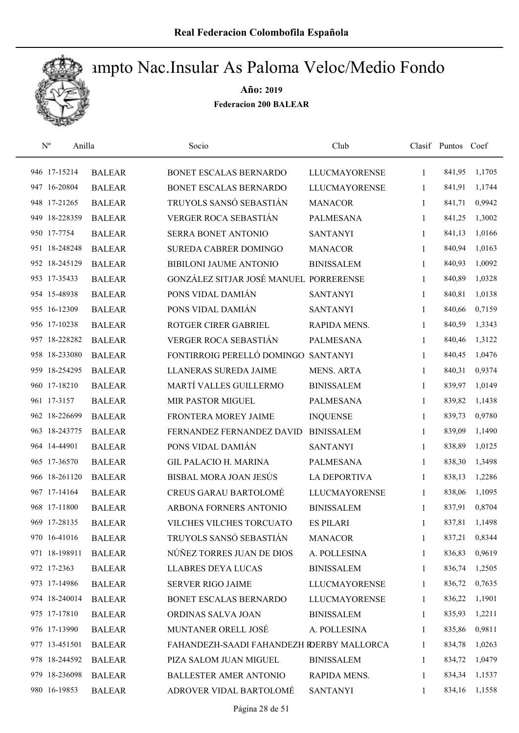

| $\mathrm{N}^{\mathrm{o}}$<br>Anilla |               | Socio                                     | Club                 |              | Clasif Puntos | Coef   |
|-------------------------------------|---------------|-------------------------------------------|----------------------|--------------|---------------|--------|
| 946 17-15214                        | <b>BALEAR</b> | BONET ESCALAS BERNARDO                    | <b>LLUCMAYORENSE</b> | 1            | 841,95        | 1,1705 |
| 947 16-20804                        | <b>BALEAR</b> | BONET ESCALAS BERNARDO                    | <b>LLUCMAYORENSE</b> | 1            | 841,91        | 1,1744 |
| 948 17-21265                        | <b>BALEAR</b> | TRUYOLS SANSÓ SEBASTIÁN                   | <b>MANACOR</b>       | 1            | 841,71        | 0,9942 |
| 949 18-228359                       | <b>BALEAR</b> | <b>VERGER ROCA SEBASTIÁN</b>              | <b>PALMESANA</b>     | 1            | 841,25        | 1,3002 |
| 950 17-7754                         | <b>BALEAR</b> | SERRA BONET ANTONIO                       | <b>SANTANYI</b>      | $\mathbf{1}$ | 841,13        | 1,0166 |
| 951 18-248248                       | <b>BALEAR</b> | SUREDA CABRER DOMINGO                     | <b>MANACOR</b>       | 1            | 840,94        | 1,0163 |
| 952 18-245129                       | <b>BALEAR</b> | <b>BIBILONI JAUME ANTONIO</b>             | <b>BINISSALEM</b>    | $\mathbf{1}$ | 840,93        | 1,0092 |
| 953 17-35433                        | <b>BALEAR</b> | GONZÁLEZ SITJAR JOSÉ MANUEL PORRERENSE    |                      | 1            | 840,89        | 1,0328 |
| 954 15-48938                        | <b>BALEAR</b> | PONS VIDAL DAMIÁN                         | <b>SANTANYI</b>      | 1            | 840,81        | 1,0138 |
| 955 16-12309                        | <b>BALEAR</b> | PONS VIDAL DAMIÁN                         | <b>SANTANYI</b>      | 1            | 840,66        | 0,7159 |
| 956 17-10238                        | <b>BALEAR</b> | ROTGER CIRER GABRIEL                      | RAPIDA MENS.         | 1            | 840,59        | 1,3343 |
| 957 18-228282                       | <b>BALEAR</b> | <b>VERGER ROCA SEBASTIÁN</b>              | <b>PALMESANA</b>     | 1            | 840,46        | 1,3122 |
| 958 18-233080                       | <b>BALEAR</b> | FONTIRROIG PERELLÓ DOMINGO SANTANYI       |                      | 1            | 840,45        | 1,0476 |
| 959 18-254295                       | <b>BALEAR</b> | <b>LLANERAS SUREDA JAIME</b>              | <b>MENS. ARTA</b>    | 1            | 840,31        | 0,9374 |
| 960 17-18210                        | <b>BALEAR</b> | MARTÍ VALLES GUILLERMO                    | <b>BINISSALEM</b>    | 1            | 839,97        | 1,0149 |
| 961 17-3157                         | <b>BALEAR</b> | MIR PASTOR MIGUEL                         | <b>PALMESANA</b>     | $\mathbf{1}$ | 839,82        | 1,1438 |
| 962 18-226699                       | <b>BALEAR</b> | FRONTERA MOREY JAIME                      | <b>INQUENSE</b>      | 1            | 839,73        | 0,9780 |
| 963 18-243775                       | <b>BALEAR</b> | FERNANDEZ FERNANDEZ DAVID                 | <b>BINISSALEM</b>    | $\mathbf{1}$ | 839,09        | 1,1490 |
| 964 14-44901                        | <b>BALEAR</b> | PONS VIDAL DAMIÁN                         | <b>SANTANYI</b>      | 1            | 838,89        | 1,0125 |
| 965 17-36570                        | <b>BALEAR</b> | <b>GIL PALACIO H. MARINA</b>              | PALMESANA            | $\mathbf{1}$ | 838,30        | 1,3498 |
| 966 18-261120                       | <b>BALEAR</b> | BISBAL MORA JOAN JESÚS                    | <b>LA DEPORTIVA</b>  | 1            | 838,13        | 1,2286 |
| 967 17-14164                        | <b>BALEAR</b> | <b>CREUS GARAU BARTOLOMÉ</b>              | <b>LLUCMAYORENSE</b> | 1            | 838,06        | 1,1095 |
| 968 17-11800                        | <b>BALEAR</b> | ARBONA FORNERS ANTONIO                    | <b>BINISSALEM</b>    | 1            | 837,91        | 0,8704 |
| 969 17-28135                        | <b>BALEAR</b> | VILCHES VILCHES TORCUATO                  | <b>ES PILARI</b>     | 1            | 837,81        | 1,1498 |
| 970 16-41016                        | <b>BALEAR</b> | TRUYOLS SANSÓ SEBASTIÁN                   | <b>MANACOR</b>       | 1            | 837,21        | 0,8344 |
| 971 18-198911                       | <b>BALEAR</b> | NÚÑEZ TORRES JUAN DE DIOS                 | A. POLLESINA         | 1            | 836,83        | 0,9619 |
| 972 17-2363                         | <b>BALEAR</b> | <b>LLABRES DEYA LUCAS</b>                 | <b>BINISSALEM</b>    | 1            | 836,74        | 1,2505 |
| 973 17-14986                        | <b>BALEAR</b> | <b>SERVER RIGO JAIME</b>                  | <b>LLUCMAYORENSE</b> | $\mathbf{1}$ | 836,72        | 0,7635 |
| 974 18-240014                       | <b>BALEAR</b> | BONET ESCALAS BERNARDO                    | <b>LLUCMAYORENSE</b> | 1            | 836,22        | 1,1901 |
| 975 17-17810                        | <b>BALEAR</b> | ORDINAS SALVA JOAN                        | <b>BINISSALEM</b>    | 1            | 835,93        | 1,2211 |
| 976 17-13990                        | <b>BALEAR</b> | MUNTANER ORELL JOSÉ                       | A. POLLESINA         | 1            | 835,86        | 0,9811 |
| 977 13-451501                       | <b>BALEAR</b> | FAHANDEZH-SAADI FAHANDEZH RDERBY MALLORCA |                      | 1            | 834,78        | 1,0263 |
| 978 18-244592                       | <b>BALEAR</b> | PIZA SALOM JUAN MIGUEL                    | <b>BINISSALEM</b>    | 1            | 834,72        | 1,0479 |
| 979 18-236098                       | <b>BALEAR</b> | <b>BALLESTER AMER ANTONIO</b>             | RAPIDA MENS.         | 1            | 834,34        | 1,1537 |
| 980 16-19853                        | <b>BALEAR</b> | ADROVER VIDAL BARTOLOMÉ                   | <b>SANTANYI</b>      | 1            | 834,16        | 1,1558 |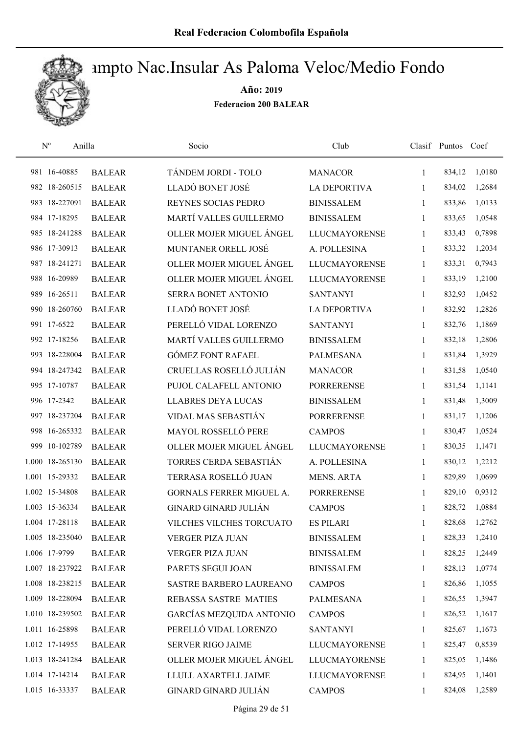

|     | $N^{o}$<br>Anilla |               | Socio                           | Club                 |              | Clasif Puntos Coef |        |
|-----|-------------------|---------------|---------------------------------|----------------------|--------------|--------------------|--------|
|     | 981 16-40885      | <b>BALEAR</b> | TÁNDEM JORDI - TOLO             | <b>MANACOR</b>       | 1            | 834,12             | 1,0180 |
|     | 982 18-260515     | <b>BALEAR</b> | LLADÓ BONET JOSÉ                | <b>LA DEPORTIVA</b>  | 1            | 834,02             | 1,2684 |
|     | 983 18-227091     | <b>BALEAR</b> | REYNES SOCIAS PEDRO             | <b>BINISSALEM</b>    | 1            | 833,86             | 1,0133 |
|     | 984 17-18295      | <b>BALEAR</b> | MARTÍ VALLES GUILLERMO          | <b>BINISSALEM</b>    | 1            | 833,65             | 1,0548 |
|     | 985 18-241288     | <b>BALEAR</b> | OLLER MOJER MIGUEL ÁNGEL        | <b>LLUCMAYORENSE</b> | 1            | 833,43             | 0,7898 |
|     | 986 17-30913      | <b>BALEAR</b> | MUNTANER ORELL JOSÉ             | A. POLLESINA         | 1            | 833,32             | 1,2034 |
|     | 987 18-241271     | <b>BALEAR</b> | OLLER MOJER MIGUEL ÁNGEL        | <b>LLUCMAYORENSE</b> | $\mathbf{1}$ | 833,31             | 0,7943 |
|     | 988 16-20989      | <b>BALEAR</b> | OLLER MOJER MIGUEL ÁNGEL        | <b>LLUCMAYORENSE</b> | 1            | 833,19             | 1,2100 |
|     | 989 16-26511      | <b>BALEAR</b> | SERRA BONET ANTONIO             | <b>SANTANYI</b>      | 1            | 832,93             | 1,0452 |
|     | 990 18-260760     | <b>BALEAR</b> | LLADÓ BONET JOSÉ                | <b>LA DEPORTIVA</b>  | 1            | 832,92             | 1,2826 |
|     | 991 17-6522       | <b>BALEAR</b> | PERELLÓ VIDAL LORENZO           | <b>SANTANYI</b>      | 1            | 832,76             | 1,1869 |
|     | 992 17-18256      | <b>BALEAR</b> | MARTÍ VALLES GUILLERMO          | <b>BINISSALEM</b>    | 1            | 832,18             | 1,2806 |
|     | 993 18-228004     | <b>BALEAR</b> | <b>GÓMEZ FONT RAFAEL</b>        | <b>PALMESANA</b>     | $\mathbf{1}$ | 831,84             | 1,3929 |
|     | 994 18-247342     | <b>BALEAR</b> | CRUELLAS ROSELLÓ JULIÁN         | <b>MANACOR</b>       | 1            | 831,58             | 1,0540 |
|     | 995 17-10787      | <b>BALEAR</b> | PUJOL CALAFELL ANTONIO          | <b>PORRERENSE</b>    | 1            | 831,54             | 1,1141 |
|     | 996 17-2342       | <b>BALEAR</b> | <b>LLABRES DEYA LUCAS</b>       | <b>BINISSALEM</b>    | 1            | 831,48             | 1,3009 |
|     | 997 18-237204     | <b>BALEAR</b> | VIDAL MAS SEBASTIÁN             | <b>PORRERENSE</b>    | 1            | 831,17             | 1,1206 |
|     | 998 16-265332     | <b>BALEAR</b> | MAYOL ROSSELLÓ PERE             | <b>CAMPOS</b>        | 1            | 830,47             | 1,0524 |
| 999 | 10-102789         | <b>BALEAR</b> | OLLER MOJER MIGUEL ÁNGEL        | <b>LLUCMAYORENSE</b> | $\mathbf{1}$ | 830,35             | 1,1471 |
|     | 1.000 18-265130   | <b>BALEAR</b> | TORRES CERDA SEBASTIÁN          | A. POLLESINA         | 1            | 830,12             | 1,2212 |
|     | 1.001 15-29332    | <b>BALEAR</b> | TERRASA ROSELLÓ JUAN            | <b>MENS. ARTA</b>    | 1            | 829,89             | 1,0699 |
|     | 1.002 15-34808    | <b>BALEAR</b> | <b>GORNALS FERRER MIGUEL A.</b> | <b>PORRERENSE</b>    | 1            | 829,10             | 0,9312 |
|     | 1.003 15-36334    | <b>BALEAR</b> | <b>GINARD GINARD JULIÁN</b>     | <b>CAMPOS</b>        | 1            | 828,72             | 1,0884 |
|     | 1.004 17-28118    | <b>BALEAR</b> | VILCHES VILCHES TORCUATO        | <b>ES PILARI</b>     | 1            | 828,68             | 1,2762 |
|     | 1.005 18-235040   | <b>BALEAR</b> | VERGER PIZA JUAN                | <b>BINISSALEM</b>    | 1            | 828,33             | 1,2410 |
|     | 1.006 17-9799     | <b>BALEAR</b> | VERGER PIZA JUAN                | <b>BINISSALEM</b>    | 1            | 828,25             | 1,2449 |
|     | 1.007 18-237922   | <b>BALEAR</b> | PARETS SEGUI JOAN               | <b>BINISSALEM</b>    | 1            | 828,13             | 1,0774 |
|     | 1.008 18-238215   | <b>BALEAR</b> | SASTRE BARBERO LAUREANO         | <b>CAMPOS</b>        | 1            | 826,86             | 1,1055 |
|     | 1.009 18-228094   | <b>BALEAR</b> | REBASSA SASTRE MATIES           | <b>PALMESANA</b>     | 1            | 826,55             | 1,3947 |
|     | 1.010 18-239502   | <b>BALEAR</b> | <b>GARCÍAS MEZQUIDA ANTONIO</b> | <b>CAMPOS</b>        | 1            | 826,52             | 1,1617 |
|     | 1.011 16-25898    | <b>BALEAR</b> | PERELLÓ VIDAL LORENZO           | <b>SANTANYI</b>      | 1            | 825,67             | 1,1673 |
|     | 1.012 17-14955    | <b>BALEAR</b> | SERVER RIGO JAIME               | <b>LLUCMAYORENSE</b> | 1            | 825,47             | 0,8539 |
|     | 1.013 18-241284   | <b>BALEAR</b> | OLLER MOJER MIGUEL ÁNGEL        | <b>LLUCMAYORENSE</b> | 1            | 825,05             | 1,1486 |
|     | 1.014 17-14214    | <b>BALEAR</b> | LLULL AXARTELL JAIME            | <b>LLUCMAYORENSE</b> | 1            | 824,95             | 1,1401 |
|     | 1.015 16-33337    | <b>BALEAR</b> | GINARD GINARD JULIÁN            | <b>CAMPOS</b>        | 1            | 824,08             | 1,2589 |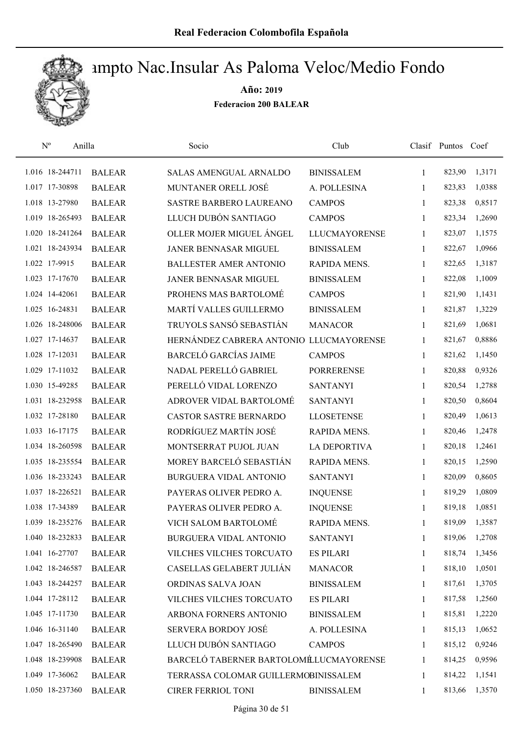

| $\rm N^o$ | Anilla          |               | Socio                                   | Club                 |              | Clasif Puntos Coef |        |
|-----------|-----------------|---------------|-----------------------------------------|----------------------|--------------|--------------------|--------|
|           | 1.016 18-244711 | <b>BALEAR</b> | <b>SALAS AMENGUAL ARNALDO</b>           | <b>BINISSALEM</b>    | 1            | 823,90             | 1,3171 |
|           | 1.017 17-30898  | <b>BALEAR</b> | MUNTANER ORELL JOSÉ                     | A. POLLESINA         | 1            | 823,83             | 1,0388 |
|           | 1.018 13-27980  | <b>BALEAR</b> | <b>SASTRE BARBERO LAUREANO</b>          | <b>CAMPOS</b>        | $\mathbf{1}$ | 823,38             | 0,8517 |
|           | 1.019 18-265493 | <b>BALEAR</b> | LLUCH DUBÓN SANTIAGO                    | <b>CAMPOS</b>        | 1            | 823,34             | 1,2690 |
|           | 1.020 18-241264 | <b>BALEAR</b> | OLLER MOJER MIGUEL ÁNGEL                | <b>LLUCMAYORENSE</b> | $\mathbf{1}$ | 823,07             | 1,1575 |
|           | 1.021 18-243934 | <b>BALEAR</b> | <b>JANER BENNASAR MIGUEL</b>            | <b>BINISSALEM</b>    | $\mathbf{1}$ | 822,67             | 1,0966 |
|           | 1.022 17-9915   | <b>BALEAR</b> | <b>BALLESTER AMER ANTONIO</b>           | RAPIDA MENS.         | 1            | 822,65             | 1,3187 |
|           | 1.023 17-17670  | <b>BALEAR</b> | JANER BENNASAR MIGUEL                   | <b>BINISSALEM</b>    | 1            | 822,08             | 1,1009 |
|           | 1.024 14-42061  | <b>BALEAR</b> | PROHENS MAS BARTOLOMÉ                   | <b>CAMPOS</b>        | 1            | 821,90             | 1,1431 |
|           | 1.025 16-24831  | <b>BALEAR</b> | MARTÍ VALLES GUILLERMO                  | <b>BINISSALEM</b>    | 1            | 821,87             | 1,3229 |
|           | 1.026 18-248006 | <b>BALEAR</b> | TRUYOLS SANSÓ SEBASTIÁN                 | <b>MANACOR</b>       | 1            | 821,69             | 1,0681 |
|           | 1.027 17-14637  | <b>BALEAR</b> | HERNÁNDEZ CABRERA ANTONIO LLUCMAYORENSE |                      | 1            | 821,67             | 0,8886 |
|           | 1.028 17-12031  | <b>BALEAR</b> | <b>BARCELÓ GARCÍAS JAIME</b>            | <b>CAMPOS</b>        | 1            | 821,62             | 1,1450 |
|           | 1.029 17-11032  | <b>BALEAR</b> | NADAL PERELLÓ GABRIEL                   | <b>PORRERENSE</b>    | 1            | 820,88             | 0,9326 |
|           | 1.030 15-49285  | <b>BALEAR</b> | PERELLÓ VIDAL LORENZO                   | <b>SANTANYI</b>      | 1            | 820,54             | 1,2788 |
|           | 1.031 18-232958 | <b>BALEAR</b> | ADROVER VIDAL BARTOLOMÉ                 | <b>SANTANYI</b>      | 1            | 820,50             | 0,8604 |
|           | 1.032 17-28180  | <b>BALEAR</b> | CASTOR SASTRE BERNARDO                  | <b>LLOSETENSE</b>    | 1            | 820,49             | 1,0613 |
|           | 1.033 16-17175  | <b>BALEAR</b> | RODRÍGUEZ MARTÍN JOSÉ                   | RAPIDA MENS.         | $\mathbf{1}$ | 820,46             | 1,2478 |
|           | 1.034 18-260598 | <b>BALEAR</b> | MONTSERRAT PUJOL JUAN                   | <b>LA DEPORTIVA</b>  | 1            | 820,18             | 1,2461 |
|           | 1.035 18-235554 | <b>BALEAR</b> | MOREY BARCELÓ SEBASTIÁN                 | RAPIDA MENS.         | $\mathbf{1}$ | 820,15             | 1,2590 |
|           | 1.036 18-233243 | <b>BALEAR</b> | BURGUERA VIDAL ANTONIO                  | <b>SANTANYI</b>      | $\mathbf{1}$ | 820,09             | 0,8605 |
|           | 1.037 18-226521 | <b>BALEAR</b> | PAYERAS OLIVER PEDRO A.                 | <b>INQUENSE</b>      | 1            | 819,29             | 1,0809 |
|           | 1.038 17-34389  | <b>BALEAR</b> | PAYERAS OLIVER PEDRO A.                 | <b>INQUENSE</b>      | 1            | 819,18             | 1,0851 |
|           | 1.039 18-235276 | <b>BALEAR</b> | VICH SALOM BARTOLOMÉ                    | RAPIDA MENS.         | 1            | 819,09             | 1,3587 |
|           | 1.040 18-232833 | <b>BALEAR</b> | <b>BURGUERA VIDAL ANTONIO</b>           | <b>SANTANYI</b>      | 1            | 819,06             | 1,2708 |
|           | 1.041 16-27707  | <b>BALEAR</b> | VILCHES VILCHES TORCUATO                | <b>ES PILARI</b>     | 1            | 818,74             | 1,3456 |
|           | 1.042 18-246587 | <b>BALEAR</b> | CASELLAS GELABERT JULIÁN                | <b>MANACOR</b>       | 1            | 818,10             | 1,0501 |
|           | 1.043 18-244257 | <b>BALEAR</b> | ORDINAS SALVA JOAN                      | <b>BINISSALEM</b>    | 1            | 817,61             | 1,3705 |
|           | 1.044 17-28112  | <b>BALEAR</b> | VILCHES VILCHES TORCUATO                | <b>ES PILARI</b>     | 1            | 817,58             | 1,2560 |
|           | 1.045 17-11730  | <b>BALEAR</b> | ARBONA FORNERS ANTONIO                  | <b>BINISSALEM</b>    | 1            | 815,81             | 1,2220 |
|           | 1.046 16-31140  | <b>BALEAR</b> | SERVERA BORDOY JOSÉ                     | A. POLLESINA         | 1            | 815,13             | 1,0652 |
|           | 1.047 18-265490 | <b>BALEAR</b> | LLUCH DUBÓN SANTIAGO                    | <b>CAMPOS</b>        | 1            | 815,12             | 0,9246 |
|           | 1.048 18-239908 | <b>BALEAR</b> | BARCELÓ TABERNER BARTOLOMÉLUCMAYORENSE  |                      | 1            | 814,25             | 0,9596 |
|           | 1.049 17-36062  | <b>BALEAR</b> | TERRASSA COLOMAR GUILLERMOBINISSALEM    |                      | 1            | 814,22             | 1,1541 |
|           | 1.050 18-237360 | <b>BALEAR</b> | CIRER FERRIOL TONI                      | <b>BINISSALEM</b>    | 1            | 813,66             | 1,3570 |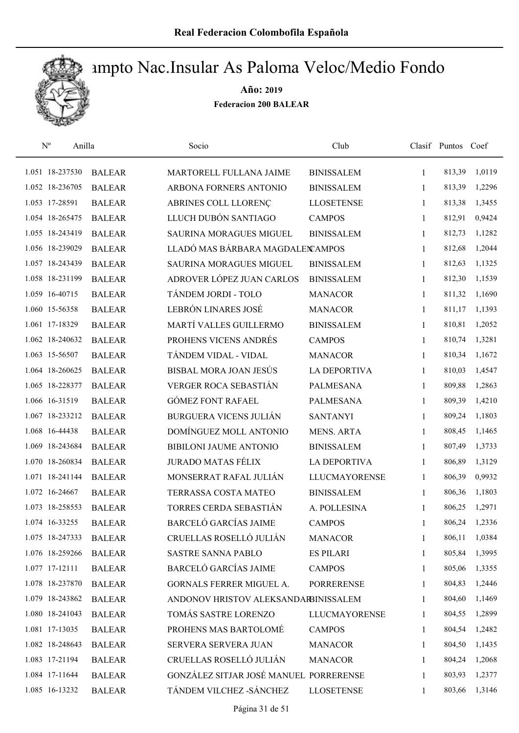

| $\mathrm{N}^{\rm o}$<br>Anilla |               | Socio                                  | Club                 |              | Clasif Puntos | Coef   |
|--------------------------------|---------------|----------------------------------------|----------------------|--------------|---------------|--------|
| 1.051 18-237530                | <b>BALEAR</b> | MARTORELL FULLANA JAIME                | <b>BINISSALEM</b>    | $\mathbf{1}$ | 813,39        | 1,0119 |
| 1.052 18-236705                | <b>BALEAR</b> | ARBONA FORNERS ANTONIO                 | <b>BINISSALEM</b>    | 1            | 813,39        | 1,2296 |
| 1.053 17-28591                 | <b>BALEAR</b> | ABRINES COLL LLORENÇ                   | <b>LLOSETENSE</b>    | $\mathbf{1}$ | 813,38        | 1,3455 |
| 1.054 18-265475                | <b>BALEAR</b> | LLUCH DUBÓN SANTIAGO                   | <b>CAMPOS</b>        | $\mathbf{1}$ | 812,91        | 0,9424 |
| 1.055 18-243419                | <b>BALEAR</b> | <b>SAURINA MORAGUES MIGUEL</b>         | <b>BINISSALEM</b>    | $\mathbf{1}$ | 812,73        | 1,1282 |
| 1.056 18-239029                | <b>BALEAR</b> | LLADÓ MAS BÁRBARA MAGDALEN AMPOS       |                      | $\mathbf{1}$ | 812,68        | 1,2044 |
| 1.057 18-243439                | <b>BALEAR</b> | SAURINA MORAGUES MIGUEL                | <b>BINISSALEM</b>    | $\mathbf{1}$ | 812,63        | 1,1325 |
| 1.058 18-231199                | <b>BALEAR</b> | ADROVER LÓPEZ JUAN CARLOS              | <b>BINISSALEM</b>    | $\mathbf{1}$ | 812,30        | 1,1539 |
| 1.059 16-40715                 | <b>BALEAR</b> | TÁNDEM JORDI - TOLO                    | <b>MANACOR</b>       | 1            | 811,32        | 1,1690 |
| 1.060 15-56358                 | <b>BALEAR</b> | LEBRÓN LINARES JOSÉ                    | <b>MANACOR</b>       | 1            | 811,17        | 1,1393 |
| 1.061 17-18329                 | <b>BALEAR</b> | MARTÍ VALLES GUILLERMO                 | <b>BINISSALEM</b>    | 1            | 810,81        | 1,2052 |
| 1.062 18-240632                | <b>BALEAR</b> | PROHENS VICENS ANDRÉS                  | <b>CAMPOS</b>        | $\mathbf{1}$ | 810,74        | 1,3281 |
| 1.063 15-56507                 | <b>BALEAR</b> | TÁNDEM VIDAL - VIDAL                   | <b>MANACOR</b>       | 1            | 810,34        | 1,1672 |
| 1.064 18-260625                | <b>BALEAR</b> | BISBAL MORA JOAN JESÚS                 | <b>LA DEPORTIVA</b>  | 1            | 810,03        | 1,4547 |
| 1.065 18-228377                | <b>BALEAR</b> | <b>VERGER ROCA SEBASTIÁN</b>           | <b>PALMESANA</b>     | $\mathbf{1}$ | 809,88        | 1,2863 |
| 1.066 16-31519                 | <b>BALEAR</b> | <b>GÓMEZ FONT RAFAEL</b>               | <b>PALMESANA</b>     | $\mathbf{1}$ | 809,39        | 1,4210 |
| 1.067 18-233212                | <b>BALEAR</b> | <b>BURGUERA VICENS JULIÁN</b>          | <b>SANTANYI</b>      | $\mathbf{1}$ | 809,24        | 1,1803 |
| 1.068 16-44438                 | <b>BALEAR</b> | DOMÍNGUEZ MOLL ANTONIO                 | <b>MENS. ARTA</b>    | $\mathbf{1}$ | 808,45        | 1,1465 |
| 1.069 18-243684                | <b>BALEAR</b> | BIBILONI JAUME ANTONIO                 | <b>BINISSALEM</b>    | 1            | 807,49        | 1,3733 |
| 1.070 18-260834                | <b>BALEAR</b> | <b>JURADO MATAS FÉLIX</b>              | <b>LA DEPORTIVA</b>  | $\mathbf{1}$ | 806,89        | 1,3129 |
| 1.071 18-241144                | <b>BALEAR</b> | MONSERRAT RAFAL JULIÁN                 | <b>LLUCMAYORENSE</b> | $\mathbf{1}$ | 806,39        | 0,9932 |
| 1.072 16-24667                 | <b>BALEAR</b> | TERRASSA COSTA MATEO                   | <b>BINISSALEM</b>    | 1            | 806,36        | 1,1803 |
| 1.073 18-258553                | <b>BALEAR</b> | TORRES CERDA SEBASTIÁN                 | A. POLLESINA         | 1            | 806,25        | 1,2971 |
| 1.074 16-33255                 | <b>BALEAR</b> | <b>BARCELÓ GARCÍAS JAIME</b>           | <b>CAMPOS</b>        | 1            | 806,24        | 1,2336 |
| 1.075 18-247333                | <b>BALEAR</b> | CRUELLAS ROSELLÓ JULIÁN                | <b>MANACOR</b>       | 1            | 806,11        | 1,0384 |
| 1.076 18-259266                | <b>BALEAR</b> | <b>SASTRE SANNA PABLO</b>              | <b>ES PILARI</b>     | 1            | 805,84        | 1,3995 |
| 1.077 17-12111                 | <b>BALEAR</b> | <b>BARCELÓ GARCÍAS JAIME</b>           | <b>CAMPOS</b>        | 1            | 805,06        | 1,3355 |
| 1.078 18-237870                | <b>BALEAR</b> | GORNALS FERRER MIGUEL A.               | <b>PORRERENSE</b>    | 1            | 804,83        | 1,2446 |
| 1.079 18-243862                | <b>BALEAR</b> | ANDONOV HRISTOV ALEKSANDARBINISSALEM   |                      | 1            | 804,60        | 1,1469 |
| 1.080 18-241043                | <b>BALEAR</b> | TOMÁS SASTRE LORENZO                   | LLUCMAYORENSE        | $\mathbf{1}$ | 804,55        | 1,2899 |
| 1.081 17-13035                 | <b>BALEAR</b> | PROHENS MAS BARTOLOMÉ                  | <b>CAMPOS</b>        | 1            | 804,54        | 1,2482 |
| 1.082 18-248643                | <b>BALEAR</b> | SERVERA SERVERA JUAN                   | <b>MANACOR</b>       | $\mathbf{1}$ | 804,50        | 1,1435 |
| 1.083 17-21194                 | <b>BALEAR</b> | CRUELLAS ROSELLÓ JULIÁN                | <b>MANACOR</b>       | 1            | 804,24        | 1,2068 |
| 1.084 17-11644                 | <b>BALEAR</b> | GONZÁLEZ SITJAR JOSÉ MANUEL PORRERENSE |                      | 1            | 803,93        | 1,2377 |
| 1.085 16-13232                 | <b>BALEAR</b> | TÁNDEM VILCHEZ - SÁNCHEZ               | <b>LLOSETENSE</b>    | 1            | 803,66        | 1,3146 |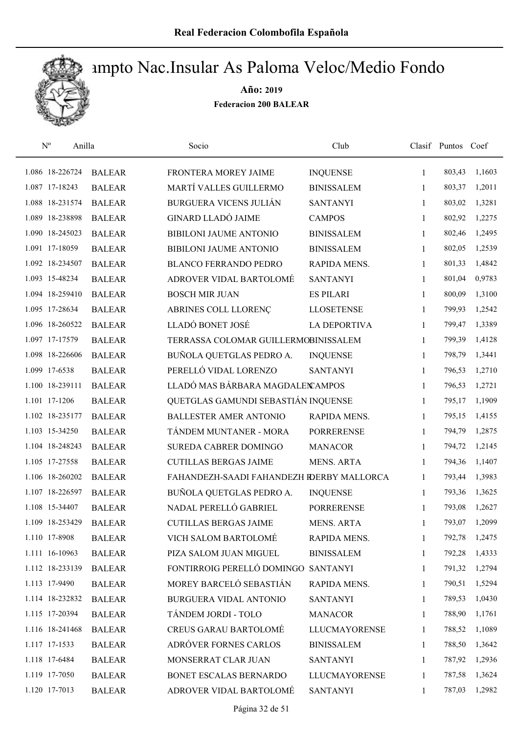

| $\mathbf{N}^{\mathrm{o}}$<br>Anilla |               | Socio                                     | Club                 |              | Clasif Puntos | Coef   |
|-------------------------------------|---------------|-------------------------------------------|----------------------|--------------|---------------|--------|
| 1.086 18-226724                     | <b>BALEAR</b> | FRONTERA MOREY JAIME                      | <b>INQUENSE</b>      | 1            | 803,43        | 1,1603 |
| 1.087 17-18243                      | <b>BALEAR</b> | MARTÍ VALLES GUILLERMO                    | <b>BINISSALEM</b>    | 1            | 803,37        | 1,2011 |
| 1.088 18-231574                     | <b>BALEAR</b> | BURGUERA VICENS JULIÁN                    | <b>SANTANYI</b>      | $\mathbf{1}$ | 803,02        | 1,3281 |
| 1.089 18-238898                     | <b>BALEAR</b> | <b>GINARD LLADÓ JAIME</b>                 | <b>CAMPOS</b>        | $\mathbf{1}$ | 802,92        | 1,2275 |
| 1.090 18-245023                     | <b>BALEAR</b> | <b>BIBILONI JAUME ANTONIO</b>             | <b>BINISSALEM</b>    | 1            | 802,46        | 1,2495 |
| 1.091 17-18059                      | <b>BALEAR</b> | <b>BIBILONI JAUME ANTONIO</b>             | <b>BINISSALEM</b>    | 1            | 802,05        | 1,2539 |
| 1.092 18-234507                     | <b>BALEAR</b> | <b>BLANCO FERRANDO PEDRO</b>              | RAPIDA MENS.         | 1            | 801,33        | 1,4842 |
| 1.093 15-48234                      | <b>BALEAR</b> | ADROVER VIDAL BARTOLOMÉ                   | <b>SANTANYI</b>      | 1            | 801,04        | 0,9783 |
| 1.094 18-259410                     | <b>BALEAR</b> | <b>BOSCH MIR JUAN</b>                     | <b>ES PILARI</b>     | 1            | 800,09        | 1,3100 |
| 1.095 17-28634                      | <b>BALEAR</b> | ABRINES COLL LLORENÇ                      | <b>LLOSETENSE</b>    | 1            | 799,93        | 1,2542 |
| 1.096 18-260522                     | <b>BALEAR</b> | LLADÓ BONET JOSÉ                          | <b>LA DEPORTIVA</b>  | 1            | 799,47        | 1,3389 |
| 1.097 17-17579                      | <b>BALEAR</b> | TERRASSA COLOMAR GUILLERMOBINISSALEM      |                      | 1            | 799,39        | 1,4128 |
| 1.098 18-226606                     | <b>BALEAR</b> | BUÑOLA QUETGLAS PEDRO A.                  | <b>INQUENSE</b>      | 1            | 798,79        | 1,3441 |
| 1.099 17-6538                       | <b>BALEAR</b> | PERELLÓ VIDAL LORENZO                     | <b>SANTANYI</b>      | 1            | 796,53        | 1,2710 |
| 1.100 18-239111                     | <b>BALEAR</b> | LLADÓ MAS BÁRBARA MAGDALEN AMPOS          |                      | $\mathbf{1}$ | 796,53        | 1,2721 |
| 1.101 17-1206                       | <b>BALEAR</b> | QUETGLAS GAMUNDI SEBASTIÁN INQUENSE       |                      | 1            | 795,17        | 1,1909 |
| 1.102 18-235177                     | <b>BALEAR</b> | <b>BALLESTER AMER ANTONIO</b>             | RAPIDA MENS.         | $\mathbf{1}$ | 795,15        | 1,4155 |
| 1.103 15-34250                      | <b>BALEAR</b> | TÁNDEM MUNTANER - MORA                    | <b>PORRERENSE</b>    | $\mathbf{1}$ | 794,79        | 1,2875 |
| 1.104 18-248243                     | <b>BALEAR</b> | SUREDA CABRER DOMINGO                     | <b>MANACOR</b>       | 1            | 794,72        | 1,2145 |
| 1.105 17-27558                      | <b>BALEAR</b> | <b>CUTILLAS BERGAS JAIME</b>              | <b>MENS. ARTA</b>    | 1            | 794,36        | 1,1407 |
| 1.106 18-260202                     | <b>BALEAR</b> | FAHANDEZH-SAADI FAHANDEZH RDERBY MALLORCA |                      | 1            | 793,44        | 1,3983 |
| 1.107 18-226597                     | <b>BALEAR</b> | BUÑOLA QUETGLAS PEDRO A.                  | <b>INQUENSE</b>      | 1            | 793,36        | 1,3625 |
| 1.108 15-34407                      | <b>BALEAR</b> | NADAL PERELLÓ GABRIEL                     | <b>PORRERENSE</b>    | 1            | 793,08        | 1,2627 |
| 1.109 18-253429                     | <b>BALEAR</b> | <b>CUTILLAS BERGAS JAIME</b>              | <b>MENS. ARTA</b>    | 1            | 793,07        | 1,2099 |
| 1.110 17-8908                       | <b>BALEAR</b> | VICH SALOM BARTOLOMÉ                      | RAPIDA MENS.         | 1            | 792,78        | 1,2475 |
| 1.111 16-10963                      | <b>BALEAR</b> | PIZA SALOM JUAN MIGUEL                    | <b>BINISSALEM</b>    | 1            | 792,28        | 1,4333 |
| 1.112 18-233139                     | <b>BALEAR</b> | FONTIRROIG PERELLÓ DOMINGO SANTANYI       |                      | 1            | 791,32        | 1,2794 |
| 1.113 17-9490                       | <b>BALEAR</b> | MOREY BARCELÓ SEBASTIÁN                   | RAPIDA MENS.         | 1            | 790,51        | 1,5294 |
| 1.114 18-232832                     | <b>BALEAR</b> | BURGUERA VIDAL ANTONIO                    | <b>SANTANYI</b>      | 1            | 789,53        | 1,0430 |
| 1.115 17-20394                      | <b>BALEAR</b> | TÁNDEM JORDI - TOLO                       | <b>MANACOR</b>       | 1            | 788,90        | 1,1761 |
| 1.116 18-241468                     | <b>BALEAR</b> | <b>CREUS GARAU BARTOLOMÉ</b>              | <b>LLUCMAYORENSE</b> | 1            | 788,52        | 1,1089 |
| 1.117 17-1533                       | <b>BALEAR</b> | ADRÓVER FORNES CARLOS                     | <b>BINISSALEM</b>    | 1            | 788,50        | 1,3642 |
| 1.118 17-6484                       | <b>BALEAR</b> | MONSERRAT CLAR JUAN                       | <b>SANTANYI</b>      | 1            | 787,92        | 1,2936 |
| 1.119 17-7050                       | <b>BALEAR</b> | BONET ESCALAS BERNARDO                    | LLUCMAYORENSE        | 1            | 787,58        | 1,3624 |
| 1.120 17-7013                       | <b>BALEAR</b> | ADROVER VIDAL BARTOLOMÉ                   | <b>SANTANYI</b>      | 1            | 787,03        | 1,2982 |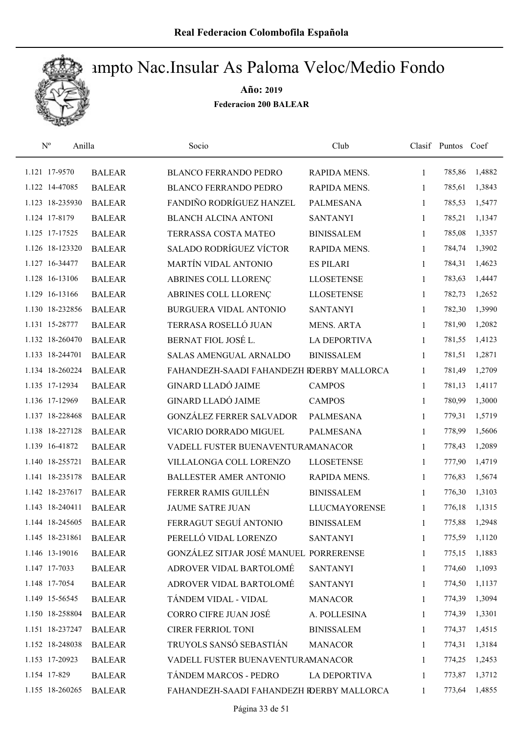

| $\mathbf{N}^{\mathrm{o}}$ | Anilla        | Socio                                     | Club                 |              | Clasif Puntos Coef |        |
|---------------------------|---------------|-------------------------------------------|----------------------|--------------|--------------------|--------|
| 1.121 17-9570             | <b>BALEAR</b> | <b>BLANCO FERRANDO PEDRO</b>              | RAPIDA MENS.         | 1            | 785,86             | 1,4882 |
| 1.122 14-47085            | <b>BALEAR</b> | <b>BLANCO FERRANDO PEDRO</b>              | RAPIDA MENS.         | 1            | 785,61             | 1,3843 |
| 1.123 18-235930           | <b>BALEAR</b> | FANDIÑO RODRÍGUEZ HANZEL                  | <b>PALMESANA</b>     | $\mathbf{1}$ | 785,53             | 1,5477 |
| 1.124 17-8179             | <b>BALEAR</b> | <b>BLANCH ALCINA ANTONI</b>               | <b>SANTANYI</b>      | 1            | 785,21             | 1,1347 |
| 1.125 17-17525            | <b>BALEAR</b> | TERRASSA COSTA MATEO                      | <b>BINISSALEM</b>    | $\mathbf{1}$ | 785,08             | 1,3357 |
| 1.126 18-123320           | <b>BALEAR</b> | SALADO RODRÍGUEZ VÍCTOR                   | RAPIDA MENS.         | $\mathbf{1}$ | 784,74             | 1,3902 |
| 1.127 16-34477            | <b>BALEAR</b> | <b>MARTÍN VIDAL ANTONIO</b>               | <b>ES PILARI</b>     | $\mathbf{1}$ | 784,31             | 1,4623 |
| 1.128 16-13106            | <b>BALEAR</b> | ABRINES COLL LLORENÇ                      | <b>LLOSETENSE</b>    | $\mathbf{1}$ | 783,63             | 1,4447 |
| 1.129 16-13166            | <b>BALEAR</b> | ABRINES COLL LLORENÇ                      | <b>LLOSETENSE</b>    | 1            | 782,73             | 1,2652 |
| 1.130 18-232856           | <b>BALEAR</b> | BURGUERA VIDAL ANTONIO                    | <b>SANTANYI</b>      | 1            | 782,30             | 1,3990 |
| 1.131 15-28777            | <b>BALEAR</b> | TERRASA ROSELLÓ JUAN                      | <b>MENS. ARTA</b>    | 1            | 781,90             | 1,2082 |
| 1.132 18-260470           | <b>BALEAR</b> | BERNAT FIOL JOSÉ L.                       | <b>LA DEPORTIVA</b>  | $\mathbf{1}$ | 781,55             | 1,4123 |
| 1.133 18-244701           | <b>BALEAR</b> | <b>SALAS AMENGUAL ARNALDO</b>             | <b>BINISSALEM</b>    | 1            | 781,51             | 1,2871 |
| 1.134 18-260224           | <b>BALEAR</b> | FAHANDEZH-SAADI FAHANDEZH RDERBY MALLORCA |                      | $\mathbf{1}$ | 781,49             | 1,2709 |
| 1.135 17-12934            | <b>BALEAR</b> | <b>GINARD LLADÓ JAIME</b>                 | <b>CAMPOS</b>        | 1            | 781,13             | 1,4117 |
| 1.136 17-12969            | <b>BALEAR</b> | <b>GINARD LLADÓ JAIME</b>                 | <b>CAMPOS</b>        | 1            | 780,99             | 1,3000 |
| 1.137 18-228468           | <b>BALEAR</b> | <b>GONZÁLEZ FERRER SALVADOR</b>           | PALMESANA            | 1            | 779,31             | 1,5719 |
| 1.138 18-227128           | <b>BALEAR</b> | VICARIO DORRADO MIGUEL                    | <b>PALMESANA</b>     | $\mathbf{1}$ | 778,99             | 1,5606 |
| 1.139 16-41872            | <b>BALEAR</b> | VADELL FUSTER BUENAVENTURAMANACOR         |                      | 1            | 778,43             | 1,2089 |
| 1.140 18-255721           | <b>BALEAR</b> | VILLALONGA COLL LORENZO                   | <b>LLOSETENSE</b>    | $\mathbf{1}$ | 777,90             | 1,4719 |
| 1.141 18-235178           | <b>BALEAR</b> | <b>BALLESTER AMER ANTONIO</b>             | RAPIDA MENS.         | $\mathbf{1}$ | 776,83             | 1,5674 |
| 1.142 18-237617           | <b>BALEAR</b> | FERRER RAMIS GUILLÉN                      | <b>BINISSALEM</b>    | 1            | 776,30             | 1,3103 |
| 1.143 18-240411           | <b>BALEAR</b> | <b>JAUME SATRE JUAN</b>                   | <b>LLUCMAYORENSE</b> | 1            | 776,18             | 1,1315 |
| 1.144 18-245605           | <b>BALEAR</b> | FERRAGUT SEGUÍ ANTONIO                    | <b>BINISSALEM</b>    | 1            | 775,88             | 1,2948 |
| 1.145 18-231861           | <b>BALEAR</b> | PERELLÓ VIDAL LORENZO                     | <b>SANTANYI</b>      | 1            | 775,59             | 1,1120 |
| 1.146 13-19016            | <b>BALEAR</b> | GONZÁLEZ SITJAR JOSÉ MANUEL PORRERENSE    |                      | 1            | 775,15             | 1,1883 |
| 1.147 17-7033             | <b>BALEAR</b> | ADROVER VIDAL BARTOLOMÉ                   | <b>SANTANYI</b>      | 1            | 774,60             | 1,1093 |
| 1.148 17-7054             | <b>BALEAR</b> | ADROVER VIDAL BARTOLOMÉ                   | <b>SANTANYI</b>      | 1            | 774,50             | 1,1137 |
| 1.149 15-56545            | <b>BALEAR</b> | TÁNDEM VIDAL - VIDAL                      | <b>MANACOR</b>       | 1            | 774,39             | 1,3094 |
| 1.150 18-258804           | <b>BALEAR</b> | <b>CORRO CIFRE JUAN JOSÉ</b>              | A. POLLESINA         | 1            | 774,39             | 1,3301 |
| 1.151 18-237247           | <b>BALEAR</b> | <b>CIRER FERRIOL TONI</b>                 | <b>BINISSALEM</b>    | 1            | 774,37             | 1,4515 |
| 1.152 18-248038           | <b>BALEAR</b> | TRUYOLS SANSÓ SEBASTIÁN                   | <b>MANACOR</b>       | 1            | 774,31             | 1,3184 |
| 1.153 17-20923            | <b>BALEAR</b> | VADELL FUSTER BUENAVENTURAMANACOR         |                      | 1            | 774,25             | 1,2453 |
| 1.154 17-829              | <b>BALEAR</b> | TÁNDEM MARCOS - PEDRO                     | <b>LA DEPORTIVA</b>  | 1            | 773,87             | 1,3712 |
| 1.155 18-260265           | <b>BALEAR</b> | FAHANDEZH-SAADI FAHANDEZH IDERBY MALLORCA |                      | 1            | 773,64             | 1,4855 |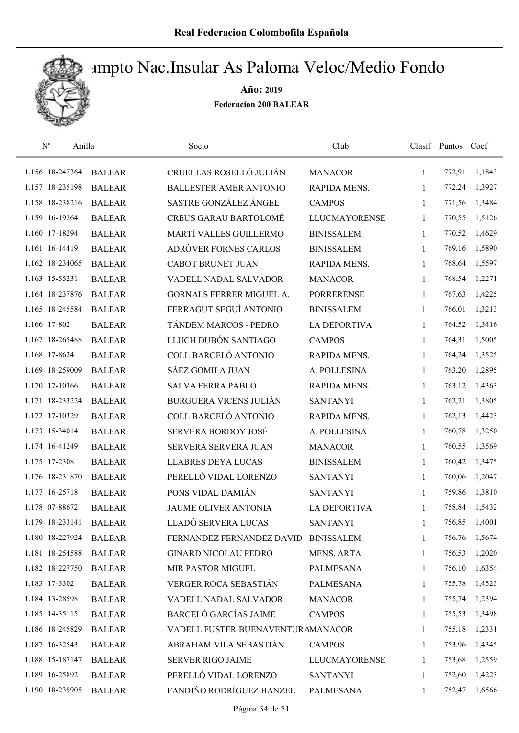

| $\mathrm{N}^{\mathrm{o}}$ | Anilla        | Socio                             | Club                 |              | Clasif Puntos Coef |        |
|---------------------------|---------------|-----------------------------------|----------------------|--------------|--------------------|--------|
| 1.156 18-247364           | <b>BALEAR</b> | CRUELLAS ROSELLÓ JULIÁN           | <b>MANACOR</b>       | $\mathbf{1}$ | 772,91             | 1,1843 |
| 1.157 18-235198           | <b>BALEAR</b> | <b>BALLESTER AMER ANTONIO</b>     | RAPIDA MENS.         | $\mathbf{1}$ | 772,24             | 1,3927 |
| 1.158 18-238216           | <b>BALEAR</b> | SASTRE GONZÁLEZ ÁNGEL             | <b>CAMPOS</b>        | 1            | 771,56             | 1,3484 |
| 1.159 16-19264            | <b>BALEAR</b> | <b>CREUS GARAU BARTOLOMÉ</b>      | <b>LLUCMAYORENSE</b> | 1            | 770,55             | 1,5126 |
| 1.160 17-18294            | <b>BALEAR</b> | MARTÍ VALLES GUILLERMO            | <b>BINISSALEM</b>    | 1            | 770,52             | 1,4629 |
| 1.161 16-14419            | <b>BALEAR</b> | ADRÓVER FORNES CARLOS             | <b>BINISSALEM</b>    | 1            | 769,16             | 1,5890 |
| 1.162 18-234065           | <b>BALEAR</b> | <b>CABOT BRUNET JUAN</b>          | RAPIDA MENS.         | 1            | 768,64             | 1,5597 |
| 1.163 15-55231            | <b>BALEAR</b> | VADELL NADAL SALVADOR             | <b>MANACOR</b>       | $\mathbf{1}$ | 768,54             | 1,2271 |
| 1.164 18-237876           | <b>BALEAR</b> | <b>GORNALS FERRER MIGUEL A.</b>   | <b>PORRERENSE</b>    | 1            | 767,63             | 1,4225 |
| 1.165 18-245584           | <b>BALEAR</b> | FERRAGUT SEGUÍ ANTONIO            | <b>BINISSALEM</b>    | 1            | 766,01             | 1,3213 |
| 1.166 17-802              | <b>BALEAR</b> | TÁNDEM MARCOS - PEDRO             | <b>LA DEPORTIVA</b>  | 1            | 764,52             | 1,3416 |
| 1.167 18-265488           | <b>BALEAR</b> | LLUCH DUBÓN SANTIAGO              | <b>CAMPOS</b>        | $\mathbf{1}$ | 764,31             | 1,5005 |
| 1.168 17-8624             | <b>BALEAR</b> | COLL BARCELÓ ANTONIO              | <b>RAPIDA MENS.</b>  | 1            | 764,24             | 1,3525 |
| 1.169 18-259009           | <b>BALEAR</b> | <b>SÁEZ GOMILA JUAN</b>           | A. POLLESINA         | $\mathbf{1}$ | 763,20             | 1,2895 |
| 1.170 17-10366            | <b>BALEAR</b> | <b>SALVA FERRA PABLO</b>          | <b>RAPIDA MENS.</b>  | 1            | 763,12             | 1,4363 |
| 1.171 18-233224           | <b>BALEAR</b> | <b>BURGUERA VICENS JULIÁN</b>     | <b>SANTANYI</b>      | 1            | 762,21             | 1,3805 |
| 1.172 17-10329            | <b>BALEAR</b> | COLL BARCELÓ ANTONIO              | RAPIDA MENS.         | 1            | 762,13             | 1,4423 |
| 1.173 15-34014            | <b>BALEAR</b> | SERVERA BORDOY JOSÉ               | A. POLLESINA         | 1            | 760,78             | 1,3250 |
| 1.174 16-41249            | <b>BALEAR</b> | SERVERA SERVERA JUAN              | <b>MANACOR</b>       | 1            | 760,55             | 1,3569 |
| 1.175 17-2308             | <b>BALEAR</b> | <b>LLABRES DEYA LUCAS</b>         | <b>BINISSALEM</b>    | $\mathbf{1}$ | 760,42             | 1,3475 |
| 1.176 18-231870           | <b>BALEAR</b> | PERELLÓ VIDAL LORENZO             | <b>SANTANYI</b>      | 1            | 760,06             | 1,2047 |
| 1.177 16-25718            | <b>BALEAR</b> | PONS VIDAL DAMIÁN                 | <b>SANTANYI</b>      | 1            | 759,86             | 1,3810 |
| 1.178 07-88672            | <b>BALEAR</b> | <b>JAUME OLIVER ANTONIA</b>       | <b>LA DEPORTIVA</b>  | 1            | 758,84             | 1,5432 |
| 1.179 18-233141           | <b>BALEAR</b> | LLADÓ SERVERA LUCAS               | <b>SANTANYI</b>      | 1            | 756,85             | 1,4001 |
| 1.180 18-227924           | <b>BALEAR</b> | FERNANDEZ FERNANDEZ DAVID         | <b>BINISSALEM</b>    | 1            | 756,76             | 1,5674 |
| 1.181 18-254588           | <b>BALEAR</b> | <b>GINARD NICOLAU PEDRO</b>       | MENS. ARTA           | 1            | 756,53             | 1,2020 |
| 1.182 18-227750           | <b>BALEAR</b> | MIR PASTOR MIGUEL                 | <b>PALMESANA</b>     | 1            | 756,10             | 1,6354 |
| 1.183 17-3302             | <b>BALEAR</b> | VERGER ROCA SEBASTIÁN             | PALMESANA            | 1            | 755,78             | 1,4523 |
| 1.184 13-28598            | <b>BALEAR</b> | VADELL NADAL SALVADOR             | <b>MANACOR</b>       | 1            | 755,74             | 1,2394 |
| 1.185 14-35115            | <b>BALEAR</b> | <b>BARCELÓ GARCÍAS JAIME</b>      | <b>CAMPOS</b>        | 1            | 755,53             | 1,3498 |
| 1.186 18-245829           | <b>BALEAR</b> | VADELL FUSTER BUENAVENTURAMANACOR |                      | $\mathbf{1}$ | 755,18             | 1,2331 |
| 1.187 16-32543            | <b>BALEAR</b> | ABRAHAM VILA SEBASTIÁN            | <b>CAMPOS</b>        | 1            | 753,96             | 1,4345 |
| 1.188 15-187147           | <b>BALEAR</b> | <b>SERVER RIGO JAIME</b>          | <b>LLUCMAYORENSE</b> | 1            | 753,68             | 1,2559 |
| 1.189 16-25892            | <b>BALEAR</b> | PERELLÓ VIDAL LORENZO             | <b>SANTANYI</b>      | 1            | 752,60             | 1,4223 |
| 1.190 18-235905           | <b>BALEAR</b> | FANDIÑO RODRÍGUEZ HANZEL          | PALMESANA            | $\mathbf{1}$ | 752,47             | 1,6566 |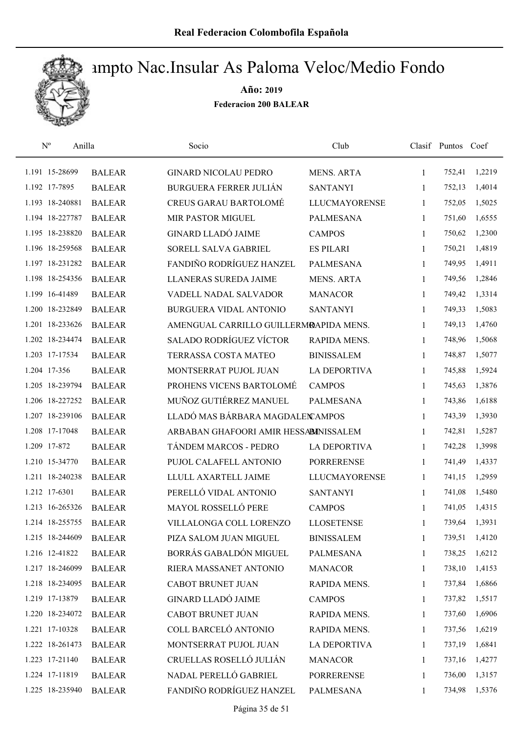

| $\mathbf{N}^{\text{o}}$<br>Anilla |               | Socio                                  | Club                 |              | Clasif Puntos Coef |        |
|-----------------------------------|---------------|----------------------------------------|----------------------|--------------|--------------------|--------|
| 1.191 15-28699                    | <b>BALEAR</b> | <b>GINARD NICOLAU PEDRO</b>            | <b>MENS. ARTA</b>    | 1            | 752,41             | 1,2219 |
| 1.192 17-7895                     | <b>BALEAR</b> | <b>BURGUERA FERRER JULIÁN</b>          | <b>SANTANYI</b>      | 1            | 752,13             | 1,4014 |
| 1.193 18-240881                   | <b>BALEAR</b> | <b>CREUS GARAU BARTOLOMÉ</b>           | <b>LLUCMAYORENSE</b> | $\mathbf{1}$ | 752,05             | 1,5025 |
| 1.194 18-227787                   | <b>BALEAR</b> | MIR PASTOR MIGUEL                      | <b>PALMESANA</b>     | 1            | 751,60             | 1,6555 |
| 1.195 18-238820                   | <b>BALEAR</b> | <b>GINARD LLADÓ JAIME</b>              | <b>CAMPOS</b>        | $\mathbf{1}$ | 750,62             | 1,2300 |
| 1.196 18-259568                   | <b>BALEAR</b> | SORELL SALVA GABRIEL                   | <b>ES PILARI</b>     | $\mathbf{1}$ | 750,21             | 1,4819 |
| 1.197 18-231282                   | <b>BALEAR</b> | FANDIÑO RODRÍGUEZ HANZEL               | <b>PALMESANA</b>     | $\mathbf{1}$ | 749,95             | 1,4911 |
| 1.198 18-254356                   | <b>BALEAR</b> | LLANERAS SUREDA JAIME                  | <b>MENS. ARTA</b>    | $\mathbf{1}$ | 749,56             | 1,2846 |
| 1.199 16-41489                    | <b>BALEAR</b> | VADELL NADAL SALVADOR                  | <b>MANACOR</b>       | 1            | 749,42             | 1,3314 |
| 1.200 18-232849                   | <b>BALEAR</b> | <b>BURGUERA VIDAL ANTONIO</b>          | <b>SANTANYI</b>      | 1            | 749,33             | 1,5083 |
| 1.201 18-233626                   | <b>BALEAR</b> | AMENGUAL CARRILLO GUILLERMRAPIDA MENS. |                      | 1            | 749,13             | 1,4760 |
| 1.202 18-234474                   | <b>BALEAR</b> | <b>SALADO RODRÍGUEZ VÍCTOR</b>         | <b>RAPIDA MENS.</b>  | $\mathbf{1}$ | 748,96             | 1,5068 |
| 1.203 17-17534                    | <b>BALEAR</b> | TERRASSA COSTA MATEO                   | <b>BINISSALEM</b>    | 1            | 748,87             | 1,5077 |
| 1.204 17-356                      | <b>BALEAR</b> | MONTSERRAT PUJOL JUAN                  | <b>LA DEPORTIVA</b>  | $\mathbf{1}$ | 745,88             | 1,5924 |
| 1.205 18-239794                   | <b>BALEAR</b> | PROHENS VICENS BARTOLOMÉ               | <b>CAMPOS</b>        | $\mathbf{1}$ | 745,63             | 1,3876 |
| 1.206 18-227252                   | <b>BALEAR</b> | MUÑOZ GUTIÉRREZ MANUEL                 | <b>PALMESANA</b>     | $\mathbf{1}$ | 743,86             | 1,6188 |
| 1.207 18-239106                   | <b>BALEAR</b> | LLADÓ MAS BÁRBARA MAGDALEN AMPOS       |                      | $\mathbf{1}$ | 743,39             | 1,3930 |
| 1.208 17-17048                    | <b>BALEAR</b> | ARBABAN GHAFOORI AMIR HESSABINISSALEM  |                      | $\mathbf{1}$ | 742,81             | 1,5287 |
| 1.209 17-872                      | <b>BALEAR</b> | TÁNDEM MARCOS - PEDRO                  | <b>LA DEPORTIVA</b>  | 1            | 742,28             | 1,3998 |
| 1.210 15-34770                    | <b>BALEAR</b> | PUJOL CALAFELL ANTONIO                 | <b>PORRERENSE</b>    | $\mathbf{1}$ | 741,49             | 1,4337 |
| 1.211 18-240238                   | <b>BALEAR</b> | LLULL AXARTELL JAIME                   | <b>LLUCMAYORENSE</b> | $\mathbf{1}$ | 741,15             | 1,2959 |
| 1.212 17-6301                     | <b>BALEAR</b> | PERELLÓ VIDAL ANTONIO                  | <b>SANTANYI</b>      | 1            | 741,08             | 1,5480 |
| 1.213 16-265326                   | <b>BALEAR</b> | <b>MAYOL ROSSELLÓ PERE</b>             | <b>CAMPOS</b>        | 1            | 741,05             | 1,4315 |
| 1.214 18-255755                   | <b>BALEAR</b> | VILLALONGA COLL LORENZO                | <b>LLOSETENSE</b>    | 1            | 739,64             | 1,3931 |
| 1.215 18-244609                   | <b>BALEAR</b> | PIZA SALOM JUAN MIGUEL                 | <b>BINISSALEM</b>    | 1            | 739,51             | 1,4120 |
| 1.216 12-41822                    | <b>BALEAR</b> | BORRÁS GABALDÓN MIGUEL                 | PALMESANA            | 1            | 738,25             | 1,6212 |
| 1.217 18-246099                   | <b>BALEAR</b> | RIERA MASSANET ANTONIO                 | <b>MANACOR</b>       | 1            | 738,10             | 1,4153 |
| 1.218 18-234095                   | <b>BALEAR</b> | <b>CABOT BRUNET JUAN</b>               | RAPIDA MENS.         | 1            | 737,84             | 1,6866 |
| 1.219 17-13879                    | <b>BALEAR</b> | <b>GINARD LLADÓ JAIME</b>              | <b>CAMPOS</b>        | 1            | 737,82             | 1,5517 |
| 1.220 18-234072                   | <b>BALEAR</b> | <b>CABOT BRUNET JUAN</b>               | RAPIDA MENS.         | $\mathbf{1}$ | 737,60             | 1,6906 |
| 1.221 17-10328                    | <b>BALEAR</b> | COLL BARCELÓ ANTONIO                   | RAPIDA MENS.         | 1            | 737,56             | 1,6219 |
| 1.222 18-261473                   | <b>BALEAR</b> | MONTSERRAT PUJOL JUAN                  | LA DEPORTIVA         | 1            | 737,19             | 1,6841 |
| 1.223 17-21140                    | <b>BALEAR</b> | CRUELLAS ROSELLÓ JULIÁN                | <b>MANACOR</b>       | 1            | 737,16             | 1,4277 |
| 1.224 17-11819                    | <b>BALEAR</b> | NADAL PERELLÓ GABRIEL                  | <b>PORRERENSE</b>    | 1            | 736,00             | 1,3157 |
| 1.225 18-235940                   | <b>BALEAR</b> | FANDIÑO RODRÍGUEZ HANZEL               | <b>PALMESANA</b>     | 1            | 734,98             | 1,5376 |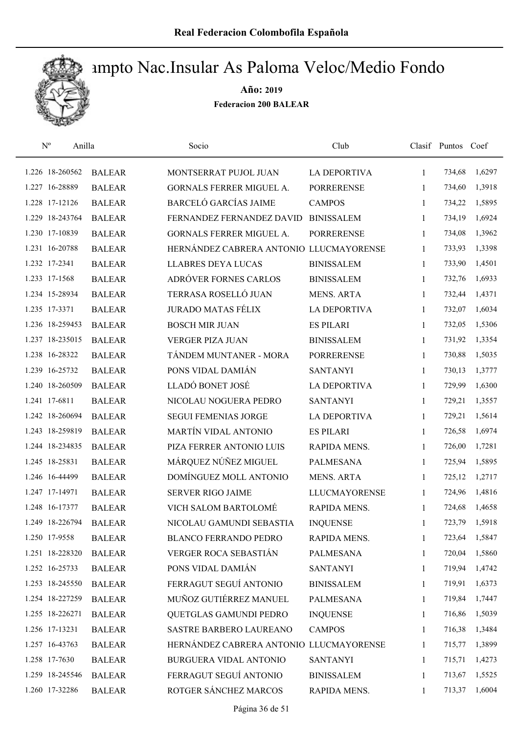

| $\mathbf{N}^{\mathrm{o}}$ | Anilla        | Socio                                   | Club                 |              | Clasif Puntos Coef |        |
|---------------------------|---------------|-----------------------------------------|----------------------|--------------|--------------------|--------|
| 1.226 18-260562           | <b>BALEAR</b> | MONTSERRAT PUJOL JUAN                   | <b>LA DEPORTIVA</b>  | $\mathbf{1}$ | 734,68             | 1,6297 |
| 1.227 16-28889            | <b>BALEAR</b> | GORNALS FERRER MIGUEL A.                | <b>PORRERENSE</b>    | 1            | 734,60             | 1,3918 |
| 1.228 17-12126            | <b>BALEAR</b> | <b>BARCELÓ GARCÍAS JAIME</b>            | <b>CAMPOS</b>        | $\mathbf{1}$ | 734,22             | 1,5895 |
| 1.229 18-243764           | <b>BALEAR</b> | FERNANDEZ FERNANDEZ DAVID               | <b>BINISSALEM</b>    | $\mathbf{1}$ | 734,19             | 1,6924 |
| 1.230 17-10839            | <b>BALEAR</b> | GORNALS FERRER MIGUEL A.                | <b>PORRERENSE</b>    | $\mathbf{1}$ | 734,08             | 1,3962 |
| 1.231 16-20788            | <b>BALEAR</b> | HERNÁNDEZ CABRERA ANTONIO LLUCMAYORENSE |                      | $\mathbf{1}$ | 733,93             | 1,3398 |
| 1.232 17-2341             | <b>BALEAR</b> | <b>LLABRES DEYA LUCAS</b>               | <b>BINISSALEM</b>    | $\mathbf{1}$ | 733,90             | 1,4501 |
| 1.233 17-1568             | <b>BALEAR</b> | ADRÓVER FORNES CARLOS                   | <b>BINISSALEM</b>    | $\mathbf{1}$ | 732,76             | 1,6933 |
| 1.234 15-28934            | <b>BALEAR</b> | TERRASA ROSELLÓ JUAN                    | <b>MENS. ARTA</b>    | 1            | 732,44             | 1,4371 |
| 1.235 17-3371             | <b>BALEAR</b> | <b>JURADO MATAS FÉLIX</b>               | <b>LA DEPORTIVA</b>  | 1            | 732,07             | 1,6034 |
| 1.236 18-259453           | <b>BALEAR</b> | <b>BOSCH MIR JUAN</b>                   | <b>ES PILARI</b>     | 1            | 732,05             | 1,5306 |
| 1.237 18-235015           | <b>BALEAR</b> | <b>VERGER PIZA JUAN</b>                 | <b>BINISSALEM</b>    | $\mathbf{1}$ | 731,92             | 1,3354 |
| 1.238 16-28322            | <b>BALEAR</b> | TÁNDEM MUNTANER - MORA                  | <b>PORRERENSE</b>    | 1            | 730,88             | 1,5035 |
| 1.239 16-25732            | <b>BALEAR</b> | PONS VIDAL DAMIÁN                       | <b>SANTANYI</b>      | $\mathbf{1}$ | 730,13             | 1,3777 |
| 1.240 18-260509           | <b>BALEAR</b> | LLADÓ BONET JOSÉ                        | <b>LA DEPORTIVA</b>  | 1            | 729,99             | 1,6300 |
| 1.241 17-6811             | <b>BALEAR</b> | NICOLAU NOGUERA PEDRO                   | <b>SANTANYI</b>      | 1            | 729,21             | 1,3557 |
| 1.242 18-260694           | <b>BALEAR</b> | <b>SEGUI FEMENIAS JORGE</b>             | <b>LA DEPORTIVA</b>  | 1            | 729,21             | 1,5614 |
| 1.243 18-259819           | <b>BALEAR</b> | MARTÍN VIDAL ANTONIO                    | <b>ES PILARI</b>     | $\mathbf{1}$ | 726,58             | 1,6974 |
| 1.244 18-234835           | <b>BALEAR</b> | PIZA FERRER ANTONIO LUIS                | RAPIDA MENS.         | $\mathbf{1}$ | 726,00             | 1,7281 |
| 1.245 18-25831            | <b>BALEAR</b> | MÁRQUEZ NÚÑEZ MIGUEL                    | <b>PALMESANA</b>     | $\mathbf{1}$ | 725,94             | 1,5895 |
| 1.246 16-44499            | <b>BALEAR</b> | DOMÍNGUEZ MOLL ANTONIO                  | <b>MENS. ARTA</b>    | $\mathbf{1}$ | 725,12             | 1,2717 |
| 1.247 17-14971            | <b>BALEAR</b> | <b>SERVER RIGO JAIME</b>                | <b>LLUCMAYORENSE</b> | 1            | 724,96             | 1,4816 |
| 1.248 16-17377            | <b>BALEAR</b> | VICH SALOM BARTOLOMÉ                    | RAPIDA MENS.         | 1            | 724,68             | 1,4658 |
| 1.249 18-226794           | <b>BALEAR</b> | NICOLAU GAMUNDI SEBASTIA                | <b>INQUENSE</b>      | 1            | 723,79             | 1,5918 |
| 1.250 17-9558             | <b>BALEAR</b> | <b>BLANCO FERRANDO PEDRO</b>            | RAPIDA MENS.         | 1            | 723,64             | 1,5847 |
| 1.251 18-228320           | <b>BALEAR</b> | VERGER ROCA SEBASTIÁN                   | PALMESANA            | 1            | 720,04             | 1,5860 |
| 1.252 16-25733            | <b>BALEAR</b> | PONS VIDAL DAMIÁN                       | <b>SANTANYI</b>      | 1            | 719,94             | 1,4742 |
| 1.253 18-245550           | <b>BALEAR</b> | FERRAGUT SEGUÍ ANTONIO                  | <b>BINISSALEM</b>    | 1            | 719,91             | 1,6373 |
| 1.254 18-227259           | <b>BALEAR</b> | MUÑOZ GUTIÉRREZ MANUEL                  | PALMESANA            | 1            | 719,84             | 1,7447 |
| 1.255 18-226271           | <b>BALEAR</b> | QUETGLAS GAMUNDI PEDRO                  | <b>INQUENSE</b>      | 1            | 716,86             | 1,5039 |
| 1.256 17-13231            | <b>BALEAR</b> | SASTRE BARBERO LAUREANO                 | <b>CAMPOS</b>        | $\mathbf{1}$ | 716,38             | 1,3484 |
| 1.257 16-43763            | <b>BALEAR</b> | HERNÁNDEZ CABRERA ANTONIO LLUCMAYORENSE |                      | 1            | 715,77             | 1,3899 |
| 1.258 17-7630             | <b>BALEAR</b> | BURGUERA VIDAL ANTONIO                  | <b>SANTANYI</b>      | 1            | 715,71             | 1,4273 |
| 1.259 18-245546           | <b>BALEAR</b> | FERRAGUT SEGUÍ ANTONIO                  | <b>BINISSALEM</b>    | 1            | 713,67             | 1,5525 |
| 1.260 17-32286            | <b>BALEAR</b> | ROTGER SÁNCHEZ MARCOS                   | RAPIDA MENS.         | $\mathbf{1}$ | 713,37             | 1,6004 |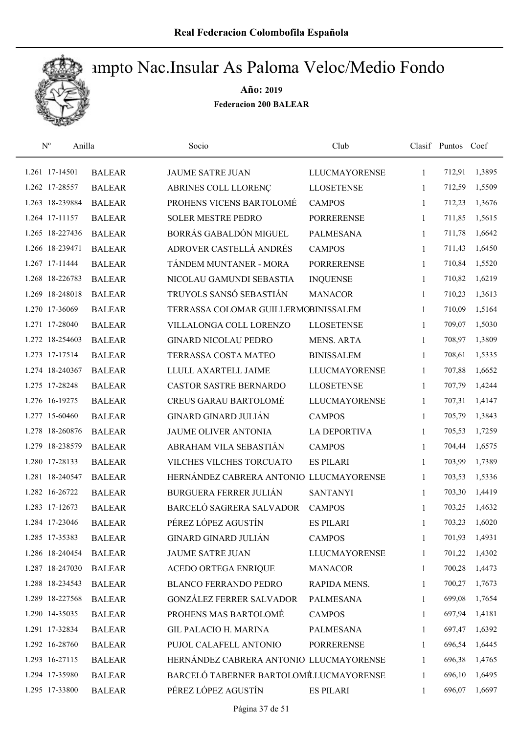

| $\mathbf{N}^{\mathrm{o}}$<br>Anilla |               | Socio                                   | Club                 |              | Clasif Puntos Coef |        |
|-------------------------------------|---------------|-----------------------------------------|----------------------|--------------|--------------------|--------|
| 1.261 17-14501                      | <b>BALEAR</b> | <b>JAUME SATRE JUAN</b>                 | <b>LLUCMAYORENSE</b> | 1            | 712,91             | 1,3895 |
| 1.262 17-28557                      | <b>BALEAR</b> | ABRINES COLL LLORENÇ                    | <b>LLOSETENSE</b>    | 1            | 712,59             | 1,5509 |
| 1.263 18-239884                     | <b>BALEAR</b> | PROHENS VICENS BARTOLOMÉ                | <b>CAMPOS</b>        | $\mathbf{1}$ | 712,23             | 1,3676 |
| 1.264 17-11157                      | <b>BALEAR</b> | <b>SOLER MESTRE PEDRO</b>               | <b>PORRERENSE</b>    | 1            | 711,85             | 1,5615 |
| 1.265 18-227436                     | <b>BALEAR</b> | BORRÁS GABALDÓN MIGUEL                  | <b>PALMESANA</b>     | $\mathbf{1}$ | 711,78             | 1,6642 |
| 1.266 18-239471                     | <b>BALEAR</b> | ADROVER CASTELLÁ ANDRÉS                 | <b>CAMPOS</b>        | $\mathbf{1}$ | 711,43             | 1,6450 |
| 1.267 17-11444                      | <b>BALEAR</b> | TÁNDEM MUNTANER - MORA                  | <b>PORRERENSE</b>    | $\mathbf{1}$ | 710,84             | 1,5520 |
| 1.268 18-226783                     | <b>BALEAR</b> | NICOLAU GAMUNDI SEBASTIA                | <b>INQUENSE</b>      | $\mathbf{1}$ | 710,82             | 1,6219 |
| 1.269 18-248018                     | <b>BALEAR</b> | TRUYOLS SANSÓ SEBASTIÁN                 | <b>MANACOR</b>       | 1            | 710,23             | 1,3613 |
| 1.270 17-36069                      | <b>BALEAR</b> | TERRASSA COLOMAR GUILLERMOBINISSALEM    |                      | 1            | 710,09             | 1,5164 |
| 1.271 17-28040                      | <b>BALEAR</b> | VILLALONGA COLL LORENZO                 | <b>LLOSETENSE</b>    | 1            | 709,07             | 1,5030 |
| 1.272 18-254603                     | <b>BALEAR</b> | <b>GINARD NICOLAU PEDRO</b>             | <b>MENS. ARTA</b>    | 1            | 708,97             | 1,3809 |
| 1.273 17-17514                      | <b>BALEAR</b> | TERRASSA COSTA MATEO                    | <b>BINISSALEM</b>    | 1            | 708,61             | 1,5335 |
| 1.274 18-240367                     | <b>BALEAR</b> | LLULL AXARTELL JAIME                    | <b>LLUCMAYORENSE</b> | 1            | 707,88             | 1,6652 |
| 1.275 17-28248                      | <b>BALEAR</b> | CASTOR SASTRE BERNARDO                  | <b>LLOSETENSE</b>    | 1            | 707,79             | 1,4244 |
| 1.276 16-19275                      | <b>BALEAR</b> | <b>CREUS GARAU BARTOLOMÉ</b>            | <b>LLUCMAYORENSE</b> | 1            | 707,31             | 1,4147 |
| 1.277 15-60460                      | <b>BALEAR</b> | <b>GINARD GINARD JULIÁN</b>             | <b>CAMPOS</b>        | $\mathbf{1}$ | 705,79             | 1,3843 |
| 1.278 18-260876                     | <b>BALEAR</b> | JAUME OLIVER ANTONIA                    | <b>LA DEPORTIVA</b>  | $\mathbf{1}$ | 705,53             | 1,7259 |
| 1.279 18-238579                     | <b>BALEAR</b> | ABRAHAM VILA SEBASTIÁN                  | <b>CAMPOS</b>        | $\mathbf{1}$ | 704,44             | 1,6575 |
| 1.280 17-28133                      | <b>BALEAR</b> | VILCHES VILCHES TORCUATO                | <b>ES PILARI</b>     | $\mathbf{1}$ | 703,99             | 1,7389 |
| 1.281 18-240547                     | <b>BALEAR</b> | HERNÁNDEZ CABRERA ANTONIO LLUCMAYORENSE |                      | $\mathbf{1}$ | 703,53             | 1,5336 |
| 1.282 16-26722                      | <b>BALEAR</b> | <b>BURGUERA FERRER JULIÁN</b>           | <b>SANTANYI</b>      | 1            | 703,30             | 1,4419 |
| 1.283 17-12673                      | <b>BALEAR</b> | BARCELÓ SAGRERA SALVADOR                | <b>CAMPOS</b>        | $\mathbf{1}$ | 703,25             | 1,4632 |
| 1.284 17-23046                      | <b>BALEAR</b> | PÉREZ LÓPEZ AGUSTÍN                     | <b>ES PILARI</b>     | 1            | 703,23             | 1,6020 |
| 1.285 17-35383                      | <b>BALEAR</b> | <b>GINARD GINARD JULIÁN</b>             | <b>CAMPOS</b>        | 1            | 701,93             | 1,4931 |
| 1.286 18-240454                     | <b>BALEAR</b> | <b>JAUME SATRE JUAN</b>                 | <b>LLUCMAYORENSE</b> | 1            | 701,22             | 1,4302 |
| 1.287 18-247030                     | <b>BALEAR</b> | ACEDO ORTEGA ENRIQUE                    | <b>MANACOR</b>       | 1            | 700,28             | 1,4473 |
| 1.288 18-234543                     | <b>BALEAR</b> | <b>BLANCO FERRANDO PEDRO</b>            | RAPIDA MENS.         | 1            | 700,27             | 1,7673 |
| 1.289 18-227568                     | <b>BALEAR</b> | <b>GONZÁLEZ FERRER SALVADOR</b>         | PALMESANA            | 1            | 699,08             | 1,7654 |
| 1.290 14-35035                      | <b>BALEAR</b> | PROHENS MAS BARTOLOMÉ                   | <b>CAMPOS</b>        | 1            | 697,94             | 1,4181 |
| 1.291 17-32834                      | <b>BALEAR</b> | GIL PALACIO H. MARINA                   | <b>PALMESANA</b>     | 1            | 697,47             | 1,6392 |
| 1.292 16-28760                      | <b>BALEAR</b> | PUJOL CALAFELL ANTONIO                  | <b>PORRERENSE</b>    | 1            | 696,54             | 1,6445 |
| 1.293 16-27115                      | <b>BALEAR</b> | HERNÁNDEZ CABRERA ANTONIO LLUCMAYORENSE |                      | 1            | 696,38             | 1,4765 |
| 1.294 17-35980                      | <b>BALEAR</b> | BARCELÓ TABERNER BARTOLOMÉLUCMAYORENSE  |                      | 1            | 696,10             | 1,6495 |
| 1.295 17-33800                      | <b>BALEAR</b> | PÉREZ LÓPEZ AGUSTÍN                     | <b>ES PILARI</b>     | 1            | 696,07             | 1,6697 |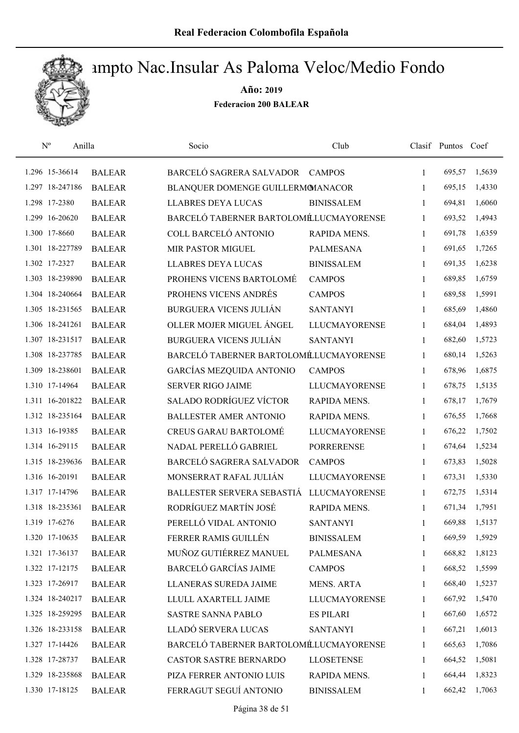

| $N^{o}$<br>Anilla |               | Socio                                    | Club                 |              | Clasif Puntos Coef |        |
|-------------------|---------------|------------------------------------------|----------------------|--------------|--------------------|--------|
| 1.296 15-36614    | <b>BALEAR</b> | <b>BARCELÓ SAGRERA SALVADOR</b>          | <b>CAMPOS</b>        | $\mathbf{1}$ | 695,57             | 1,5639 |
| 1.297 18-247186   | <b>BALEAR</b> | BLANQUER DOMENGE GUILLERMOMANACOR        |                      | 1            | 695,15             | 1,4330 |
| 1.298 17-2380     | <b>BALEAR</b> | <b>LLABRES DEYA LUCAS</b>                | <b>BINISSALEM</b>    | $\mathbf{1}$ | 694,81             | 1,6060 |
| 1.299 16-20620    | <b>BALEAR</b> | BARCELÓ TABERNER BARTOLOMÉLUCMAYORENSE   |                      | $\mathbf{1}$ | 693,52             | 1,4943 |
| 1.300 17-8660     | <b>BALEAR</b> | COLL BARCELÓ ANTONIO                     | RAPIDA MENS.         | 1            | 691,78             | 1,6359 |
| 1.301 18-227789   | <b>BALEAR</b> | MIR PASTOR MIGUEL                        | <b>PALMESANA</b>     | $\mathbf{1}$ | 691,65             | 1,7265 |
| 1.302 17-2327     | <b>BALEAR</b> | <b>LLABRES DEYA LUCAS</b>                | <b>BINISSALEM</b>    | 1            | 691,35             | 1,6238 |
| 1.303 18-239890   | <b>BALEAR</b> | PROHENS VICENS BARTOLOMÉ                 | <b>CAMPOS</b>        | $\mathbf{1}$ | 689,85             | 1,6759 |
| 1.304 18-240664   | <b>BALEAR</b> | PROHENS VICENS ANDRÉS                    | <b>CAMPOS</b>        | 1            | 689,58             | 1,5991 |
| 1.305 18-231565   | <b>BALEAR</b> | <b>BURGUERA VICENS JULIÁN</b>            | <b>SANTANYI</b>      | $\mathbf{1}$ | 685,69             | 1,4860 |
| 1.306 18-241261   | <b>BALEAR</b> | OLLER MOJER MIGUEL ÁNGEL                 | <b>LLUCMAYORENSE</b> | 1            | 684,04             | 1,4893 |
| 1.307 18-231517   | <b>BALEAR</b> | <b>BURGUERA VICENS JULIÁN</b>            | <b>SANTANYI</b>      | $\mathbf{1}$ | 682,60             | 1,5723 |
| 1.308 18-237785   | <b>BALEAR</b> | BARCELÓ TABERNER BARTOLOMÉLUCMAYORENSE   |                      | $\mathbf{1}$ | 680,14             | 1,5263 |
| 1.309 18-238601   | <b>BALEAR</b> | GARCÍAS MEZQUIDA ANTONIO                 | <b>CAMPOS</b>        | $\mathbf{1}$ | 678,96             | 1,6875 |
| 1.310 17-14964    | <b>BALEAR</b> | <b>SERVER RIGO JAIME</b>                 | <b>LLUCMAYORENSE</b> | $\mathbf{1}$ | 678,75             | 1,5135 |
| 1.311 16-201822   | <b>BALEAR</b> | SALADO RODRÍGUEZ VÍCTOR                  | RAPIDA MENS.         | 1            | 678,17             | 1,7679 |
| 1.312 18-235164   | <b>BALEAR</b> | <b>BALLESTER AMER ANTONIO</b>            | RAPIDA MENS.         | $\mathbf{1}$ | 676,55             | 1,7668 |
| 1.313 16-19385    | <b>BALEAR</b> | <b>CREUS GARAU BARTOLOMÉ</b>             | <b>LLUCMAYORENSE</b> | $\mathbf{1}$ | 676,22             | 1,7502 |
| 1.314 16-29115    | <b>BALEAR</b> | NADAL PERELLÓ GABRIEL                    | <b>PORRERENSE</b>    | $\mathbf{1}$ | 674,64             | 1,5234 |
| 1.315 18-239636   | <b>BALEAR</b> | BARCELÓ SAGRERA SALVADOR                 | <b>CAMPOS</b>        | 1            | 673,83             | 1,5028 |
| 1.316 16-20191    | <b>BALEAR</b> | MONSERRAT RAFAL JULIÁN                   | <b>LLUCMAYORENSE</b> | $\mathbf{1}$ | 673,31             | 1,5330 |
| 1.317 17-14796    | <b>BALEAR</b> | BALLESTER SERVERA SEBASTIÁ LLUCMAYORENSE |                      | 1            | 672,75             | 1,5314 |
| 1.318 18-235361   | <b>BALEAR</b> | RODRÍGUEZ MARTÍN JOSÉ                    | RAPIDA MENS.         | 1            | 671,34             | 1,7951 |
| 1.319 17-6276     | <b>BALEAR</b> | PERELLÓ VIDAL ANTONIO                    | <b>SANTANYI</b>      | 1            | 669,88             | 1,5137 |
| 1.320 17-10635    | <b>BALEAR</b> | FERRER RAMIS GUILLÉN                     | <b>BINISSALEM</b>    | 1            | 669,59             | 1,5929 |
| 1.321 17-36137    | <b>BALEAR</b> | MUÑOZ GUTIÉRREZ MANUEL                   | <b>PALMESANA</b>     | 1            | 668,82             | 1,8123 |
| 1.322 17-12175    | <b>BALEAR</b> | <b>BARCELÓ GARCÍAS JAIME</b>             | <b>CAMPOS</b>        | 1            | 668,52             | 1,5599 |
| 1.323 17-26917    | <b>BALEAR</b> | LLANERAS SUREDA JAIME                    | <b>MENS. ARTA</b>    | 1            | 668,40             | 1,5237 |
| 1.324 18-240217   | <b>BALEAR</b> | LLULL AXARTELL JAIME                     | <b>LLUCMAYORENSE</b> | 1            | 667,92             | 1,5470 |
| 1.325 18-259295   | <b>BALEAR</b> | <b>SASTRE SANNA PABLO</b>                | <b>ES PILARI</b>     | $\mathbf{1}$ | 667,60             | 1,6572 |
| 1.326 18-233158   | <b>BALEAR</b> | LLADÓ SERVERA LUCAS                      | <b>SANTANYI</b>      | 1            | 667,21             | 1,6013 |
| 1.327 17-14426    | <b>BALEAR</b> | BARCELÓ TABERNER BARTOLOMÉLUCMAYORENSE   |                      | $\mathbf{1}$ | 665,63             | 1,7086 |
| 1.328 17-28737    | <b>BALEAR</b> | <b>CASTOR SASTRE BERNARDO</b>            | <b>LLOSETENSE</b>    | 1            | 664,52             | 1,5081 |
| 1.329 18-235868   | <b>BALEAR</b> | PIZA FERRER ANTONIO LUIS                 | RAPIDA MENS.         | 1            | 664,44             | 1,8323 |
| 1.330 17-18125    | <b>BALEAR</b> | FERRAGUT SEGUÍ ANTONIO                   | <b>BINISSALEM</b>    | 1            | 662,42             | 1,7063 |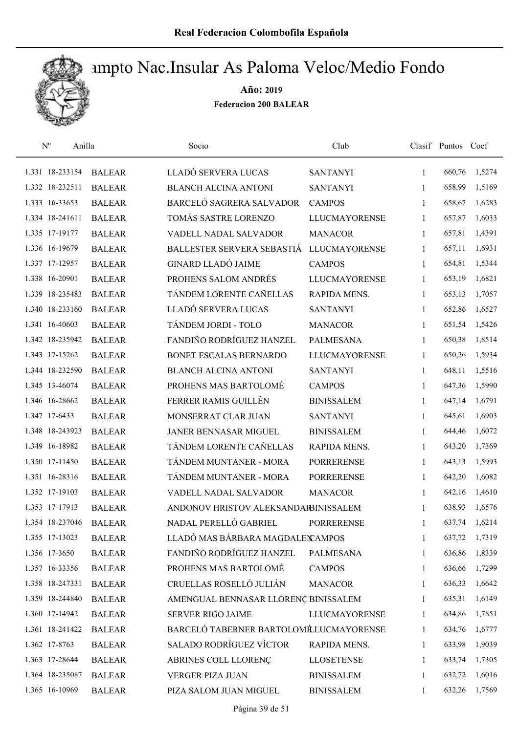

| $\mathbf{N}^{\text{o}}$<br>Anilla |               | Socio                                  | Club                 |              | Clasif Puntos Coef |        |
|-----------------------------------|---------------|----------------------------------------|----------------------|--------------|--------------------|--------|
| 1.331 18-233154                   | <b>BALEAR</b> | LLADÓ SERVERA LUCAS                    | <b>SANTANYI</b>      | $\mathbf{1}$ | 660,76             | 1,5274 |
| 1.332 18-232511                   | <b>BALEAR</b> | <b>BLANCH ALCINA ANTONI</b>            | <b>SANTANYI</b>      | 1            | 658,99             | 1,5169 |
| 1.333 16-33653                    | <b>BALEAR</b> | BARCELÓ SAGRERA SALVADOR               | <b>CAMPOS</b>        | $\mathbf{1}$ | 658,67             | 1,6283 |
| 1.334 18-241611                   | <b>BALEAR</b> | TOMÁS SASTRE LORENZO                   | <b>LLUCMAYORENSE</b> | 1            | 657,87             | 1,6033 |
| 1.335 17-19177                    | <b>BALEAR</b> | VADELL NADAL SALVADOR                  | <b>MANACOR</b>       | $\mathbf{1}$ | 657,81             | 1,4391 |
| 1.336 16-19679                    | <b>BALEAR</b> | BALLESTER SERVERA SEBASTIÁ             | <b>LLUCMAYORENSE</b> | $\mathbf{1}$ | 657,11             | 1,6931 |
| 1.337 17-12957                    | <b>BALEAR</b> | <b>GINARD LLADÓ JAIME</b>              | <b>CAMPOS</b>        | $\mathbf{1}$ | 654,81             | 1,5344 |
| 1.338 16-20901                    | <b>BALEAR</b> | PROHENS SALOM ANDRÉS                   | <b>LLUCMAYORENSE</b> | $\mathbf{1}$ | 653,19             | 1,6821 |
| 1.339 18-235483                   | <b>BALEAR</b> | TÁNDEM LORENTE CAÑELLAS                | RAPIDA MENS.         | 1            | 653,13             | 1,7057 |
| 1.340 18-233160                   | <b>BALEAR</b> | LLADÓ SERVERA LUCAS                    | <b>SANTANYI</b>      | 1            | 652,86             | 1,6527 |
| 1.341 16-40603                    | <b>BALEAR</b> | TÁNDEM JORDI - TOLO                    | <b>MANACOR</b>       | 1            | 651,54             | 1,5426 |
| 1.342 18-235942                   | <b>BALEAR</b> | FANDIÑO RODRÍGUEZ HANZEL               | PALMESANA            | 1            | 650,38             | 1,8514 |
| 1.343 17-15262                    | <b>BALEAR</b> | BONET ESCALAS BERNARDO                 | <b>LLUCMAYORENSE</b> | 1            | 650,26             | 1,5934 |
| 1.344 18-232590                   | <b>BALEAR</b> | <b>BLANCH ALCINA ANTONI</b>            | <b>SANTANYI</b>      | 1            | 648,11             | 1,5516 |
| 1.345 13-46074                    | <b>BALEAR</b> | PROHENS MAS BARTOLOMÉ                  | <b>CAMPOS</b>        | 1            | 647,36             | 1,5990 |
| 1.346 16-28662                    | <b>BALEAR</b> | FERRER RAMIS GUILLÉN                   | <b>BINISSALEM</b>    | 1            | 647,14             | 1,6791 |
| 1.347 17-6433                     | <b>BALEAR</b> | MONSERRAT CLAR JUAN                    | <b>SANTANYI</b>      | 1            | 645,61             | 1,6903 |
| 1.348 18-243923                   | <b>BALEAR</b> | JANER BENNASAR MIGUEL                  | <b>BINISSALEM</b>    | $\mathbf{1}$ | 644,46             | 1,6072 |
| 1.349 16-18982                    | <b>BALEAR</b> | TÁNDEM LORENTE CAÑELLAS                | RAPIDA MENS.         | 1            | 643,20             | 1,7369 |
| 1.350 17-11450                    | <b>BALEAR</b> | TÁNDEM MUNTANER - MORA                 | <b>PORRERENSE</b>    | $\mathbf{1}$ | 643,13             | 1,5993 |
| 1.351 16-28316                    | <b>BALEAR</b> | TÁNDEM MUNTANER - MORA                 | <b>PORRERENSE</b>    | 1            | 642,20             | 1,6082 |
| 1.352 17-19103                    | <b>BALEAR</b> | <b>VADELL NADAL SALVADOR</b>           | <b>MANACOR</b>       | 1            | 642,16             | 1,4610 |
| 1.353 17-17913                    | <b>BALEAR</b> | ANDONOV HRISTOV ALEKSANDARBINISSALEM   |                      | 1            | 638,93             | 1,6576 |
| 1.354 18-237046                   | <b>BALEAR</b> | NADAL PERELLÓ GABRIEL                  | <b>PORRERENSE</b>    | 1            | 637,74             | 1,6214 |
| 1.355 17-13023                    | <b>BALEAR</b> | LLADÓ MAS BÁRBARA MAGDALEN AMPOS       |                      | 1            | 637,72             | 1,7319 |
| 1.356 17-3650                     | <b>BALEAR</b> | FANDIÑO RODRÍGUEZ HANZEL               | PALMESANA            | 1            | 636,86             | 1,8339 |
| 1.357 16-33356                    | <b>BALEAR</b> | PROHENS MAS BARTOLOMÉ                  | <b>CAMPOS</b>        | 1            | 636,66             | 1,7299 |
| 1.358 18-247331                   | <b>BALEAR</b> | CRUELLAS ROSELLÓ JULIÁN                | <b>MANACOR</b>       | 1            | 636,33             | 1,6642 |
| 1.359 18-244840                   | <b>BALEAR</b> | AMENGUAL BENNASAR LLORENÇ BINISSALEM   |                      | 1            | 635,31             | 1,6149 |
| 1.360 17-14942                    | <b>BALEAR</b> | <b>SERVER RIGO JAIME</b>               | <b>LLUCMAYORENSE</b> | 1            | 634,86             | 1,7851 |
| 1.361 18-241422                   | <b>BALEAR</b> | BARCELÓ TABERNER BARTOLOMÉLUCMAYORENSE |                      | 1            | 634,76             | 1,6777 |
| 1.362 17-8763                     | <b>BALEAR</b> | SALADO RODRÍGUEZ VÍCTOR                | RAPIDA MENS.         | 1            | 633,98             | 1,9039 |
| 1.363 17-28644                    | <b>BALEAR</b> | ABRINES COLL LLORENÇ                   | <b>LLOSETENSE</b>    | 1            | 633,74             | 1,7305 |
| 1.364 18-235087                   | <b>BALEAR</b> | VERGER PIZA JUAN                       | <b>BINISSALEM</b>    | 1            | 632,72             | 1,6016 |
| 1.365 16-10969                    | <b>BALEAR</b> | PIZA SALOM JUAN MIGUEL                 | <b>BINISSALEM</b>    | 1            | 632,26             | 1,7569 |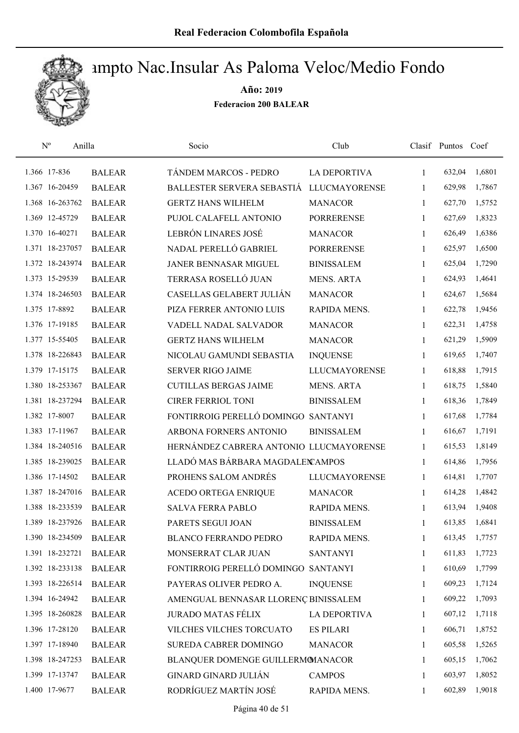

| $\mathbf{N}^{\text{o}}$<br>Anilla |               | Socio                                   | Club                 |              | Clasif Puntos Coef |        |
|-----------------------------------|---------------|-----------------------------------------|----------------------|--------------|--------------------|--------|
| 1.366 17-836                      | <b>BALEAR</b> | TÁNDEM MARCOS - PEDRO                   | LA DEPORTIVA         | 1            | 632,04             | 1,6801 |
| 1.367 16-20459                    | <b>BALEAR</b> | BALLESTER SERVERA SEBASTIÁ              | <b>LLUCMAYORENSE</b> | 1            | 629,98             | 1,7867 |
| 1.368 16-263762                   | <b>BALEAR</b> | <b>GERTZ HANS WILHELM</b>               | <b>MANACOR</b>       | $\mathbf{1}$ | 627,70             | 1,5752 |
| 1.369 12-45729                    | <b>BALEAR</b> | PUJOL CALAFELL ANTONIO                  | <b>PORRERENSE</b>    | 1            | 627,69             | 1,8323 |
| 1.370 16-40271                    | <b>BALEAR</b> | LEBRÓN LINARES JOSÉ                     | <b>MANACOR</b>       | $\mathbf{1}$ | 626,49             | 1,6386 |
| 1.371 18-237057                   | <b>BALEAR</b> | NADAL PERELLÓ GABRIEL                   | <b>PORRERENSE</b>    | $\mathbf{1}$ | 625,97             | 1,6500 |
| 1.372 18-243974                   | <b>BALEAR</b> | JANER BENNASAR MIGUEL                   | <b>BINISSALEM</b>    | $\mathbf{1}$ | 625,04             | 1,7290 |
| 1.373 15-29539                    | <b>BALEAR</b> | TERRASA ROSELLÓ JUAN                    | <b>MENS. ARTA</b>    | $\mathbf{1}$ | 624,93             | 1,4641 |
| 1.374 18-246503                   | <b>BALEAR</b> | CASELLAS GELABERT JULIÁN                | <b>MANACOR</b>       | 1            | 624,67             | 1,5684 |
| 1.375 17-8892                     | <b>BALEAR</b> | PIZA FERRER ANTONIO LUIS                | RAPIDA MENS.         | 1            | 622,78             | 1,9456 |
| 1.376 17-19185                    | <b>BALEAR</b> | <b>VADELL NADAL SALVADOR</b>            | <b>MANACOR</b>       | 1            | 622,31             | 1,4758 |
| 1.377 15-55405                    | <b>BALEAR</b> | <b>GERTZ HANS WILHELM</b>               | <b>MANACOR</b>       | 1            | 621,29             | 1,5909 |
| 1.378 18-226843                   | <b>BALEAR</b> | NICOLAU GAMUNDI SEBASTIA                | <b>INQUENSE</b>      | 1            | 619,65             | 1,7407 |
| 1.379 17-15175                    | <b>BALEAR</b> | <b>SERVER RIGO JAIME</b>                | <b>LLUCMAYORENSE</b> | 1            | 618,88             | 1,7915 |
| 1.380 18-253367                   | <b>BALEAR</b> | <b>CUTILLAS BERGAS JAIME</b>            | <b>MENS. ARTA</b>    | 1            | 618,75             | 1,5840 |
| 1.381 18-237294                   | <b>BALEAR</b> | <b>CIRER FERRIOL TONI</b>               | <b>BINISSALEM</b>    | $\mathbf{1}$ | 618,36             | 1,7849 |
| 1.382 17-8007                     | <b>BALEAR</b> | FONTIRROIG PERELLÓ DOMINGO SANTANYI     |                      | 1            | 617,68             | 1,7784 |
| 1.383 17-11967                    | <b>BALEAR</b> | ARBONA FORNERS ANTONIO                  | <b>BINISSALEM</b>    | $\mathbf{1}$ | 616,67             | 1,7191 |
| 1.384 18-240516                   | <b>BALEAR</b> | HERNÁNDEZ CABRERA ANTONIO LLUCMAYORENSE |                      | $\mathbf{1}$ | 615,53             | 1,8149 |
| 1.385 18-239025                   | <b>BALEAR</b> | LLADÓ MAS BÁRBARA MAGDALEN AMPOS        |                      | $\mathbf{1}$ | 614,86             | 1,7956 |
| 1.386 17-14502                    | <b>BALEAR</b> | PROHENS SALOM ANDRÉS                    | <b>LLUCMAYORENSE</b> | 1            | 614,81             | 1,7707 |
| 1.387 18-247016                   | <b>BALEAR</b> | ACEDO ORTEGA ENRIQUE                    | <b>MANACOR</b>       | 1            | 614,28             | 1,4842 |
| 1.388 18-233539                   | <b>BALEAR</b> | <b>SALVA FERRA PABLO</b>                | RAPIDA MENS.         | $\mathbf{1}$ | 613,94             | 1,9408 |
| 1.389 18-237926                   | <b>BALEAR</b> | PARETS SEGUI JOAN                       | <b>BINISSALEM</b>    | 1            | 613,85             | 1,6841 |
| 1.390 18-234509                   | <b>BALEAR</b> | <b>BLANCO FERRANDO PEDRO</b>            | RAPIDA MENS.         | 1            | 613,45             | 1,7757 |
| 1.391 18-232721                   | <b>BALEAR</b> | MONSERRAT CLAR JUAN                     | <b>SANTANYI</b>      | 1            | 611,83             | 1,7723 |
| 1.392 18-233138                   | <b>BALEAR</b> | FONTIRROIG PERELLÓ DOMINGO SANTANYI     |                      | 1            | 610,69             | 1,7799 |
| 1.393 18-226514                   | <b>BALEAR</b> | PAYERAS OLIVER PEDRO A.                 | <b>INQUENSE</b>      | 1            | 609,23             | 1,7124 |
| 1.394 16-24942                    | <b>BALEAR</b> | AMENGUAL BENNASAR LLORENÇ BINISSALEM    |                      | 1            | 609,22             | 1,7093 |
| 1.395 18-260828                   | <b>BALEAR</b> | <b>JURADO MATAS FÉLIX</b>               | LA DEPORTIVA         | 1            | 607,12             | 1,7118 |
| 1.396 17-28120                    | <b>BALEAR</b> | VILCHES VILCHES TORCUATO                | <b>ES PILARI</b>     | 1            | 606,71             | 1,8752 |
| 1.397 17-18940                    | <b>BALEAR</b> | SUREDA CABRER DOMINGO                   | <b>MANACOR</b>       | 1            | 605,58             | 1,5265 |
| 1.398 18-247253                   | <b>BALEAR</b> | BLANQUER DOMENGE GUILLERMOMANACOR       |                      | 1            | 605,15             | 1,7062 |
| 1.399 17-13747                    | <b>BALEAR</b> | <b>GINARD GINARD JULIÁN</b>             | <b>CAMPOS</b>        | 1            | 603,97             | 1,8052 |
| 1.400 17-9677                     | <b>BALEAR</b> | RODRÍGUEZ MARTÍN JOSÉ                   | RAPIDA MENS.         | 1            | 602,89             | 1,9018 |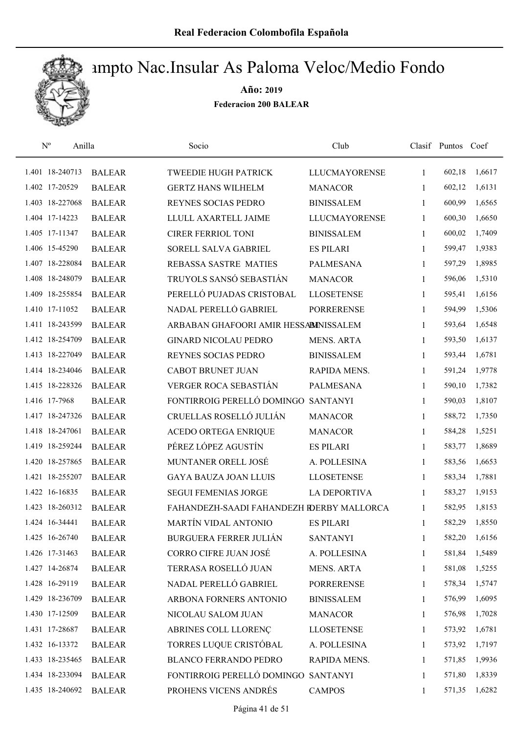

| $\mathbf{N}^{\mathrm{o}}$ | Anilla        | Socio                                     | Club                 |              | Clasif Puntos Coef |        |
|---------------------------|---------------|-------------------------------------------|----------------------|--------------|--------------------|--------|
| 1.401 18-240713           | <b>BALEAR</b> | <b>TWEEDIE HUGH PATRICK</b>               | <b>LLUCMAYORENSE</b> | 1            | 602,18             | 1,6617 |
| 1.402 17-20529            | <b>BALEAR</b> | <b>GERTZ HANS WILHELM</b>                 | <b>MANACOR</b>       | 1            | 602,12             | 1,6131 |
| 1.403 18-227068           | <b>BALEAR</b> | REYNES SOCIAS PEDRO                       | <b>BINISSALEM</b>    | $\mathbf{1}$ | 600,99             | 1,6565 |
| 1.404 17-14223            | <b>BALEAR</b> | LLULL AXARTELL JAIME                      | <b>LLUCMAYORENSE</b> | 1            | 600,30             | 1,6650 |
| 1.405 17-11347            | <b>BALEAR</b> | <b>CIRER FERRIOL TONI</b>                 | <b>BINISSALEM</b>    | $\mathbf{1}$ | 600,02             | 1,7409 |
| 1.406 15-45290            | <b>BALEAR</b> | SORELL SALVA GABRIEL                      | <b>ES PILARI</b>     | $\mathbf{1}$ | 599,47             | 1,9383 |
| 1.407 18-228084           | <b>BALEAR</b> | REBASSA SASTRE MATIES                     | <b>PALMESANA</b>     | $\mathbf{1}$ | 597,29             | 1,8985 |
| 1.408 18-248079           | <b>BALEAR</b> | TRUYOLS SANSÓ SEBASTIÁN                   | <b>MANACOR</b>       | $\mathbf{1}$ | 596,06             | 1,5310 |
| 1.409 18-255854           | <b>BALEAR</b> | PERELLÓ PUJADAS CRISTOBAL                 | <b>LLOSETENSE</b>    | 1            | 595,41             | 1,6156 |
| 1.410 17-11052            | <b>BALEAR</b> | NADAL PERELLÓ GABRIEL                     | <b>PORRERENSE</b>    | 1            | 594,99             | 1,5306 |
| 1.411 18-243599           | <b>BALEAR</b> | ARBABAN GHAFOORI AMIR HESSABINISSALEM     |                      | 1            | 593,64             | 1,6548 |
| 1.412 18-254709           | <b>BALEAR</b> | <b>GINARD NICOLAU PEDRO</b>               | <b>MENS. ARTA</b>    | 1            | 593,50             | 1,6137 |
| 1.413 18-227049           | <b>BALEAR</b> | REYNES SOCIAS PEDRO                       | <b>BINISSALEM</b>    | 1            | 593,44             | 1,6781 |
| 1.414 18-234046           | <b>BALEAR</b> | <b>CABOT BRUNET JUAN</b>                  | RAPIDA MENS.         | $\mathbf{1}$ | 591,24             | 1,9778 |
| 1.415 18-228326           | <b>BALEAR</b> | VERGER ROCA SEBASTIÁN                     | PALMESANA            | $\mathbf{1}$ | 590,10             | 1,7382 |
| 1.416 17-7968             | <b>BALEAR</b> | FONTIRROIG PERELLÓ DOMINGO                | <b>SANTANYI</b>      | 1            | 590,03             | 1,8107 |
| 1.417 18-247326           | <b>BALEAR</b> | CRUELLAS ROSELLÓ JULIÁN                   | <b>MANACOR</b>       | 1            | 588,72             | 1,7350 |
| 1.418 18-247061           | <b>BALEAR</b> | ACEDO ORTEGA ENRIQUE                      | <b>MANACOR</b>       | $\mathbf{1}$ | 584,28             | 1,5251 |
| 1.419 18-259244           | <b>BALEAR</b> | PÉREZ LÓPEZ AGUSTÍN                       | <b>ES PILARI</b>     | 1            | 583,77             | 1,8689 |
| 1.420 18-257865           | <b>BALEAR</b> | MUNTANER ORELL JOSÉ                       | A. POLLESINA         | $\mathbf{1}$ | 583,56             | 1,6653 |
| 1.421 18-255207           | <b>BALEAR</b> | <b>GAYA BAUZA JOAN LLUIS</b>              | <b>LLOSETENSE</b>    | $\mathbf{1}$ | 583,34             | 1,7881 |
| 1.422 16-16835            | <b>BALEAR</b> | <b>SEGUI FEMENIAS JORGE</b>               | <b>LA DEPORTIVA</b>  | 1            | 583,27             | 1,9153 |
| 1.423 18-260312           | <b>BALEAR</b> | FAHANDEZH-SAADI FAHANDEZH RDERBY MALLORCA |                      | 1            | 582,95             | 1,8153 |
| 1.424 16-34441            | <b>BALEAR</b> | MARTÍN VIDAL ANTONIO                      | <b>ES PILARI</b>     | 1            | 582,29             | 1,8550 |
| 1.425 16-26740            | <b>BALEAR</b> | <b>BURGUERA FERRER JULIÁN</b>             | <b>SANTANYI</b>      | 1            | 582,20             | 1,6156 |
| 1.426 17-31463            | <b>BALEAR</b> | CORRO CIFRE JUAN JOSÉ                     | A. POLLESINA         | 1            | 581,84             | 1,5489 |
| 1.427 14-26874            | <b>BALEAR</b> | TERRASA ROSELLÓ JUAN                      | <b>MENS. ARTA</b>    | 1            | 581,08             | 1,5255 |
| 1.428 16-29119            | <b>BALEAR</b> | NADAL PERELLÓ GABRIEL                     | <b>PORRERENSE</b>    | 1            | 578,34             | 1,5747 |
| 1.429 18-236709           | <b>BALEAR</b> | ARBONA FORNERS ANTONIO                    | <b>BINISSALEM</b>    | 1            | 576,99             | 1,6095 |
| 1.430 17-12509            | <b>BALEAR</b> | NICOLAU SALOM JUAN                        | <b>MANACOR</b>       | 1            | 576,98             | 1,7028 |
| 1.431 17-28687            | <b>BALEAR</b> | ABRINES COLL LLORENÇ                      | <b>LLOSETENSE</b>    | 1            | 573,92             | 1,6781 |
| 1.432 16-13372            | <b>BALEAR</b> | TORRES LUQUE CRISTÓBAL                    | A. POLLESINA         | 1            | 573,92             | 1,7197 |
| 1.433 18-235465           | <b>BALEAR</b> | <b>BLANCO FERRANDO PEDRO</b>              | RAPIDA MENS.         | 1            | 571,85             | 1,9936 |
| 1.434 18-233094           | <b>BALEAR</b> | FONTIRROIG PERELLÓ DOMINGO SANTANYI       |                      | 1            | 571,80             | 1,8339 |
| 1.435 18-240692           | <b>BALEAR</b> | PROHENS VICENS ANDRÉS                     | <b>CAMPOS</b>        | 1            | 571,35             | 1,6282 |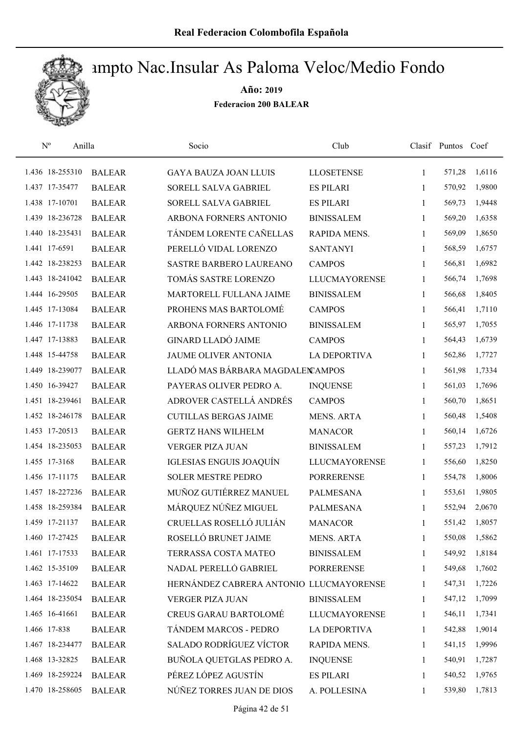

| $\mathbf{N}^{\mathrm{o}}$ | Anilla          |               | Socio                                   | Club                 |              | Clasif Puntos | Coef   |
|---------------------------|-----------------|---------------|-----------------------------------------|----------------------|--------------|---------------|--------|
|                           | 1.436 18-255310 | <b>BALEAR</b> | <b>GAYA BAUZA JOAN LLUIS</b>            | <b>LLOSETENSE</b>    | 1            | 571,28        | 1,6116 |
|                           | 1.437 17-35477  | <b>BALEAR</b> | <b>SORELL SALVA GABRIEL</b>             | <b>ES PILARI</b>     | 1            | 570,92        | 1,9800 |
|                           | 1.438 17-10701  | <b>BALEAR</b> | SORELL SALVA GABRIEL                    | <b>ES PILARI</b>     | 1            | 569,73        | 1,9448 |
|                           | 1.439 18-236728 | <b>BALEAR</b> | ARBONA FORNERS ANTONIO                  | <b>BINISSALEM</b>    | 1            | 569,20        | 1,6358 |
|                           | 1.440 18-235431 | <b>BALEAR</b> | TÁNDEM LORENTE CAÑELLAS                 | RAPIDA MENS.         | $\mathbf{1}$ | 569,09        | 1,8650 |
|                           | 1.441 17-6591   | <b>BALEAR</b> | PERELLÓ VIDAL LORENZO                   | <b>SANTANYI</b>      | 1            | 568,59        | 1,6757 |
|                           | 1.442 18-238253 | <b>BALEAR</b> | SASTRE BARBERO LAUREANO                 | <b>CAMPOS</b>        | $\mathbf{1}$ | 566,81        | 1,6982 |
|                           | 1.443 18-241042 | <b>BALEAR</b> | TOMÁS SASTRE LORENZO                    | <b>LLUCMAYORENSE</b> | 1            | 566,74        | 1,7698 |
|                           | 1.444 16-29505  | <b>BALEAR</b> | MARTORELL FULLANA JAIME                 | <b>BINISSALEM</b>    | 1            | 566,68        | 1,8405 |
|                           | 1.445 17-13084  | <b>BALEAR</b> | PROHENS MAS BARTOLOMÉ                   | <b>CAMPOS</b>        | 1            | 566,41        | 1,7110 |
|                           | 1.446 17-11738  | <b>BALEAR</b> | ARBONA FORNERS ANTONIO                  | <b>BINISSALEM</b>    | 1            | 565,97        | 1,7055 |
|                           | 1.447 17-13883  | <b>BALEAR</b> | <b>GINARD LLADÓ JAIME</b>               | <b>CAMPOS</b>        | 1            | 564,43        | 1,6739 |
|                           | 1.448 15-44758  | <b>BALEAR</b> | <b>JAUME OLIVER ANTONIA</b>             | <b>LA DEPORTIVA</b>  | 1            | 562,86        | 1,7727 |
|                           | 1.449 18-239077 | <b>BALEAR</b> | LLADÓ MAS BÁRBARA MAGDALEN AMPOS        |                      | 1            | 561,98        | 1,7334 |
|                           | 1.450 16-39427  | <b>BALEAR</b> | PAYERAS OLIVER PEDRO A.                 | <b>INQUENSE</b>      | 1            | 561,03        | 1,7696 |
|                           | 1.451 18-239461 | <b>BALEAR</b> | ADROVER CASTELLÁ ANDRÉS                 | <b>CAMPOS</b>        | 1            | 560,70        | 1,8651 |
|                           | 1.452 18-246178 | <b>BALEAR</b> | <b>CUTILLAS BERGAS JAIME</b>            | <b>MENS. ARTA</b>    | 1            | 560,48        | 1,5408 |
|                           | 1.453 17-20513  | <b>BALEAR</b> | <b>GERTZ HANS WILHELM</b>               | <b>MANACOR</b>       | 1            | 560,14        | 1,6726 |
|                           | 1.454 18-235053 | <b>BALEAR</b> | <b>VERGER PIZA JUAN</b>                 | <b>BINISSALEM</b>    | 1            | 557,23        | 1,7912 |
|                           | 1.455 17-3168   | <b>BALEAR</b> | IGLESIAS ENGUIS JOAQUÍN                 | <b>LLUCMAYORENSE</b> | 1            | 556,60        | 1,8250 |
|                           | 1.456 17-11175  | <b>BALEAR</b> | <b>SOLER MESTRE PEDRO</b>               | <b>PORRERENSE</b>    | 1            | 554,78        | 1,8006 |
|                           | 1.457 18-227236 | <b>BALEAR</b> | MUÑOZ GUTIÉRREZ MANUEL                  | <b>PALMESANA</b>     | 1            | 553,61        | 1,9805 |
|                           | 1.458 18-259384 | <b>BALEAR</b> | MÁRQUEZ NÚÑEZ MIGUEL                    | <b>PALMESANA</b>     | 1            | 552,94        | 2,0670 |
|                           | 1.459 17-21137  | <b>BALEAR</b> | CRUELLAS ROSELLÓ JULIÁN                 | <b>MANACOR</b>       | 1            | 551,42        | 1,8057 |
|                           | 1.460 17-27425  | <b>BALEAR</b> | ROSELLÓ BRUNET JAIME                    | <b>MENS. ARTA</b>    | 1            | 550,08        | 1,5862 |
|                           | 1.461 17-17533  | <b>BALEAR</b> | TERRASSA COSTA MATEO                    | <b>BINISSALEM</b>    | 1            | 549,92        | 1,8184 |
|                           | 1.462 15-35109  | <b>BALEAR</b> | NADAL PERELLÓ GABRIEL                   | <b>PORRERENSE</b>    | 1            | 549,68        | 1,7602 |
|                           | 1.463 17-14622  | <b>BALEAR</b> | HERNÁNDEZ CABRERA ANTONIO LLUCMAYORENSE |                      | 1            | 547,31        | 1,7226 |
|                           | 1.464 18-235054 | <b>BALEAR</b> | VERGER PIZA JUAN                        | <b>BINISSALEM</b>    | 1            | 547,12        | 1,7099 |
|                           | 1.465 16-41661  | <b>BALEAR</b> | <b>CREUS GARAU BARTOLOMÉ</b>            | <b>LLUCMAYORENSE</b> | 1            | 546,11        | 1,7341 |
|                           | 1.466 17-838    | <b>BALEAR</b> | TÁNDEM MARCOS - PEDRO                   | LA DEPORTIVA         | 1            | 542,88        | 1,9014 |
|                           | 1.467 18-234477 | <b>BALEAR</b> | <b>SALADO RODRÍGUEZ VÍCTOR</b>          | RAPIDA MENS.         | 1            | 541,15        | 1,9996 |
|                           | 1.468 13-32825  | <b>BALEAR</b> | BUÑOLA QUETGLAS PEDRO A.                | <b>INQUENSE</b>      | 1            | 540,91        | 1,7287 |
|                           | 1.469 18-259224 | <b>BALEAR</b> | PÉREZ LÓPEZ AGUSTÍN                     | <b>ES PILARI</b>     | 1            | 540,52        | 1,9765 |
|                           | 1.470 18-258605 | <b>BALEAR</b> | NÚÑEZ TORRES JUAN DE DIOS               | A. POLLESINA         | 1            | 539,80        | 1,7813 |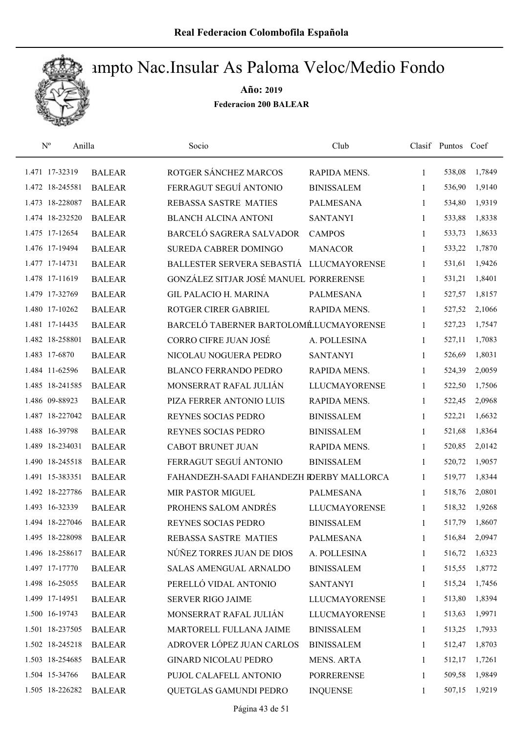

| $\mathbf{N}^{\text{o}}$ | Anilla |               | Socio                                     | Club                 |              | Clasif Puntos Coef |        |
|-------------------------|--------|---------------|-------------------------------------------|----------------------|--------------|--------------------|--------|
| 1.471 17-32319          |        | <b>BALEAR</b> | ROTGER SÁNCHEZ MARCOS                     | RAPIDA MENS.         | 1            | 538,08             | 1,7849 |
| 1.472 18-245581         |        | <b>BALEAR</b> | FERRAGUT SEGUÍ ANTONIO                    | <b>BINISSALEM</b>    | 1            | 536,90             | 1,9140 |
| 1.473 18-228087         |        | <b>BALEAR</b> | <b>REBASSA SASTRE MATIES</b>              | <b>PALMESANA</b>     | 1            | 534,80             | 1,9319 |
| 1.474 18-232520         |        | <b>BALEAR</b> | <b>BLANCH ALCINA ANTONI</b>               | <b>SANTANYI</b>      | 1            | 533,88             | 1,8338 |
| 1.475 17-12654          |        | <b>BALEAR</b> | BARCELÓ SAGRERA SALVADOR                  | <b>CAMPOS</b>        | $\mathbf{1}$ | 533,73             | 1,8633 |
| 1.476 17-19494          |        | <b>BALEAR</b> | <b>SUREDA CABRER DOMINGO</b>              | <b>MANACOR</b>       | $\mathbf{1}$ | 533,22             | 1,7870 |
| 1.477 17-14731          |        | <b>BALEAR</b> | BALLESTER SERVERA SEBASTIÁ LLUCMAYORENSE  |                      | $\mathbf{1}$ | 531,61             | 1,9426 |
| 1.478 17-11619          |        | <b>BALEAR</b> | GONZÁLEZ SITJAR JOSÉ MANUEL PORRERENSE    |                      | $\mathbf{1}$ | 531,21             | 1,8401 |
| 1.479 17-32769          |        | <b>BALEAR</b> | <b>GIL PALACIO H. MARINA</b>              | <b>PALMESANA</b>     | 1            | 527,57             | 1,8157 |
| 1.480 17-10262          |        | <b>BALEAR</b> | ROTGER CIRER GABRIEL                      | RAPIDA MENS.         | 1            | 527,52             | 2,1066 |
| 1.481 17-14435          |        | <b>BALEAR</b> | BARCELÓ TABERNER BARTOLOMÉLUCMAYORENSE    |                      | 1            | 527,23             | 1,7547 |
| 1.482 18-258801         |        | <b>BALEAR</b> | <b>CORRO CIFRE JUAN JOSÉ</b>              | A. POLLESINA         | 1            | 527,11             | 1,7083 |
| 1.483 17-6870           |        | <b>BALEAR</b> | NICOLAU NOGUERA PEDRO                     | <b>SANTANYI</b>      | 1            | 526,69             | 1,8031 |
| 1.484 11-62596          |        | <b>BALEAR</b> | <b>BLANCO FERRANDO PEDRO</b>              | RAPIDA MENS.         | $\mathbf{1}$ | 524,39             | 2,0059 |
| 1.485 18-241585         |        | <b>BALEAR</b> | MONSERRAT RAFAL JULIÁN                    | <b>LLUCMAYORENSE</b> | 1            | 522,50             | 1,7506 |
| 1.486 09-88923          |        | <b>BALEAR</b> | PIZA FERRER ANTONIO LUIS                  | RAPIDA MENS.         | 1            | 522,45             | 2,0968 |
| 1.487 18-227042         |        | <b>BALEAR</b> | REYNES SOCIAS PEDRO                       | <b>BINISSALEM</b>    | $\mathbf{1}$ | 522,21             | 1,6632 |
| 1.488 16-39798          |        | <b>BALEAR</b> | REYNES SOCIAS PEDRO                       | <b>BINISSALEM</b>    | $\mathbf{1}$ | 521,68             | 1,8364 |
| 1.489 18-234031         |        | <b>BALEAR</b> | <b>CABOT BRUNET JUAN</b>                  | RAPIDA MENS.         | $\mathbf{1}$ | 520,85             | 2,0142 |
| 1.490 18-245518         |        | <b>BALEAR</b> | FERRAGUT SEGUÍ ANTONIO                    | <b>BINISSALEM</b>    | $\mathbf{1}$ | 520,72             | 1,9057 |
| 1.491 15-383351         |        | <b>BALEAR</b> | FAHANDEZH-SAADI FAHANDEZH RDERBY MALLORCA |                      | $\mathbf{1}$ | 519,77             | 1,8344 |
| 1.492 18-227786         |        | <b>BALEAR</b> | <b>MIR PASTOR MIGUEL</b>                  | <b>PALMESANA</b>     | 1            | 518,76             | 2,0801 |
| 1.493 16-32339          |        | <b>BALEAR</b> | PROHENS SALOM ANDRÉS                      | <b>LLUCMAYORENSE</b> | $\mathbf{1}$ | 518,32             | 1,9268 |
| 1.494 18-227046         |        | <b>BALEAR</b> | REYNES SOCIAS PEDRO                       | <b>BINISSALEM</b>    | 1            | 517,79             | 1,8607 |
| 1.495 18-228098         |        | <b>BALEAR</b> | REBASSA SASTRE MATIES                     | <b>PALMESANA</b>     | 1            | 516,84             | 2,0947 |
| 1.496 18-258617         |        | <b>BALEAR</b> | NÚÑEZ TORRES JUAN DE DIOS                 | A. POLLESINA         | 1            | 516,72             | 1,6323 |
| 1.497 17-17770          |        | <b>BALEAR</b> | <b>SALAS AMENGUAL ARNALDO</b>             | <b>BINISSALEM</b>    | 1            | 515,55             | 1,8772 |
| 1.498 16-25055          |        | <b>BALEAR</b> | PERELLÓ VIDAL ANTONIO                     | <b>SANTANYI</b>      | 1            | 515,24             | 1,7456 |
| 1.499 17-14951          |        | <b>BALEAR</b> | <b>SERVER RIGO JAIME</b>                  | <b>LLUCMAYORENSE</b> | 1            | 513,80             | 1,8394 |
| 1.500 16-19743          |        | <b>BALEAR</b> | MONSERRAT RAFAL JULIÁN                    | <b>LLUCMAYORENSE</b> | $\mathbf{1}$ | 513,63             | 1,9971 |
| 1.501 18-237505         |        | <b>BALEAR</b> | MARTORELL FULLANA JAIME                   | <b>BINISSALEM</b>    | 1            | 513,25             | 1,7933 |
| 1.502 18-245218         |        | <b>BALEAR</b> | ADROVER LÓPEZ JUAN CARLOS                 | <b>BINISSALEM</b>    | 1            | 512,47             | 1,8703 |
| 1.503 18-254685         |        | <b>BALEAR</b> | <b>GINARD NICOLAU PEDRO</b>               | <b>MENS. ARTA</b>    | 1            | 512,17             | 1,7261 |
| 1.504 15-34766          |        | <b>BALEAR</b> | PUJOL CALAFELL ANTONIO                    | <b>PORRERENSE</b>    | 1            | 509,58             | 1,9849 |
| 1.505 18-226282         |        | <b>BALEAR</b> | QUETGLAS GAMUNDI PEDRO                    | <b>INQUENSE</b>      | 1            | 507,15             | 1,9219 |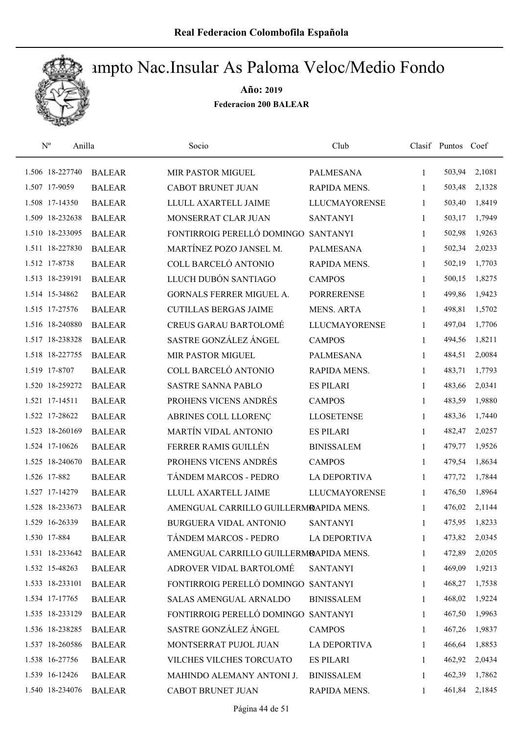

| $\mathbf{N}^{\text{o}}$<br>Anilla |               | Socio                                  | Club                 |              | Clasif Puntos | Coef   |
|-----------------------------------|---------------|----------------------------------------|----------------------|--------------|---------------|--------|
| 1.506 18-227740                   | <b>BALEAR</b> | MIR PASTOR MIGUEL                      | <b>PALMESANA</b>     | $\mathbf{1}$ | 503,94        | 2,1081 |
| 1.507 17-9059                     | <b>BALEAR</b> | <b>CABOT BRUNET JUAN</b>               | <b>RAPIDA MENS.</b>  | 1            | 503,48        | 2,1328 |
| 1.508 17-14350                    | <b>BALEAR</b> | LLULL AXARTELL JAIME                   | <b>LLUCMAYORENSE</b> | $\mathbf{1}$ | 503,40        | 1,8419 |
| 1.509 18-232638                   | <b>BALEAR</b> | MONSERRAT CLAR JUAN                    | <b>SANTANYI</b>      | $\mathbf{1}$ | 503,17        | 1,7949 |
| 1.510 18-233095                   | <b>BALEAR</b> | FONTIRROIG PERELLÓ DOMINGO             | <b>SANTANYI</b>      | $\mathbf{1}$ | 502,98        | 1,9263 |
| 1.511 18-227830                   | <b>BALEAR</b> | MARTÍNEZ POZO JANSEL M.                | <b>PALMESANA</b>     | $\mathbf{1}$ | 502,34        | 2,0233 |
| 1.512 17-8738                     | <b>BALEAR</b> | COLL BARCELÓ ANTONIO                   | RAPIDA MENS.         | $\mathbf{1}$ | 502,19        | 1,7703 |
| 1.513 18-239191                   | <b>BALEAR</b> | LLUCH DUBÓN SANTIAGO                   | <b>CAMPOS</b>        | $\mathbf{1}$ | 500,15        | 1,8275 |
| 1.514 15-34862                    | <b>BALEAR</b> | GORNALS FERRER MIGUEL A.               | <b>PORRERENSE</b>    | 1            | 499,86        | 1,9423 |
| 1.515 17-27576                    | <b>BALEAR</b> | <b>CUTILLAS BERGAS JAIME</b>           | <b>MENS. ARTA</b>    | 1            | 498,81        | 1,5702 |
| 1.516 18-240880                   | <b>BALEAR</b> | <b>CREUS GARAU BARTOLOMÉ</b>           | <b>LLUCMAYORENSE</b> | 1            | 497,04        | 1,7706 |
| 1.517 18-238328                   | <b>BALEAR</b> | SASTRE GONZÁLEZ ÁNGEL                  | <b>CAMPOS</b>        | 1            | 494,56        | 1,8211 |
| 1.518 18-227755                   | <b>BALEAR</b> | MIR PASTOR MIGUEL                      | <b>PALMESANA</b>     | 1            | 484,51        | 2,0084 |
| 1.519 17-8707                     | <b>BALEAR</b> | COLL BARCELÓ ANTONIO                   | <b>RAPIDA MENS.</b>  | 1            | 483,71        | 1,7793 |
| 1.520 18-259272                   | <b>BALEAR</b> | <b>SASTRE SANNA PABLO</b>              | <b>ES PILARI</b>     | $\mathbf{1}$ | 483,66        | 2,0341 |
| 1.521 17-14511                    | <b>BALEAR</b> | PROHENS VICENS ANDRÉS                  | <b>CAMPOS</b>        | $\mathbf{1}$ | 483,59        | 1,9880 |
| 1.522 17-28622                    | <b>BALEAR</b> | ABRINES COLL LLORENÇ                   | <b>LLOSETENSE</b>    | 1            | 483,36        | 1,7440 |
| 1.523 18-260169                   | <b>BALEAR</b> | MARTÍN VIDAL ANTONIO                   | <b>ES PILARI</b>     | $\mathbf{1}$ | 482,47        | 2,0257 |
| 1.524 17-10626                    | <b>BALEAR</b> | FERRER RAMIS GUILLÉN                   | <b>BINISSALEM</b>    | $\mathbf{1}$ | 479,77        | 1,9526 |
| 1.525 18-240670                   | <b>BALEAR</b> | PROHENS VICENS ANDRÉS                  | <b>CAMPOS</b>        | $\mathbf{1}$ | 479,54        | 1,8634 |
| 1.526 17-882                      | <b>BALEAR</b> | TÁNDEM MARCOS - PEDRO                  | <b>LA DEPORTIVA</b>  | $\mathbf{1}$ | 477,72        | 1,7844 |
| 1.527 17-14279                    | <b>BALEAR</b> | LLULL AXARTELL JAIME                   | <b>LLUCMAYORENSE</b> | 1            | 476,50        | 1,8964 |
| 1.528 18-233673                   | <b>BALEAR</b> | AMENGUAL CARRILLO GUILLERMRAPIDA MENS. |                      | 1            | 476,02        | 2,1144 |
| 1.529 16-26339                    | <b>BALEAR</b> | BURGUERA VIDAL ANTONIO                 | <b>SANTANYI</b>      | 1            | 475,95        | 1,8233 |
| 1.530 17-884                      | <b>BALEAR</b> | TÁNDEM MARCOS - PEDRO                  | <b>LA DEPORTIVA</b>  | 1            | 473,82        | 2,0345 |
| 1.531 18-233642                   | <b>BALEAR</b> | AMENGUAL CARRILLO GUILLERMRAPIDA MENS. |                      | 1            | 472,89        | 2,0205 |
| 1.532 15-48263                    | <b>BALEAR</b> | ADROVER VIDAL BARTOLOMÉ                | <b>SANTANYI</b>      | 1            | 469,09        | 1,9213 |
| 1.533 18-233101                   | <b>BALEAR</b> | FONTIRROIG PERELLÓ DOMINGO SANTANYI    |                      | 1            | 468,27        | 1,7538 |
| 1.534 17-17765                    | <b>BALEAR</b> | SALAS AMENGUAL ARNALDO                 | <b>BINISSALEM</b>    | 1            | 468,02        | 1,9224 |
| 1.535 18-233129                   | <b>BALEAR</b> | FONTIRROIG PERELLÓ DOMINGO SANTANYI    |                      | $\mathbf{1}$ | 467,50        | 1,9963 |
| 1.536 18-238285                   | <b>BALEAR</b> | SASTRE GONZÁLEZ ÁNGEL                  | <b>CAMPOS</b>        | 1            | 467,26        | 1,9837 |
| 1.537 18-260586                   | <b>BALEAR</b> | MONTSERRAT PUJOL JUAN                  | <b>LA DEPORTIVA</b>  | 1            | 466,64        | 1,8853 |
| 1.538 16-27756                    | <b>BALEAR</b> | VILCHES VILCHES TORCUATO               | <b>ES PILARI</b>     | 1            | 462,92        | 2,0434 |
| 1.539 16-12426                    | <b>BALEAR</b> | MAHINDO ALEMANY ANTONI J.              | <b>BINISSALEM</b>    | 1            | 462,39        | 1,7862 |
| 1.540 18-234076                   | <b>BALEAR</b> | CABOT BRUNET JUAN                      | RAPIDA MENS.         | 1            | 461,84        | 2,1845 |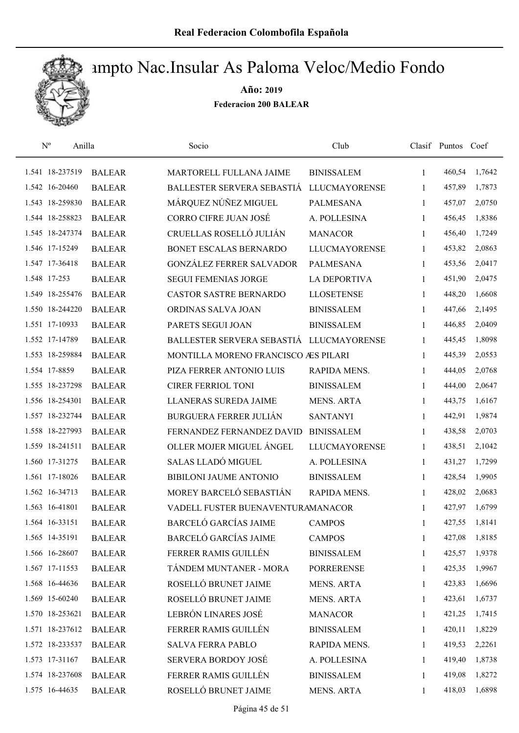

| $\mathbf{N}^{\text{o}}$ | Anilla        | Socio                                    | Club                 |              | Clasif Puntos Coef |        |
|-------------------------|---------------|------------------------------------------|----------------------|--------------|--------------------|--------|
| 1.541 18-237519         | <b>BALEAR</b> | MARTORELL FULLANA JAIME                  | <b>BINISSALEM</b>    | $\mathbf{1}$ | 460,54             | 1,7642 |
| 1.542 16-20460          | <b>BALEAR</b> | BALLESTER SERVERA SEBASTIÁ               | <b>LLUCMAYORENSE</b> | 1            | 457,89             | 1,7873 |
| 1.543 18-259830         | <b>BALEAR</b> | MÁRQUEZ NÚÑEZ MIGUEL                     | <b>PALMESANA</b>     | $\mathbf{1}$ | 457,07             | 2,0750 |
| 1.544 18-258823         | <b>BALEAR</b> | CORRO CIFRE JUAN JOSÉ                    | A. POLLESINA         | $\mathbf{1}$ | 456,45             | 1,8386 |
| 1.545 18-247374         | <b>BALEAR</b> | CRUELLAS ROSELLÓ JULIÁN                  | <b>MANACOR</b>       | $\mathbf{1}$ | 456,40             | 1,7249 |
| 1.546 17-15249          | <b>BALEAR</b> | BONET ESCALAS BERNARDO                   | <b>LLUCMAYORENSE</b> | $\mathbf{1}$ | 453,82             | 2,0863 |
| 1.547 17-36418          | <b>BALEAR</b> | <b>GONZÁLEZ FERRER SALVADOR</b>          | PALMESANA            | $\mathbf{1}$ | 453,56             | 2,0417 |
| 1.548 17-253            | <b>BALEAR</b> | <b>SEGUI FEMENIAS JORGE</b>              | <b>LA DEPORTIVA</b>  | $\mathbf{1}$ | 451,90             | 2,0475 |
| 1.549 18-255476         | <b>BALEAR</b> | <b>CASTOR SASTRE BERNARDO</b>            | <b>LLOSETENSE</b>    | 1            | 448,20             | 1,6608 |
| 1.550 18-244220         | <b>BALEAR</b> | ORDINAS SALVA JOAN                       | <b>BINISSALEM</b>    | 1            | 447,66             | 2,1495 |
| 1.551 17-10933          | <b>BALEAR</b> | PARETS SEGUI JOAN                        | <b>BINISSALEM</b>    | 1            | 446,85             | 2,0409 |
| 1.552 17-14789          | <b>BALEAR</b> | BALLESTER SERVERA SEBASTIÁ LLUCMAYORENSE |                      | 1            | 445,45             | 1,8098 |
| 1.553 18-259884         | <b>BALEAR</b> | MONTILLA MORENO FRANCISCO ÆS PILARI      |                      | 1            | 445,39             | 2,0553 |
| 1.554 17-8859           | <b>BALEAR</b> | PIZA FERRER ANTONIO LUIS                 | RAPIDA MENS.         | $\mathbf{1}$ | 444,05             | 2,0768 |
| 1.555 18-237298         | <b>BALEAR</b> | <b>CIRER FERRIOL TONI</b>                | <b>BINISSALEM</b>    | 1            | 444,00             | 2,0647 |
| 1.556 18-254301         | <b>BALEAR</b> | LLANERAS SUREDA JAIME                    | <b>MENS. ARTA</b>    | 1            | 443,75             | 1,6167 |
| 1.557 18-232744         | <b>BALEAR</b> | <b>BURGUERA FERRER JULIÁN</b>            | <b>SANTANYI</b>      | 1            | 442,91             | 1,9874 |
| 1.558 18-227993         | <b>BALEAR</b> | FERNANDEZ FERNANDEZ DAVID                | <b>BINISSALEM</b>    | $\mathbf{1}$ | 438,58             | 2,0703 |
| 1.559 18-241511         | <b>BALEAR</b> | OLLER MOJER MIGUEL ÁNGEL                 | <b>LLUCMAYORENSE</b> | $\mathbf{1}$ | 438,51             | 2,1042 |
| 1.560 17-31275          | <b>BALEAR</b> | SALAS LLADÓ MIGUEL                       | A. POLLESINA         | $\mathbf{1}$ | 431,27             | 1,7299 |
| 1.561 17-18026          | <b>BALEAR</b> | BIBILONI JAUME ANTONIO                   | <b>BINISSALEM</b>    | $\mathbf{1}$ | 428,54             | 1,9905 |
| 1.562 16-34713          | <b>BALEAR</b> | MOREY BARCELÓ SEBASTIÁN                  | <b>RAPIDA MENS.</b>  | 1            | 428,02             | 2,0683 |
| 1.563 16-41801          | <b>BALEAR</b> | VADELL FUSTER BUENAVENTURAMANACOR        |                      | 1            | 427,97             | 1,6799 |
| 1.564 16-33151          | <b>BALEAR</b> | <b>BARCELÓ GARCÍAS JAIME</b>             | <b>CAMPOS</b>        | 1            | 427,55             | 1,8141 |
| 1.565 14-35191          | <b>BALEAR</b> | <b>BARCELÓ GARCÍAS JAIME</b>             | <b>CAMPOS</b>        | 1            | 427,08             | 1,8185 |
| 1.566 16-28607          | <b>BALEAR</b> | FERRER RAMIS GUILLÉN                     | <b>BINISSALEM</b>    | 1            | 425,57             | 1,9378 |
| 1.567 17-11553          | <b>BALEAR</b> | TÁNDEM MUNTANER - MORA                   | <b>PORRERENSE</b>    | 1            | 425,35             | 1,9967 |
| 1.568 16-44636          | <b>BALEAR</b> | ROSELLÓ BRUNET JAIME                     | <b>MENS. ARTA</b>    | 1            | 423,83             | 1,6696 |
| 1.569 15-60240          | <b>BALEAR</b> | ROSELLÓ BRUNET JAIME                     | <b>MENS. ARTA</b>    | 1            | 423,61             | 1,6737 |
| 1.570 18-253621         | <b>BALEAR</b> | LEBRÓN LINARES JOSÉ                      | <b>MANACOR</b>       | 1            | 421,25             | 1,7415 |
| 1.571 18-237612         | <b>BALEAR</b> | FERRER RAMIS GUILLÉN                     | <b>BINISSALEM</b>    | 1            | 420,11             | 1,8229 |
| 1.572 18-233537         | <b>BALEAR</b> | <b>SALVA FERRA PABLO</b>                 | RAPIDA MENS.         | 1            | 419,53             | 2,2261 |
| 1.573 17-31167          | <b>BALEAR</b> | SERVERA BORDOY JOSÉ                      | A. POLLESINA         | 1            | 419,40             | 1,8738 |
| 1.574 18-237608         | <b>BALEAR</b> | FERRER RAMIS GUILLÉN                     | <b>BINISSALEM</b>    | 1            | 419,08             | 1,8272 |
| 1.575 16-44635          | <b>BALEAR</b> | ROSELLÓ BRUNET JAIME                     | MENS. ARTA           | 1            | 418,03             | 1,6898 |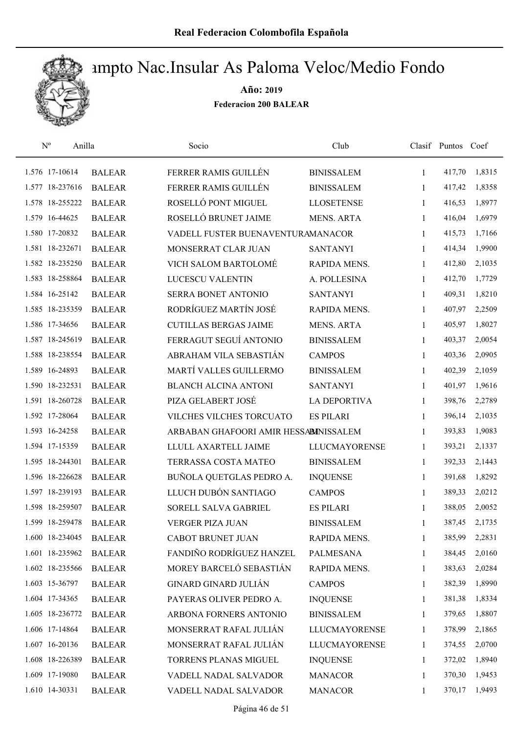

| $\mathrm{N}^{\rm o}$<br>Anilla |               | Socio                                 | Club                 |              | Clasif Puntos Coef |        |
|--------------------------------|---------------|---------------------------------------|----------------------|--------------|--------------------|--------|
| 1.576 17-10614                 | <b>BALEAR</b> | FERRER RAMIS GUILLÉN                  | <b>BINISSALEM</b>    | $\mathbf{1}$ | 417,70             | 1,8315 |
| 1.577 18-237616                | <b>BALEAR</b> | FERRER RAMIS GUILLÉN                  | <b>BINISSALEM</b>    | 1            | 417,42             | 1,8358 |
| 1.578 18-255222                | <b>BALEAR</b> | ROSELLÓ PONT MIGUEL                   | <b>LLOSETENSE</b>    | $\mathbf{1}$ | 416,53             | 1,8977 |
| 1.579 16-44625                 | <b>BALEAR</b> | ROSELLÓ BRUNET JAIME                  | <b>MENS. ARTA</b>    | $\mathbf{1}$ | 416,04             | 1,6979 |
| 1.580 17-20832                 | <b>BALEAR</b> | VADELL FUSTER BUENAVENTURAMANACOR     |                      | $\mathbf{1}$ | 415,73             | 1,7166 |
| 1.581 18-232671                | <b>BALEAR</b> | MONSERRAT CLAR JUAN                   | <b>SANTANYI</b>      | $\mathbf{1}$ | 414,34             | 1,9900 |
| 1.582 18-235250                | <b>BALEAR</b> | VICH SALOM BARTOLOMÉ                  | RAPIDA MENS.         | $\mathbf{1}$ | 412,80             | 2,1035 |
| 1.583 18-258864                | <b>BALEAR</b> | LUCESCU VALENTIN                      | A. POLLESINA         | $\mathbf{1}$ | 412,70             | 1,7729 |
| 1.584 16-25142                 | <b>BALEAR</b> | SERRA BONET ANTONIO                   | <b>SANTANYI</b>      | 1            | 409,31             | 1,8210 |
| 1.585 18-235359                | <b>BALEAR</b> | RODRÍGUEZ MARTÍN JOSÉ                 | RAPIDA MENS.         | 1            | 407,97             | 2,2509 |
| 1.586 17-34656                 | <b>BALEAR</b> | <b>CUTILLAS BERGAS JAIME</b>          | <b>MENS. ARTA</b>    | 1            | 405,97             | 1,8027 |
| 1.587 18-245619                | <b>BALEAR</b> | FERRAGUT SEGUÍ ANTONIO                | <b>BINISSALEM</b>    | 1            | 403,37             | 2,0054 |
| 1.588 18-238554                | <b>BALEAR</b> | ABRAHAM VILA SEBASTIÁN                | <b>CAMPOS</b>        | 1            | 403,36             | 2,0905 |
| 1.589 16-24893                 | <b>BALEAR</b> | MARTÍ VALLES GUILLERMO                | <b>BINISSALEM</b>    | 1            | 402,39             | 2,1059 |
| 1.590 18-232531                | <b>BALEAR</b> | <b>BLANCH ALCINA ANTONI</b>           | <b>SANTANYI</b>      | 1            | 401,97             | 1,9616 |
| 1.591 18-260728                | <b>BALEAR</b> | PIZA GELABERT JOSÉ                    | <b>LA DEPORTIVA</b>  | $\mathbf{1}$ | 398,76             | 2,2789 |
| 1.592 17-28064                 | <b>BALEAR</b> | VILCHES VILCHES TORCUATO              | <b>ES PILARI</b>     | 1            | 396,14             | 2,1035 |
| 1.593 16-24258                 | <b>BALEAR</b> | ARBABAN GHAFOORI AMIR HESSABINISSALEM |                      | $\mathbf{1}$ | 393,83             | 1,9083 |
| 1.594 17-15359                 | <b>BALEAR</b> | LLULL AXARTELL JAIME                  | <b>LLUCMAYORENSE</b> | 1            | 393,21             | 2,1337 |
| 1.595 18-244301                | <b>BALEAR</b> | TERRASSA COSTA MATEO                  | <b>BINISSALEM</b>    | $\mathbf{1}$ | 392,33             | 2,1443 |
| 1.596 18-226628                | <b>BALEAR</b> | BUÑOLA QUETGLAS PEDRO A.              | <b>INQUENSE</b>      | $\mathbf{1}$ | 391,68             | 1,8292 |
| 1.597 18-239193                | <b>BALEAR</b> | LLUCH DUBÓN SANTIAGO                  | <b>CAMPOS</b>        | 1            | 389,33             | 2,0212 |
| 1.598 18-259507                | <b>BALEAR</b> | SORELL SALVA GABRIEL                  | <b>ES PILARI</b>     | 1            | 388,05             | 2,0052 |
| 1.599 18-259478                | <b>BALEAR</b> | <b>VERGER PIZA JUAN</b>               | <b>BINISSALEM</b>    | 1            | 387,45             | 2,1735 |
| 1.600 18-234045                | <b>BALEAR</b> | <b>CABOT BRUNET JUAN</b>              | RAPIDA MENS.         | 1            | 385,99             | 2,2831 |
| 1.601 18-235962                | <b>BALEAR</b> | FANDIÑO RODRÍGUEZ HANZEL              | <b>PALMESANA</b>     | $\mathbf{1}$ | 384,45             | 2,0160 |
| 1.602 18-235566                | <b>BALEAR</b> | MOREY BARCELÓ SEBASTIÁN               | RAPIDA MENS.         | 1            | 383,63             | 2,0284 |
| 1.603 15-36797                 | <b>BALEAR</b> | <b>GINARD GINARD JULIÁN</b>           | <b>CAMPOS</b>        | 1            | 382,39             | 1,8990 |
| 1.604 17-34365                 | <b>BALEAR</b> | PAYERAS OLIVER PEDRO A.               | <b>INQUENSE</b>      | 1            | 381,38             | 1,8334 |
| 1.605 18-236772                | <b>BALEAR</b> | ARBONA FORNERS ANTONIO                | <b>BINISSALEM</b>    | 1            | 379,65             | 1,8807 |
| 1.606 17-14864                 | <b>BALEAR</b> | MONSERRAT RAFAL JULIÁN                | LLUCMAYORENSE        | 1            | 378,99             | 2,1865 |
| 1.607 16-20136                 | <b>BALEAR</b> | MONSERRAT RAFAL JULIÁN                | <b>LLUCMAYORENSE</b> | 1            | 374,55             | 2,0700 |
| 1.608 18-226389                | <b>BALEAR</b> | TORRENS PLANAS MIGUEL                 | <b>INQUENSE</b>      | 1            | 372,02             | 1,8940 |
| 1.609 17-19080                 | <b>BALEAR</b> | VADELL NADAL SALVADOR                 | <b>MANACOR</b>       | 1            | 370,30             | 1,9453 |
| 1.610 14-30331                 | <b>BALEAR</b> | VADELL NADAL SALVADOR                 | <b>MANACOR</b>       | 1            | 370,17             | 1,9493 |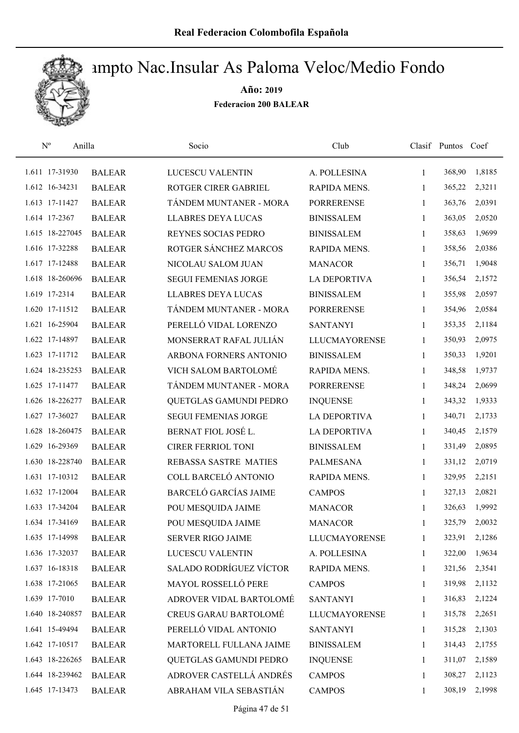

| $\mathbf{N}^{\mathrm{o}}$<br>Anilla |               | Socio                        | Club                 |              | Clasif Puntos Coef |        |
|-------------------------------------|---------------|------------------------------|----------------------|--------------|--------------------|--------|
| 1.611 17-31930                      | <b>BALEAR</b> | <b>LUCESCU VALENTIN</b>      | A. POLLESINA         | 1            | 368,90             | 1,8185 |
| 1.612 16-34231                      | <b>BALEAR</b> | ROTGER CIRER GABRIEL         | RAPIDA MENS.         | $\mathbf{1}$ | 365,22             | 2,3211 |
| 1.613 17-11427                      | <b>BALEAR</b> | TÁNDEM MUNTANER - MORA       | <b>PORRERENSE</b>    | $\mathbf{1}$ | 363,76             | 2,0391 |
| 1.614 17-2367                       | <b>BALEAR</b> | <b>LLABRES DEYA LUCAS</b>    | <b>BINISSALEM</b>    | 1            | 363,05             | 2,0520 |
| 1.615 18-227045                     | <b>BALEAR</b> | REYNES SOCIAS PEDRO          | <b>BINISSALEM</b>    | $\mathbf{1}$ | 358,63             | 1,9699 |
| 1.616 17-32288                      | <b>BALEAR</b> | ROTGER SÁNCHEZ MARCOS        | RAPIDA MENS.         | $\mathbf{1}$ | 358,56             | 2,0386 |
| 1.617 17-12488                      | <b>BALEAR</b> | NICOLAU SALOM JUAN           | <b>MANACOR</b>       | $\mathbf{1}$ | 356,71             | 1,9048 |
| 1.618 18-260696                     | <b>BALEAR</b> | <b>SEGUI FEMENIAS JORGE</b>  | <b>LA DEPORTIVA</b>  | $\mathbf{1}$ | 356,54             | 2,1572 |
| 1.619 17-2314                       | <b>BALEAR</b> | <b>LLABRES DEYA LUCAS</b>    | <b>BINISSALEM</b>    | $\mathbf{1}$ | 355,98             | 2,0597 |
| 1.620 17-11512                      | <b>BALEAR</b> | TÁNDEM MUNTANER - MORA       | <b>PORRERENSE</b>    | 1            | 354,96             | 2,0584 |
| 1.621 16-25904                      | <b>BALEAR</b> | PERELLÓ VIDAL LORENZO        | <b>SANTANYI</b>      | 1            | 353,35             | 2,1184 |
| 1.622 17-14897                      | <b>BALEAR</b> | MONSERRAT RAFAL JULIÁN       | <b>LLUCMAYORENSE</b> | $\mathbf{1}$ | 350,93             | 2,0975 |
| 1.623 17-11712                      | <b>BALEAR</b> | ARBONA FORNERS ANTONIO       | <b>BINISSALEM</b>    | 1            | 350,33             | 1,9201 |
| 1.624 18-235253                     | <b>BALEAR</b> | <b>VICH SALOM BARTOLOMÉ</b>  | RAPIDA MENS.         | $\mathbf{1}$ | 348,58             | 1,9737 |
| 1.625 17-11477                      | <b>BALEAR</b> | TÁNDEM MUNTANER - MORA       | <b>PORRERENSE</b>    | $\mathbf{1}$ | 348,24             | 2,0699 |
| 1.626 18-226277                     | <b>BALEAR</b> | QUETGLAS GAMUNDI PEDRO       | <b>INQUENSE</b>      | 1            | 343,32             | 1,9333 |
| 1.627 17-36027                      | <b>BALEAR</b> | <b>SEGUI FEMENIAS JORGE</b>  | <b>LA DEPORTIVA</b>  | $\mathbf{1}$ | 340,71             | 2,1733 |
| 1.628 18-260475                     | <b>BALEAR</b> | BERNAT FIOL JOSÉ L.          | <b>LA DEPORTIVA</b>  | $\mathbf{1}$ | 340,45             | 2,1579 |
| 1.629 16-29369                      | <b>BALEAR</b> | <b>CIRER FERRIOL TONI</b>    | <b>BINISSALEM</b>    | $\mathbf{1}$ | 331,49             | 2,0895 |
| 1.630 18-228740                     | <b>BALEAR</b> | REBASSA SASTRE MATIES        | <b>PALMESANA</b>     | $\mathbf{1}$ | 331,12             | 2,0719 |
| 1.631 17-10312                      | <b>BALEAR</b> | COLL BARCELÓ ANTONIO         | RAPIDA MENS.         | $\mathbf{1}$ | 329,95             | 2,2151 |
| 1.632 17-12004                      | <b>BALEAR</b> | <b>BARCELÓ GARCÍAS JAIME</b> | <b>CAMPOS</b>        | 1            | 327,13             | 2,0821 |
| 1.633 17-34204                      | <b>BALEAR</b> | POU MESQUIDA JAIME           | <b>MANACOR</b>       | $\mathbf{1}$ | 326,63             | 1,9992 |
| 1.634 17-34169                      | <b>BALEAR</b> | POU MESQUIDA JAIME           | <b>MANACOR</b>       | 1            | 325,79             | 2,0032 |
| 1.635 17-14998                      | <b>BALEAR</b> | <b>SERVER RIGO JAIME</b>     | <b>LLUCMAYORENSE</b> | 1            | 323,91             | 2,1286 |
| 1.636 17-32037                      | <b>BALEAR</b> | LUCESCU VALENTIN             | A. POLLESINA         | 1            | 322,00             | 1,9634 |
| 1.637 16-18318                      | <b>BALEAR</b> | SALADO RODRÍGUEZ VÍCTOR      | RAPIDA MENS.         | 1            | 321,56             | 2,3541 |
| 1.638 17-21065                      | <b>BALEAR</b> | MAYOL ROSSELLÓ PERE          | <b>CAMPOS</b>        | 1            | 319,98             | 2,1132 |
| 1.639 17-7010                       | <b>BALEAR</b> | ADROVER VIDAL BARTOLOMÉ      | <b>SANTANYI</b>      | 1            | 316,83             | 2,1224 |
| 1.640 18-240857                     | <b>BALEAR</b> | <b>CREUS GARAU BARTOLOMÉ</b> | <b>LLUCMAYORENSE</b> | $\mathbf{1}$ | 315,78             | 2,2651 |
| 1.641 15-49494                      | <b>BALEAR</b> | PERELLÓ VIDAL ANTONIO        | <b>SANTANYI</b>      | 1            | 315,28             | 2,1303 |
| 1.642 17-10517                      | <b>BALEAR</b> | MARTORELL FULLANA JAIME      | <b>BINISSALEM</b>    | 1            | 314,43             | 2,1755 |
| 1.643 18-226265                     | <b>BALEAR</b> | QUETGLAS GAMUNDI PEDRO       | <b>INQUENSE</b>      | 1            | 311,07             | 2,1589 |
| 1.644 18-239462                     | <b>BALEAR</b> | ADROVER CASTELLÁ ANDRÉS      | <b>CAMPOS</b>        | 1            | 308,27             | 2,1123 |
| 1.645 17-13473                      | <b>BALEAR</b> | ABRAHAM VILA SEBASTIÁN       | <b>CAMPOS</b>        | 1            | 308,19             | 2,1998 |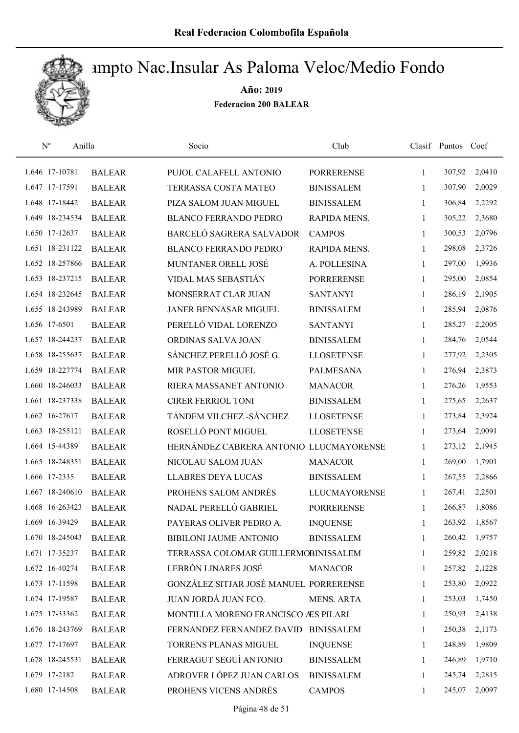

| $\mathbf{N}^{\text{o}}$<br>Anilla |               | Socio                                   | Club                 |              | Clasif Puntos | Coef   |
|-----------------------------------|---------------|-----------------------------------------|----------------------|--------------|---------------|--------|
| 1.646 17-10781                    | <b>BALEAR</b> | PUJOL CALAFELL ANTONIO                  | <b>PORRERENSE</b>    | 1            | 307,92        | 2,0410 |
| 1.647 17-17591                    | <b>BALEAR</b> | TERRASSA COSTA MATEO                    | <b>BINISSALEM</b>    | 1            | 307,90        | 2,0029 |
| 1.648 17-18442                    | <b>BALEAR</b> | PIZA SALOM JUAN MIGUEL                  | <b>BINISSALEM</b>    | 1            | 306,84        | 2,2292 |
| 1.649 18-234534                   | <b>BALEAR</b> | <b>BLANCO FERRANDO PEDRO</b>            | RAPIDA MENS.         | 1            | 305,22        | 2,3680 |
| 1.650 17-12637                    | <b>BALEAR</b> | BARCELÓ SAGRERA SALVADOR                | <b>CAMPOS</b>        | $\mathbf{1}$ | 300,53        | 2,0796 |
| 1.651 18-231122                   | <b>BALEAR</b> | <b>BLANCO FERRANDO PEDRO</b>            | RAPIDA MENS.         | 1            | 298,08        | 2,3726 |
| 1.652 18-257866                   | <b>BALEAR</b> | MUNTANER ORELL JOSÉ                     | A. POLLESINA         | 1            | 297,00        | 1,9936 |
| 1.653 18-237215                   | <b>BALEAR</b> | VIDAL MAS SEBASTIÁN                     | <b>PORRERENSE</b>    | 1            | 295,00        | 2,0854 |
| 1.654 18-232645                   | <b>BALEAR</b> | MONSERRAT CLAR JUAN                     | <b>SANTANYI</b>      | 1            | 286,19        | 2,1905 |
| 1.655 18-243989                   | <b>BALEAR</b> | JANER BENNASAR MIGUEL                   | <b>BINISSALEM</b>    | 1            | 285,94        | 2,0876 |
| 1.656 17-6501                     | <b>BALEAR</b> | PERELLÓ VIDAL LORENZO                   | <b>SANTANYI</b>      | 1            | 285,27        | 2,2005 |
| 1.657 18-244237                   | <b>BALEAR</b> | ORDINAS SALVA JOAN                      | <b>BINISSALEM</b>    | 1            | 284,76        | 2,0544 |
| 1.658 18-255637                   | <b>BALEAR</b> | SÁNCHEZ PERELLÓ JOSÉ G.                 | <b>LLOSETENSE</b>    | 1            | 277,92        | 2,2305 |
| 1.659 18-227774                   | <b>BALEAR</b> | MIR PASTOR MIGUEL                       | <b>PALMESANA</b>     | 1            | 276,94        | 2,3873 |
| 1.660 18-246033                   | <b>BALEAR</b> | RIERA MASSANET ANTONIO                  | <b>MANACOR</b>       | 1            | 276,26        | 1,9553 |
| 1.661 18-237338                   | <b>BALEAR</b> | <b>CIRER FERRIOL TONI</b>               | <b>BINISSALEM</b>    | 1            | 275,65        | 2,2637 |
| 1.662 16-27617                    | <b>BALEAR</b> | TÁNDEM VILCHEZ - SÁNCHEZ                | <b>LLOSETENSE</b>    | 1            | 273,84        | 2,3924 |
| 1.663 18-255121                   | <b>BALEAR</b> | ROSELLÓ PONT MIGUEL                     | <b>LLOSETENSE</b>    | $\mathbf{1}$ | 273,64        | 2,0091 |
| 1.664 15-44389                    | <b>BALEAR</b> | HERNÁNDEZ CABRERA ANTONIO LLUCMAYORENSE |                      | 1            | 273,12        | 2,1945 |
| 1.665 18-248351                   | <b>BALEAR</b> | NICOLAU SALOM JUAN                      | <b>MANACOR</b>       | $\mathbf{1}$ | 269,00        | 1,7901 |
| 1.666 17-2335                     | <b>BALEAR</b> | <b>LLABRES DEYA LUCAS</b>               | <b>BINISSALEM</b>    | $\mathbf{1}$ | 267,55        | 2,2866 |
| 1.667 18-240610                   | <b>BALEAR</b> | PROHENS SALOM ANDRÉS                    | <b>LLUCMAYORENSE</b> | 1            | 267,41        | 2,2501 |
| 1.668 16-263423                   | <b>BALEAR</b> | NADAL PERELLÓ GABRIEL                   | <b>PORRERENSE</b>    | 1            | 266,87        | 1,8086 |
| 1.669 16-39429                    | <b>BALEAR</b> | PAYERAS OLIVER PEDRO A.                 | <b>INQUENSE</b>      | 1            | 263,92        | 1,8567 |
| 1.670 18-245043                   | <b>BALEAR</b> | BIBILONI JAUME ANTONIO                  | <b>BINISSALEM</b>    | 1            | 260,42        | 1,9757 |
| 1.671 17-35237                    | <b>BALEAR</b> | TERRASSA COLOMAR GUILLERMOBINISSALEM    |                      | 1            | 259,82        | 2,0218 |
| 1.672 16-40274                    | <b>BALEAR</b> | LEBRÓN LINARES JOSÉ                     | <b>MANACOR</b>       | 1            | 257,82        | 2,1228 |
| 1.673 17-11598                    | <b>BALEAR</b> | GONZÁLEZ SITJAR JOSÉ MANUEL PORRERENSE  |                      | 1            | 253,80        | 2,0922 |
| 1.674 17-19587                    | <b>BALEAR</b> | JUAN JORDÁ JUAN FCO.                    | <b>MENS. ARTA</b>    | 1            | 253,03        | 1,7450 |
| 1.675 17-33362                    | <b>BALEAR</b> | MONTILLA MORENO FRANCISCO AES PILARI    |                      | 1            | 250,93        | 2,4138 |
| 1.676 18-243769                   | <b>BALEAR</b> | FERNANDEZ FERNANDEZ DAVID BINISSALEM    |                      | 1            | 250,38        | 2,1173 |
| 1.677 17-17697                    | <b>BALEAR</b> | TORRENS PLANAS MIGUEL                   | <b>INQUENSE</b>      | 1            | 248,89        | 1,9809 |
| 1.678 18-245531                   | <b>BALEAR</b> | FERRAGUT SEGUÍ ANTONIO                  | <b>BINISSALEM</b>    | 1            | 246,89        | 1,9710 |
| 1.679 17-2182                     | <b>BALEAR</b> | ADROVER LÓPEZ JUAN CARLOS               | <b>BINISSALEM</b>    | 1            | 245,74        | 2,2815 |
| 1.680 17-14508                    | <b>BALEAR</b> | PROHENS VICENS ANDRÉS                   | <b>CAMPOS</b>        | 1            | 245,07        | 2,0097 |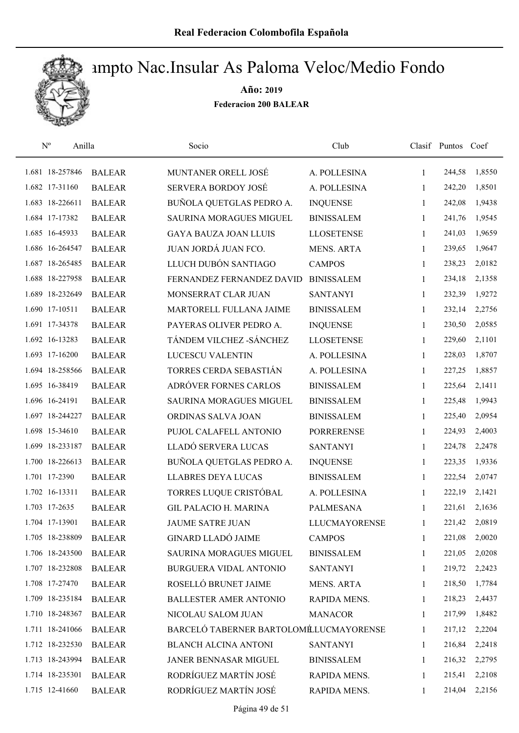

| $\mathbf{N}^{\mathrm{o}}$ | Anilla          |               | Socio                                  | Club                 |              | Clasif Puntos | Coef   |
|---------------------------|-----------------|---------------|----------------------------------------|----------------------|--------------|---------------|--------|
|                           | 1.681 18-257846 | <b>BALEAR</b> | MUNTANER ORELL JOSÉ                    | A. POLLESINA         | 1            | 244,58        | 1,8550 |
|                           | 1.682 17-31160  | <b>BALEAR</b> | <b>SERVERA BORDOY JOSÉ</b>             | A. POLLESINA         | $\mathbf{1}$ | 242,20        | 1,8501 |
|                           | 1.683 18-226611 | <b>BALEAR</b> | BUÑOLA QUETGLAS PEDRO A.               | <b>INQUENSE</b>      | 1            | 242,08        | 1,9438 |
|                           | 1.684 17-17382  | <b>BALEAR</b> | <b>SAURINA MORAGUES MIGUEL</b>         | <b>BINISSALEM</b>    | 1            | 241,76        | 1,9545 |
|                           | 1.685 16-45933  | <b>BALEAR</b> | <b>GAYA BAUZA JOAN LLUIS</b>           | <b>LLOSETENSE</b>    | $\mathbf{1}$ | 241,03        | 1,9659 |
|                           | 1.686 16-264547 | <b>BALEAR</b> | JUAN JORDÁ JUAN FCO.                   | <b>MENS. ARTA</b>    | $\mathbf{1}$ | 239,65        | 1,9647 |
|                           | 1.687 18-265485 | <b>BALEAR</b> | LLUCH DUBÓN SANTIAGO                   | <b>CAMPOS</b>        | $\mathbf{1}$ | 238,23        | 2,0182 |
|                           | 1.688 18-227958 | <b>BALEAR</b> | FERNANDEZ FERNANDEZ DAVID              | <b>BINISSALEM</b>    | 1            | 234,18        | 2,1358 |
|                           | 1.689 18-232649 | <b>BALEAR</b> | MONSERRAT CLAR JUAN                    | <b>SANTANYI</b>      | 1            | 232,39        | 1,9272 |
|                           | 1.690 17-10511  | <b>BALEAR</b> | MARTORELL FULLANA JAIME                | <b>BINISSALEM</b>    | 1            | 232,14        | 2,2756 |
|                           | 1.691 17-34378  | <b>BALEAR</b> | PAYERAS OLIVER PEDRO A.                | <b>INQUENSE</b>      | 1            | 230,50        | 2,0585 |
|                           | 1.692 16-13283  | <b>BALEAR</b> | TÁNDEM VILCHEZ - SÁNCHEZ               | <b>LLOSETENSE</b>    | 1            | 229,60        | 2,1101 |
|                           | 1.693 17-16200  | <b>BALEAR</b> | LUCESCU VALENTIN                       | A. POLLESINA         | 1            | 228,03        | 1,8707 |
|                           | 1.694 18-258566 | <b>BALEAR</b> | TORRES CERDA SEBASTIÁN                 | A. POLLESINA         | 1            | 227,25        | 1,8857 |
|                           | 1.695 16-38419  | <b>BALEAR</b> | ADRÓVER FORNES CARLOS                  | <b>BINISSALEM</b>    | 1            | 225,64        | 2,1411 |
|                           | 1.696 16-24191  | <b>BALEAR</b> | SAURINA MORAGUES MIGUEL                | <b>BINISSALEM</b>    | 1            | 225,48        | 1,9943 |
|                           | 1.697 18-244227 | <b>BALEAR</b> | ORDINAS SALVA JOAN                     | <b>BINISSALEM</b>    | 1            | 225,40        | 2,0954 |
|                           | 1.698 15-34610  | <b>BALEAR</b> | PUJOL CALAFELL ANTONIO                 | <b>PORRERENSE</b>    | $\mathbf{1}$ | 224,93        | 2,4003 |
|                           | 1.699 18-233187 | <b>BALEAR</b> | LLADÓ SERVERA LUCAS                    | <b>SANTANYI</b>      | 1            | 224,78        | 2,2478 |
|                           | 1.700 18-226613 | <b>BALEAR</b> | BUÑOLA QUETGLAS PEDRO A.               | <b>INQUENSE</b>      | $\mathbf{1}$ | 223,35        | 1,9336 |
|                           | 1.701 17-2390   | <b>BALEAR</b> | <b>LLABRES DEYA LUCAS</b>              | <b>BINISSALEM</b>    | $\mathbf{1}$ | 222,54        | 2,0747 |
|                           | 1.702 16-13311  | <b>BALEAR</b> | TORRES LUQUE CRISTÓBAL                 | A. POLLESINA         | 1            | 222,19        | 2,1421 |
|                           | 1.703 17-2635   | <b>BALEAR</b> | <b>GIL PALACIO H. MARINA</b>           | <b>PALMESANA</b>     | $\mathbf{1}$ | 221,61        | 2,1636 |
|                           | 1.704 17-13901  | <b>BALEAR</b> | <b>JAUME SATRE JUAN</b>                | <b>LLUCMAYORENSE</b> | 1            | 221,42        | 2,0819 |
|                           | 1.705 18-238809 | <b>BALEAR</b> | <b>GINARD LLADÓ JAIME</b>              | <b>CAMPOS</b>        | 1            | 221,08        | 2,0020 |
|                           | 1.706 18-243500 | <b>BALEAR</b> | SAURINA MORAGUES MIGUEL                | <b>BINISSALEM</b>    | 1            | 221,05        | 2,0208 |
|                           | 1.707 18-232808 | <b>BALEAR</b> | <b>BURGUERA VIDAL ANTONIO</b>          | <b>SANTANYI</b>      | 1            | 219,72        | 2,2423 |
|                           | 1.708 17-27470  | <b>BALEAR</b> | ROSELLÓ BRUNET JAIME                   | <b>MENS. ARTA</b>    | 1            | 218,50        | 1,7784 |
|                           | 1.709 18-235184 | <b>BALEAR</b> | <b>BALLESTER AMER ANTONIO</b>          | RAPIDA MENS.         | 1            | 218,23        | 2,4437 |
|                           | 1.710 18-248367 | <b>BALEAR</b> | NICOLAU SALOM JUAN                     | <b>MANACOR</b>       | 1            | 217,99        | 1,8482 |
|                           | 1.711 18-241066 | <b>BALEAR</b> | BARCELÓ TABERNER BARTOLOMÉLUCMAYORENSE |                      | $\mathbf{1}$ | 217,12        | 2,2204 |
|                           | 1.712 18-232530 | <b>BALEAR</b> | <b>BLANCH ALCINA ANTONI</b>            | <b>SANTANYI</b>      | 1            | 216,84        | 2,2418 |
|                           | 1.713 18-243994 | <b>BALEAR</b> | JANER BENNASAR MIGUEL                  | <b>BINISSALEM</b>    | 1            | 216,32        | 2,2795 |
|                           | 1.714 18-235301 | <b>BALEAR</b> | RODRÍGUEZ MARTÍN JOSÉ                  | RAPIDA MENS.         | 1            | 215,41        | 2,2108 |
|                           | 1.715 12-41660  | <b>BALEAR</b> | RODRÍGUEZ MARTÍN JOSÉ                  | RAPIDA MENS.         | 1            | 214,04        | 2,2156 |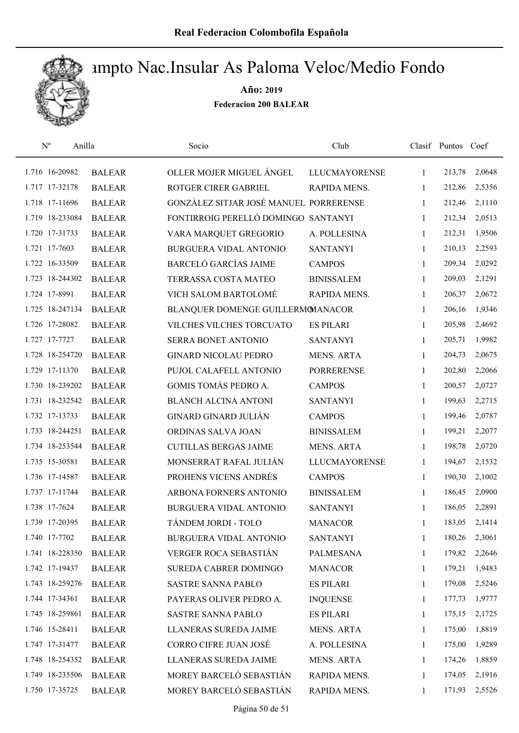

| $\mathbf{N}^{\text{o}}$<br>Anilla |               | Socio                                  | Club                 |              | Clasif Puntos Coef |        |
|-----------------------------------|---------------|----------------------------------------|----------------------|--------------|--------------------|--------|
| 1.716 16-20982                    | <b>BALEAR</b> | OLLER MOJER MIGUEL ÁNGEL               | <b>LLUCMAYORENSE</b> | 1            | 213,78             | 2,0648 |
| 1.717 17-32178                    | <b>BALEAR</b> | ROTGER CIRER GABRIEL                   | RAPIDA MENS.         | 1            | 212,86             | 2,5356 |
| 1.718 17-11696                    | <b>BALEAR</b> | GONZÁLEZ SITJAR JOSÉ MANUEL PORRERENSE |                      | 1            | 212,46             | 2,1110 |
| 1.719 18-233084                   | <b>BALEAR</b> | FONTIRROIG PERELLÓ DOMINGO SANTANYI    |                      | 1            | 212,34             | 2,0513 |
| 1.720 17-31733                    | <b>BALEAR</b> | VARA MARQUET GREGORIO                  | A. POLLESINA         | $\mathbf{1}$ | 212,31             | 1,9506 |
| 1.721 17-7603                     | <b>BALEAR</b> | BURGUERA VIDAL ANTONIO                 | <b>SANTANYI</b>      | $\mathbf{1}$ | 210,13             | 2,2593 |
| 1.722 16-33509                    | <b>BALEAR</b> | <b>BARCELÓ GARCÍAS JAIME</b>           | <b>CAMPOS</b>        | $\mathbf{1}$ | 209,34             | 2,0292 |
| 1.723 18-244302                   | <b>BALEAR</b> | TERRASSA COSTA MATEO                   | <b>BINISSALEM</b>    | $\mathbf{1}$ | 209,03             | 2,1291 |
| 1.724 17-8991                     | <b>BALEAR</b> | VICH SALOM BARTOLOMÉ                   | RAPIDA MENS.         | 1            | 206,37             | 2,0672 |
| 1.725 18-247134                   | <b>BALEAR</b> | BLANQUER DOMENGE GUILLERMOMANACOR      |                      | 1            | 206,16             | 1,9346 |
| 1.726 17-28082                    | <b>BALEAR</b> | VILCHES VILCHES TORCUATO               | <b>ES PILARI</b>     | 1            | 205,98             | 2,4692 |
| 1.727 17-7727                     | <b>BALEAR</b> | <b>SERRA BONET ANTONIO</b>             | <b>SANTANYI</b>      | 1            | 205,71             | 1,9982 |
| 1.728 18-254720                   | <b>BALEAR</b> | <b>GINARD NICOLAU PEDRO</b>            | <b>MENS. ARTA</b>    | 1            | 204,73             | 2,0675 |
| 1.729 17-11370                    | <b>BALEAR</b> | PUJOL CALAFELL ANTONIO                 | <b>PORRERENSE</b>    | 1            | 202,80             | 2,2066 |
| 1.730 18-239202                   | <b>BALEAR</b> | GOMIS TOMÁS PEDRO A.                   | <b>CAMPOS</b>        | 1            | 200,57             | 2,0727 |
| 1.731 18-232542                   | <b>BALEAR</b> | <b>BLANCH ALCINA ANTONI</b>            | <b>SANTANYI</b>      | 1            | 199,63             | 2,2715 |
| 1.732 17-13733                    | <b>BALEAR</b> | <b>GINARD GINARD JULIÁN</b>            | <b>CAMPOS</b>        | 1            | 199,46             | 2,0787 |
| 1.733 18-244251                   | <b>BALEAR</b> | ORDINAS SALVA JOAN                     | <b>BINISSALEM</b>    | 1            | 199,21             | 2,2077 |
| 1.734 18-253544                   | <b>BALEAR</b> | <b>CUTILLAS BERGAS JAIME</b>           | <b>MENS. ARTA</b>    | 1            | 198,78             | 2,0720 |
| 1.735 15-30581                    | <b>BALEAR</b> | MONSERRAT RAFAL JULIÁN                 | <b>LLUCMAYORENSE</b> | $\mathbf{1}$ | 194,67             | 2,1532 |
| 1.736 17-14587                    | <b>BALEAR</b> | PROHENS VICENS ANDRÉS                  | <b>CAMPOS</b>        | $\mathbf{1}$ | 190,30             | 2,1002 |
| 1.737 17-11744                    | <b>BALEAR</b> | ARBONA FORNERS ANTONIO                 | <b>BINISSALEM</b>    | 1            | 186,45             | 2,0900 |
| 1.738 17-7624                     | <b>BALEAR</b> | <b>BURGUERA VIDAL ANTONIO</b>          | <b>SANTANYI</b>      | 1            | 186,05             | 2,2891 |
| 1.739 17-20395                    | <b>BALEAR</b> | TÁNDEM JORDI - TOLO                    | <b>MANACOR</b>       | 1            | 183,05             | 2,1414 |
| 1.740 17-7702                     | <b>BALEAR</b> | <b>BURGUERA VIDAL ANTONIO</b>          | <b>SANTANYI</b>      | 1            | 180,26             | 2,3061 |
| 1.741 18-228350                   | <b>BALEAR</b> | VERGER ROCA SEBASTIÁN                  | <b>PALMESANA</b>     | $\mathbf{1}$ | 179,82             | 2,2646 |
| 1.742 17-19437                    | <b>BALEAR</b> | SUREDA CABRER DOMINGO                  | <b>MANACOR</b>       | 1            | 179,21             | 1,9483 |
| 1.743 18-259276                   | <b>BALEAR</b> | SASTRE SANNA PABLO                     | <b>ES PILARI</b>     | 1            | 179,08             | 2,5246 |
| 1.744 17-34361                    | <b>BALEAR</b> | PAYERAS OLIVER PEDRO A.                | <b>INQUENSE</b>      | 1            | 177,73             | 1,9777 |
| 1.745 18-259861                   | <b>BALEAR</b> | <b>SASTRE SANNA PABLO</b>              | <b>ES PILARI</b>     | 1            | 175,15             | 2,1725 |
| 1.746 15-28411                    | <b>BALEAR</b> | LLANERAS SUREDA JAIME                  | <b>MENS. ARTA</b>    | $\mathbf{1}$ | 175,00             | 1,8819 |
| 1.747 17-31477                    | <b>BALEAR</b> | CORRO CIFRE JUAN JOSÉ                  | A. POLLESINA         | 1            | 175,00             | 1,9289 |
| 1.748 18-254352                   | <b>BALEAR</b> | LLANERAS SUREDA JAIME                  | <b>MENS. ARTA</b>    | 1            | 174,26             | 1,8859 |
| 1.749 18-235506                   | <b>BALEAR</b> | MOREY BARCELÓ SEBASTIÁN                | RAPIDA MENS.         | 1            | 174,05             | 2,1916 |
| 1.750 17-35725                    | <b>BALEAR</b> | MOREY BARCELÓ SEBASTIÁN                | RAPIDA MENS.         | 1            | 171,93             | 2,5526 |